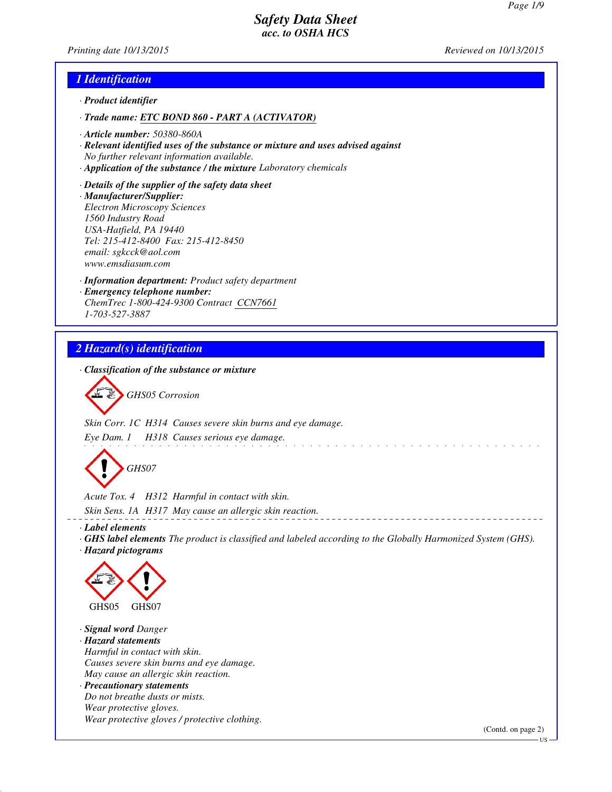*Printing date 10/13/2015 Reviewed on 10/13/2015*

## *1 Identification*

- *· Product identifier*
- *· Trade name: ETC BOND 860 PART A (ACTIVATOR)*
- *· Article number: 50380-860A*
- *· Relevant identified uses of the substance or mixture and uses advised against No further relevant information available.*
- *· Application of the substance / the mixture Laboratory chemicals*
- *· Details of the supplier of the safety data sheet · Manufacturer/Supplier: Electron Microscopy Sciences 1560 Industry Road USA-Hatfield, PA 19440 Tel: 215-412-8400 Fax: 215-412-8450 email: sgkcck@aol.com www.emsdiasum.com*
- *· Information department: Product safety department · Emergency telephone number: ChemTrec 1-800-424-9300 Contract CCN7661 1-703-527-3887*

## *2 Hazard(s) identification*

*· Classification of the substance or mixture*

*GHS05 Corrosion*

*Skin Corr. 1C H314 Causes severe skin burns and eye damage.*

*Eye Dam. 1 H318 Causes serious eye damage.*



*Acute Tox. 4 H312 Harmful in contact with skin. Skin Sens. 1A H317 May cause an allergic skin reaction.*

*· Label elements*

*· GHS label elements The product is classified and labeled according to the Globally Harmonized System (GHS). · Hazard pictograms*

and the contract of the contract of the contract of the



*· Signal word Danger*

*· Hazard statements Harmful in contact with skin. Causes severe skin burns and eye damage. May cause an allergic skin reaction. · Precautionary statements Do not breathe dusts or mists. Wear protective gloves. Wear protective gloves / protective clothing.*

(Contd. on page 2)

US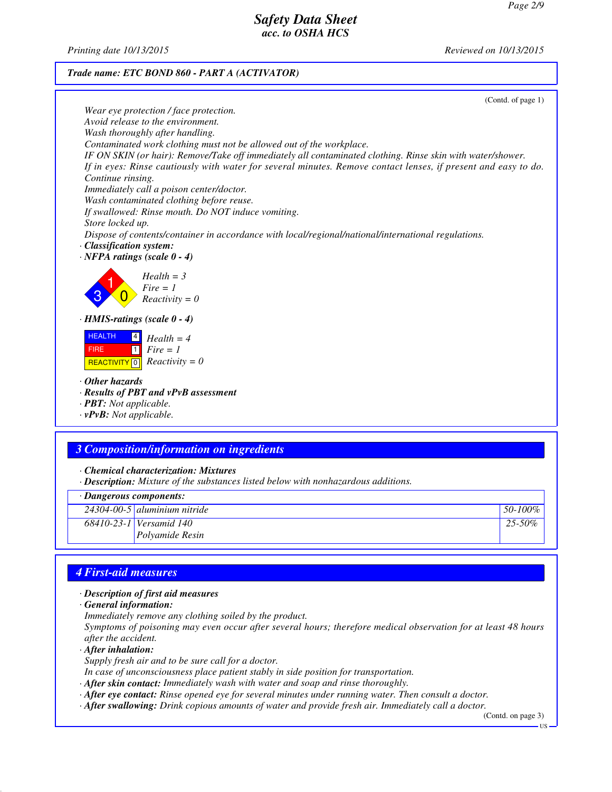*Printing date 10/13/2015 Reviewed on 10/13/2015*



(Contd. of page 1) *Wear eye protection / face protection. Avoid release to the environment. Wash thoroughly after handling. Contaminated work clothing must not be allowed out of the workplace. IF ON SKIN (or hair): Remove/Take off immediately all contaminated clothing. Rinse skin with water/shower. If in eyes: Rinse cautiously with water for several minutes. Remove contact lenses, if present and easy to do. Continue rinsing. Immediately call a poison center/doctor. Wash contaminated clothing before reuse. If swallowed: Rinse mouth. Do NOT induce vomiting. Store locked up. Dispose of contents/container in accordance with local/regional/national/international regulations. · Classification system: · NFPA ratings (scale 0 - 4)* 3 1  $\overline{0}$ *Health = 3 Fire = 1*

*Reactivity = 0 · HMIS-ratings (scale 0 - 4)*

 HEALTH FIRE  $R$ **REACTIVITY**  $\boxed{0}$  *Reactivity = 0* 4 *Health = 4*  $\overline{1}$ *Fire = 1*

- *· Other hazards*
- *· Results of PBT and vPvB assessment*

*· PBT: Not applicable.*

*· vPvB: Not applicable.*

## *3 Composition/information on ingredients*

*· Chemical characterization: Mixtures*

*· Description: Mixture of the substances listed below with nonhazardous additions.*

#### *· Dangerous components:*

| 24304-00-5 aluminium nitride | 50-100%     |
|------------------------------|-------------|
| 68410-23-1 Versamid 140      | $25 - 50\%$ |
| <i>Polvamide Resin</i>       |             |
|                              |             |

## *4 First-aid measures*

#### *· Description of first aid measures*

*· General information:*

*Immediately remove any clothing soiled by the product.*

*Symptoms of poisoning may even occur after several hours; therefore medical observation for at least 48 hours after the accident.*

*· After inhalation:*

*Supply fresh air and to be sure call for a doctor.*

*In case of unconsciousness place patient stably in side position for transportation.*

- *· After skin contact: Immediately wash with water and soap and rinse thoroughly.*
- *· After eye contact: Rinse opened eye for several minutes under running water. Then consult a doctor.*
- *· After swallowing: Drink copious amounts of water and provide fresh air. Immediately call a doctor.*

(Contd. on page 3)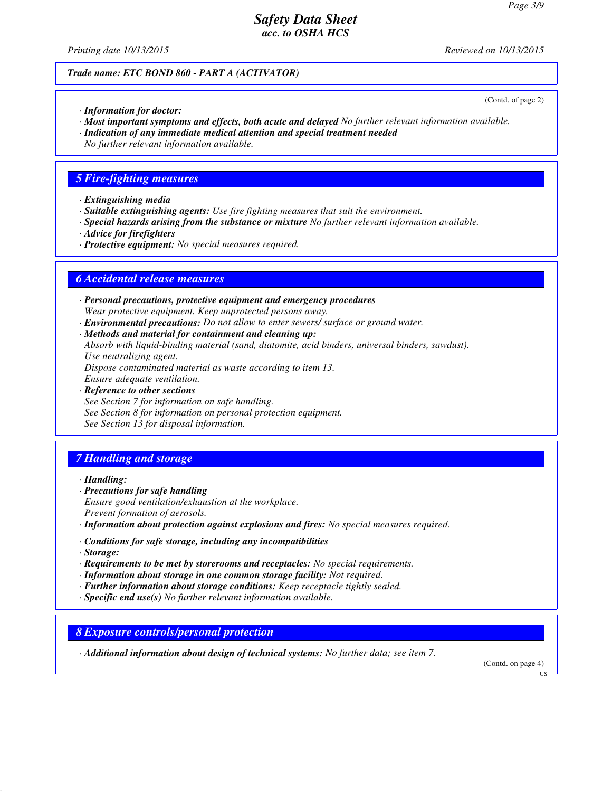*Printing date 10/13/2015 Reviewed on 10/13/2015*

(Contd. of page 2)

#### *Trade name: ETC BOND 860 - PART A (ACTIVATOR)*

- *· Information for doctor:*
- *· Most important symptoms and effects, both acute and delayed No further relevant information available.*
- *· Indication of any immediate medical attention and special treatment needed*
- *No further relevant information available.*

## *5 Fire-fighting measures*

- *· Extinguishing media*
- *· Suitable extinguishing agents: Use fire fighting measures that suit the environment.*
- *· Special hazards arising from the substance or mixture No further relevant information available.*
- *· Advice for firefighters*
- *· Protective equipment: No special measures required.*

### *6 Accidental release measures*

- *· Personal precautions, protective equipment and emergency procedures Wear protective equipment. Keep unprotected persons away.*
- *· Environmental precautions: Do not allow to enter sewers/ surface or ground water.*
- *· Methods and material for containment and cleaning up: Absorb with liquid-binding material (sand, diatomite, acid binders, universal binders, sawdust). Use neutralizing agent. Dispose contaminated material as waste according to item 13. Ensure adequate ventilation.*
- *· Reference to other sections See Section 7 for information on safe handling. See Section 8 for information on personal protection equipment. See Section 13 for disposal information.*

## *7 Handling and storage*

*· Handling:*

- *· Precautions for safe handling Ensure good ventilation/exhaustion at the workplace. Prevent formation of aerosols.*
- *· Information about protection against explosions and fires: No special measures required.*
- *· Conditions for safe storage, including any incompatibilities*
- *· Storage:*
- *· Requirements to be met by storerooms and receptacles: No special requirements.*
- *· Information about storage in one common storage facility: Not required.*
- *· Further information about storage conditions: Keep receptacle tightly sealed.*
- *· Specific end use(s) No further relevant information available.*

*8 Exposure controls/personal protection*

*· Additional information about design of technical systems: No further data; see item 7.*

(Contd. on page 4)

US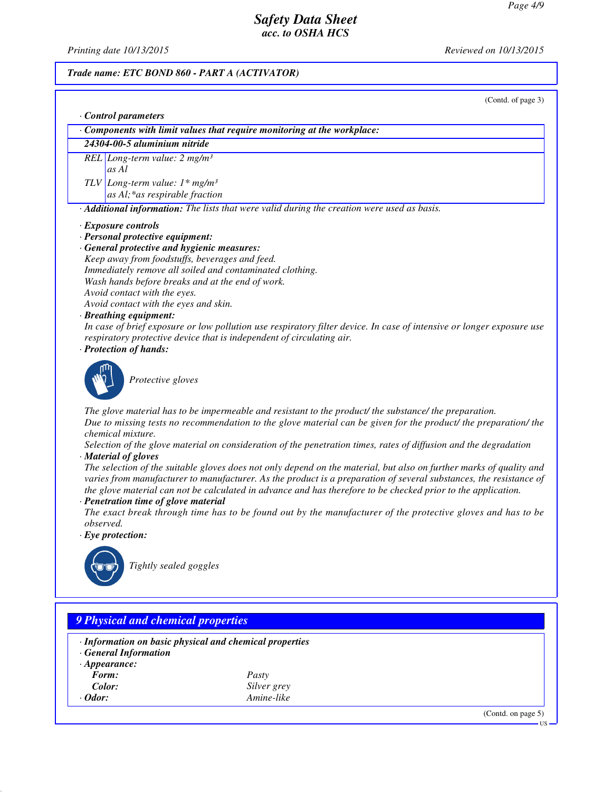*Printing date 10/13/2015 Reviewed on 10/13/2015*

#### *Trade name: ETC BOND 860 - PART A (ACTIVATOR)*

(Contd. of page 3)

|  |  | Control parameters |
|--|--|--------------------|
|--|--|--------------------|

*· Components with limit values that require monitoring at the workplace:*

*24304-00-5 aluminium nitride*

*REL Long-term value: 2 mg/m³ as Al*

*TLV Long-term value: 1\* mg/m³ as Al;\*as respirable fraction*

*· Additional information: The lists that were valid during the creation were used as basis.*

#### *· Exposure controls*

- *· Personal protective equipment:*
- *· General protective and hygienic measures: Keep away from foodstuffs, beverages and feed. Immediately remove all soiled and contaminated clothing. Wash hands before breaks and at the end of work. Avoid contact with the eyes. Avoid contact with the eyes and skin.*

#### *· Breathing equipment:*

*In case of brief exposure or low pollution use respiratory filter device. In case of intensive or longer exposure use respiratory protective device that is independent of circulating air.*

*· Protection of hands:*



*Protective gloves*

*The glove material has to be impermeable and resistant to the product/ the substance/ the preparation. Due to missing tests no recommendation to the glove material can be given for the product/ the preparation/ the chemical mixture.*

*Selection of the glove material on consideration of the penetration times, rates of diffusion and the degradation · Material of gloves*

*The selection of the suitable gloves does not only depend on the material, but also on further marks of quality and varies from manufacturer to manufacturer. As the product is a preparation of several substances, the resistance of the glove material can not be calculated in advance and has therefore to be checked prior to the application.*

*· Penetration time of glove material*

*The exact break through time has to be found out by the manufacturer of the protective gloves and has to be observed.*

*· Eye protection:*



*Tightly sealed goggles*

## *9 Physical and chemical properties · Information on basic physical and chemical properties · General Information · Appearance: Form: Pasty Color: Silver grey · Odor: Amine-like* (Contd. on page 5) US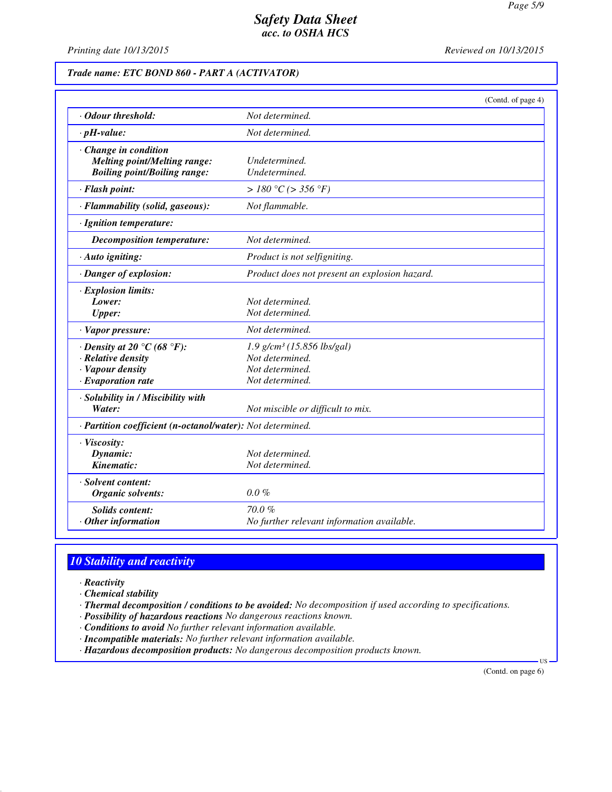*Printing date 10/13/2015 Reviewed on 10/13/2015*

## *Trade name: ETC BOND 860 - PART A (ACTIVATOR)*

|                                                                                                         | (Contd. of page 4)                                                                                |
|---------------------------------------------------------------------------------------------------------|---------------------------------------------------------------------------------------------------|
| Odour threshold:                                                                                        | Not determined.                                                                                   |
| $\cdot$ pH-value:                                                                                       | Not determined.                                                                                   |
| · Change in condition<br><b>Melting point/Melting range:</b><br><b>Boiling point/Boiling range:</b>     | Undetermined.<br>Undetermined.                                                                    |
| · Flash point:                                                                                          | $> 180$ °C ( $> 356$ °F)                                                                          |
| · Flammability (solid, gaseous):                                                                        | Not flammable.                                                                                    |
| · Ignition temperature:                                                                                 |                                                                                                   |
| <b>Decomposition temperature:</b>                                                                       | Not determined.                                                                                   |
| $\cdot$ Auto igniting:                                                                                  | Product is not selfigniting.                                                                      |
| · Danger of explosion:                                                                                  | Product does not present an explosion hazard.                                                     |
| $\cdot$ Explosion limits:<br>Lower:<br><b>Upper:</b>                                                    | Not determined.<br>Not determined.                                                                |
| · Vapor pressure:                                                                                       | Not determined.                                                                                   |
| $\cdot$ Density at 20 °C (68 °F):<br>· Relative density<br>· Vapour density<br>$\cdot$ Evaporation rate | $1.9$ g/cm <sup>3</sup> (15.856 lbs/gal)<br>Not determined.<br>Not determined.<br>Not determined. |
| · Solubility in / Miscibility with<br>Water:                                                            | Not miscible or difficult to mix.                                                                 |
| · Partition coefficient (n-octanol/water): Not determined.                                              |                                                                                                   |
| · Viscosity:<br>Dynamic:<br>Kinematic:                                                                  | Not determined.<br>Not determined.                                                                |
| · Solvent content:<br>Organic solvents:                                                                 | $0.0 \%$                                                                                          |
| <b>Solids</b> content:<br>$·$ Other information                                                         | 70.0%<br>No further relevant information available.                                               |

## *10 Stability and reactivity*

*· Reactivity*

*· Chemical stability*

*· Thermal decomposition / conditions to be avoided: No decomposition if used according to specifications.*

- *· Possibility of hazardous reactions No dangerous reactions known.*
- *· Conditions to avoid No further relevant information available.*
- *· Incompatible materials: No further relevant information available.*
- *· Hazardous decomposition products: No dangerous decomposition products known.*

(Contd. on page 6)

US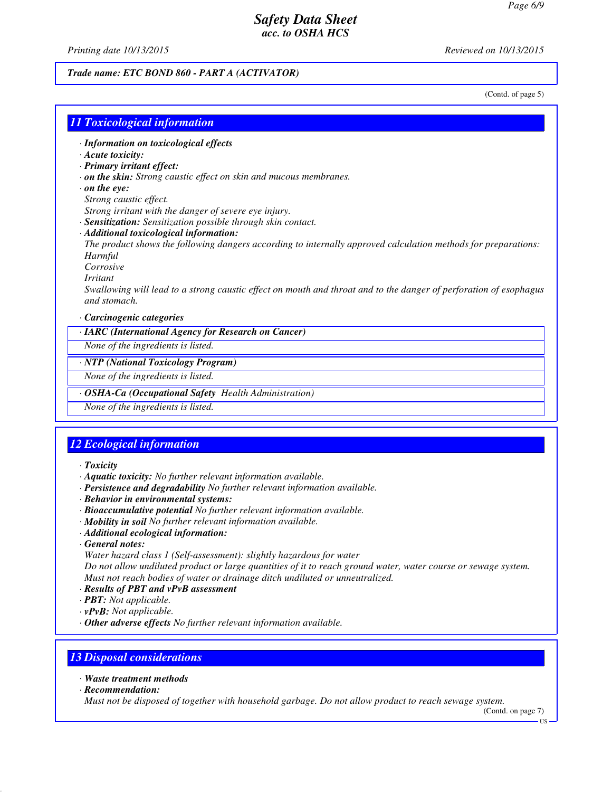*Printing date 10/13/2015 Reviewed on 10/13/2015*

#### *Trade name: ETC BOND 860 - PART A (ACTIVATOR)*

(Contd. of page 5)

### *11 Toxicological information*

*· Information on toxicological effects*

- *· Acute toxicity:*
- *· Primary irritant effect:*
- *· on the skin: Strong caustic effect on skin and mucous membranes.*
- *· on the eye:*
- *Strong caustic effect.*
- *Strong irritant with the danger of severe eye injury.*
- *· Sensitization: Sensitization possible through skin contact.*
- *· Additional toxicological information:*

*The product shows the following dangers according to internally approved calculation methods for preparations: Harmful*

- *Corrosive*
- *Irritant*

*Swallowing will lead to a strong caustic effect on mouth and throat and to the danger of perforation of esophagus and stomach.*

*· Carcinogenic categories*

*· IARC (International Agency for Research on Cancer)*

*None of the ingredients is listed.*

#### *· NTP (National Toxicology Program)*

*None of the ingredients is listed.*

*· OSHA-Ca (Occupational Safety Health Administration)*

*None of the ingredients is listed.*

### *12 Ecological information*

- *· Toxicity*
- *· Aquatic toxicity: No further relevant information available.*
- *· Persistence and degradability No further relevant information available.*
- *· Behavior in environmental systems:*
- *· Bioaccumulative potential No further relevant information available.*
- *· Mobility in soil No further relevant information available.*
- *· Additional ecological information:*
- *· General notes:*

*Water hazard class 1 (Self-assessment): slightly hazardous for water Do not allow undiluted product or large quantities of it to reach ground water, water course or sewage system. Must not reach bodies of water or drainage ditch undiluted or unneutralized.*

- *· Results of PBT and vPvB assessment*
- *· PBT: Not applicable.*
- *· vPvB: Not applicable.*
- *· Other adverse effects No further relevant information available.*

### *13 Disposal considerations*

- *· Waste treatment methods*
- *· Recommendation:*

*Must not be disposed of together with household garbage. Do not allow product to reach sewage system.*

(Contd. on page 7) US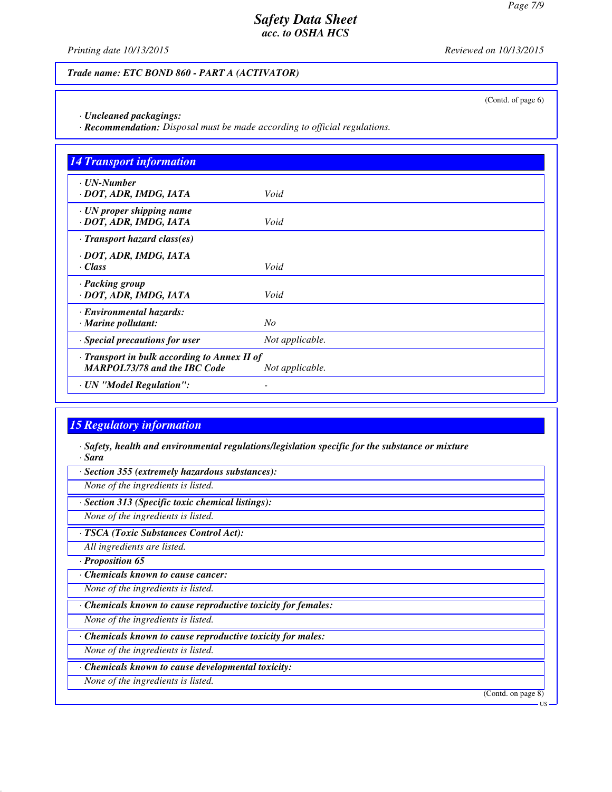*Printing date 10/13/2015 Reviewed on 10/13/2015*

(Contd. of page 6)

### *Trade name: ETC BOND 860 - PART A (ACTIVATOR)*

*· Uncleaned packagings:*

*· Recommendation: Disposal must be made according to official regulations.*

| <b>14 Transport information</b>                                                     |                 |
|-------------------------------------------------------------------------------------|-----------------|
| $\cdot$ UN-Number<br>· DOT, ADR, IMDG, IATA                                         | Void            |
| · UN proper shipping name<br>· DOT, ADR, IMDG, IATA                                 | Void            |
| $\cdot$ Transport hazard class(es)                                                  |                 |
| · DOT, ADR, IMDG, IATA<br>$\cdot$ Class                                             | Void            |
| · Packing group<br>· DOT, ADR, IMDG, IATA                                           | Void            |
| <b>Environmental hazards:</b><br>· Marine pollutant:                                | No              |
| · Special precautions for user                                                      | Not applicable. |
| · Transport in bulk according to Annex II of<br><b>MARPOL73/78 and the IBC Code</b> | Not applicable. |
| · UN "Model Regulation":                                                            |                 |

## *15 Regulatory information*

*· Safety, health and environmental regulations/legislation specific for the substance or mixture · Sara*

*· Section 355 (extremely hazardous substances):*

*None of the ingredients is listed.*

*· Section 313 (Specific toxic chemical listings):*

*None of the ingredients is listed.*

*· TSCA (Toxic Substances Control Act):*

*All ingredients are listed.*

*· Proposition 65*

*· Chemicals known to cause cancer:*

*None of the ingredients is listed.*

*· Chemicals known to cause reproductive toxicity for females:*

*None of the ingredients is listed.*

*· Chemicals known to cause reproductive toxicity for males:*

*None of the ingredients is listed.*

*· Chemicals known to cause developmental toxicity:*

*None of the ingredients is listed.*

(Contd. on page 8)

US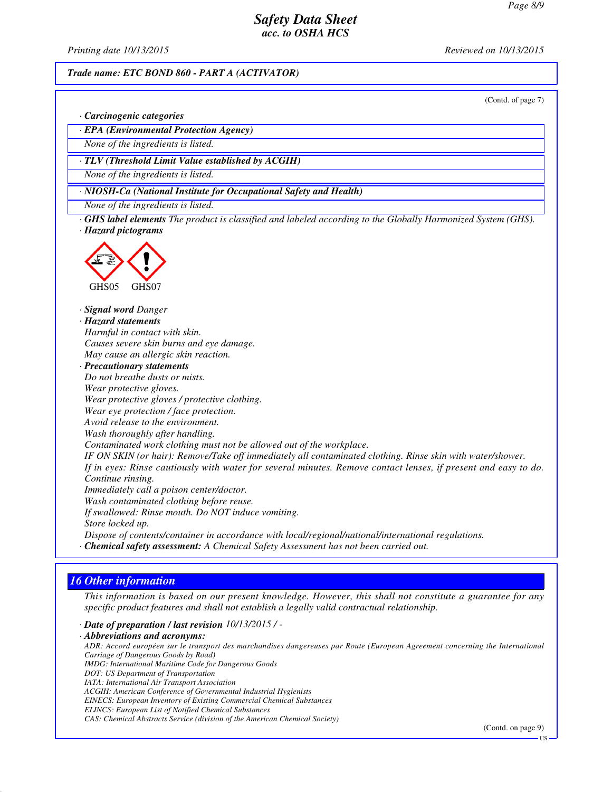*Printing date 10/13/2015 Reviewed on 10/13/2015*

#### *Trade name: ETC BOND 860 - PART A (ACTIVATOR)*

(Contd. of page 7)

*· Carcinogenic categories*

*· EPA (Environmental Protection Agency)*

*None of the ingredients is listed.*

*· TLV (Threshold Limit Value established by ACGIH)*

*None of the ingredients is listed.*

*· NIOSH-Ca (National Institute for Occupational Safety and Health)*

*None of the ingredients is listed.*

*· GHS label elements The product is classified and labeled according to the Globally Harmonized System (GHS). · Hazard pictograms*



*· Signal word Danger*

*· Hazard statements Harmful in contact with skin. Causes severe skin burns and eye damage.*

*May cause an allergic skin reaction.*

*· Precautionary statements Do not breathe dusts or mists.*

*Wear protective gloves.*

*Wear protective gloves / protective clothing.*

*Wear eye protection / face protection.*

*Avoid release to the environment.*

*Wash thoroughly after handling.*

*Contaminated work clothing must not be allowed out of the workplace.*

*IF ON SKIN (or hair): Remove/Take off immediately all contaminated clothing. Rinse skin with water/shower. If in eyes: Rinse cautiously with water for several minutes. Remove contact lenses, if present and easy to do. Continue rinsing.*

*Immediately call a poison center/doctor.*

*Wash contaminated clothing before reuse.*

*If swallowed: Rinse mouth. Do NOT induce vomiting.*

*Store locked up.*

*Dispose of contents/container in accordance with local/regional/national/international regulations. · Chemical safety assessment: A Chemical Safety Assessment has not been carried out.*

## *16 Other information*

*This information is based on our present knowledge. However, this shall not constitute a guarantee for any specific product features and shall not establish a legally valid contractual relationship.*

*· Date of preparation / last revision 10/13/2015 / -*

*· Abbreviations and acronyms:*

*ADR: Accord européen sur le transport des marchandises dangereuses par Route (European Agreement concerning the International Carriage of Dangerous Goods by Road) IMDG: International Maritime Code for Dangerous Goods*

*DOT: US Department of Transportation*

*IATA: International Air Transport Association*

*ACGIH: American Conference of Governmental Industrial Hygienists*

*EINECS: European Inventory of Existing Commercial Chemical Substances*

*ELINCS: European List of Notified Chemical Substances*

*CAS: Chemical Abstracts Service (division of the American Chemical Society)*

(Contd. on page 9)

US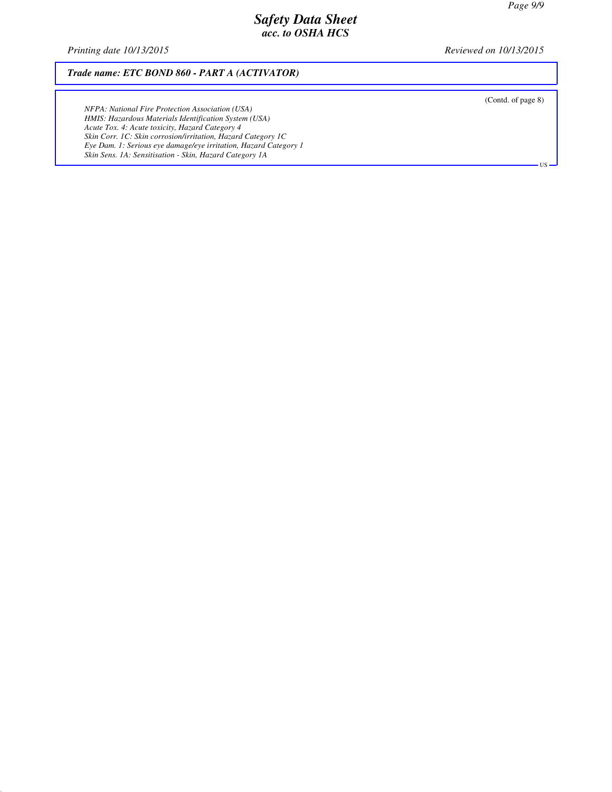*Printing date 10/13/2015 Reviewed on 10/13/2015*

*Trade name: ETC BOND 860 - PART A (ACTIVATOR)*

*NFPA: National Fire Protection Association (USA) HMIS: Hazardous Materials Identification System (USA) Acute Tox. 4: Acute toxicity, Hazard Category 4 Skin Corr. 1C: Skin corrosion/irritation, Hazard Category 1C Eye Dam. 1: Serious eye damage/eye irritation, Hazard Category 1 Skin Sens. 1A: Sensitisation - Skin, Hazard Category 1A*

(Contd. of page 8)

US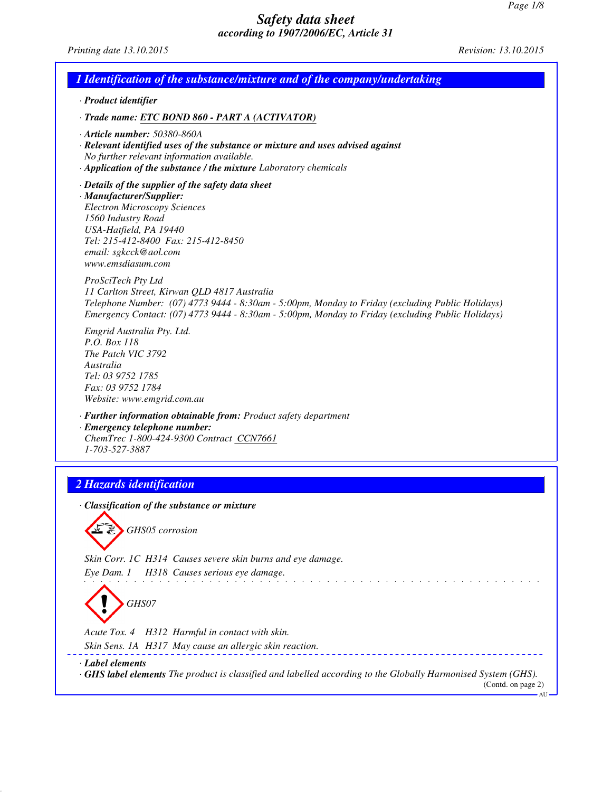*Printing date 13.10.2015 Revision: 13.10.2015*

|           | · Product identifier                                                                                                                                                                                                                                                        |
|-----------|-----------------------------------------------------------------------------------------------------------------------------------------------------------------------------------------------------------------------------------------------------------------------------|
|           | · Trade name: ETC BOND 860 - PART A (ACTIVATOR)                                                                                                                                                                                                                             |
|           | $\cdot$ Article number: 50380-860A<br>· Relevant identified uses of the substance or mixture and uses advised against<br>No further relevant information available.<br>· Application of the substance / the mixture Laboratory chemicals                                    |
|           | $\cdot$ Details of the supplier of the safety data sheet<br>· Manufacturer/Supplier:<br><b>Electron Microscopy Sciences</b><br>1560 Industry Road<br>USA-Hatfield, PA 19440<br>Tel: 215-412-8400 Fax: 215-412-8450<br>email: sgkcck@aol.com<br>www.emsdiasum.com            |
|           | ProSciTech Pty Ltd<br>11 Carlton Street, Kirwan QLD 4817 Australia<br>Telephone Number: (07) 4773 9444 - 8:30am - 5:00pm, Monday to Friday (excluding Public Holidays)<br>Emergency Contact: (07) 4773 9444 - 8:30am - 5:00pm, Monday to Friday (excluding Public Holidays) |
| Australia | Emgrid Australia Pty. Ltd.<br>P.O. Box 118<br>The Patch VIC 3792<br>Tel: 03 9752 1785<br>Fax: 03 9752 1784<br>Website: www.emgrid.com.au                                                                                                                                    |
|           | · Further information obtainable from: Product safety department<br>· Emergency telephone number:<br>ChemTrec 1-800-424-9300 Contract CCN7661<br>1-703-527-3887                                                                                                             |
|           | 2 Hazards identification                                                                                                                                                                                                                                                    |
|           |                                                                                                                                                                                                                                                                             |
|           | Classification of the substance or mixture<br>GHS05 corrosion                                                                                                                                                                                                               |
|           | Skin Corr. 1C H314 Causes severe skin burns and eye damage.                                                                                                                                                                                                                 |
|           | H318 Causes serious eye damage.<br>Eye Dam. 1<br>GHS07                                                                                                                                                                                                                      |
|           | Acute Tox. 4 H312 Harmful in contact with skin.                                                                                                                                                                                                                             |
|           | Skin Sens. 1A H317 May cause an allergic skin reaction.                                                                                                                                                                                                                     |

AU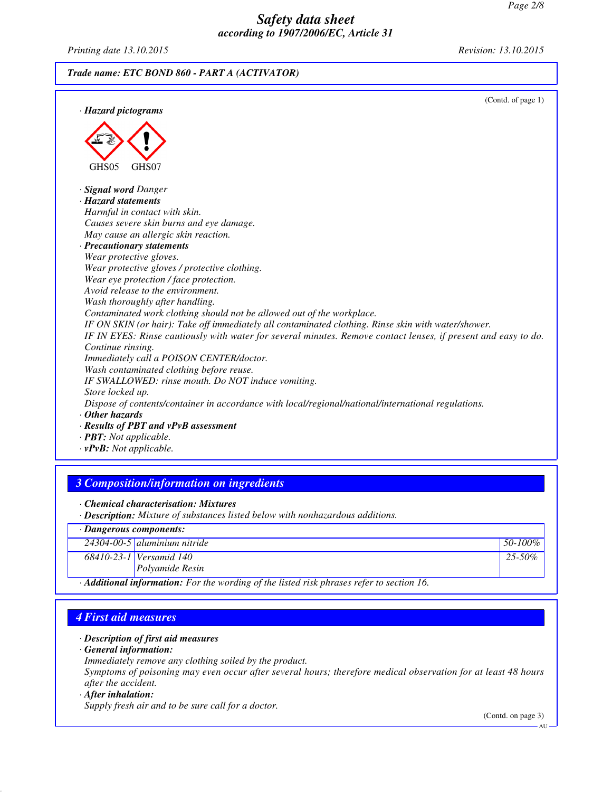*Printing date 13.10.2015 Revision: 13.10.2015*

*Trade name: ETC BOND 860 - PART A (ACTIVATOR)*

| · Hazard pictograms                                                                                            | (Contd. of page 1) |
|----------------------------------------------------------------------------------------------------------------|--------------------|
|                                                                                                                |                    |
|                                                                                                                |                    |
|                                                                                                                |                    |
| GHS <sub>05</sub><br>GHS07                                                                                     |                    |
|                                                                                                                |                    |
| <b>Signal word Danger</b>                                                                                      |                    |
| · Hazard statements                                                                                            |                    |
| Harmful in contact with skin.                                                                                  |                    |
| Causes severe skin burns and eye damage.                                                                       |                    |
| May cause an allergic skin reaction.                                                                           |                    |
| · Precautionary statements                                                                                     |                    |
| Wear protective gloves.                                                                                        |                    |
| Wear protective gloves / protective clothing.                                                                  |                    |
| Wear eye protection / face protection.                                                                         |                    |
| Avoid release to the environment.                                                                              |                    |
| Wash thoroughly after handling.                                                                                |                    |
| Contaminated work clothing should not be allowed out of the workplace.                                         |                    |
| IF ON SKIN (or hair): Take off immediately all contaminated clothing. Rinse skin with water/shower.            |                    |
| IF IN EYES: Rinse cautiously with water for several minutes. Remove contact lenses, if present and easy to do. |                    |
| Continue rinsing.                                                                                              |                    |
| Immediately call a POISON CENTER/doctor.                                                                       |                    |
| Wash contaminated clothing before reuse.                                                                       |                    |
| IF SWALLOWED: rinse mouth. Do NOT induce vomiting.                                                             |                    |
| Store locked up.                                                                                               |                    |
| Dispose of contents/container in accordance with local/regional/national/international regulations.            |                    |
| $\cdot$ Other hazards                                                                                          |                    |
| · Results of PBT and vPvB assessment                                                                           |                    |
| $\cdot$ <b>PBT:</b> Not applicable.                                                                            |                    |
| $\cdot v$ PvB: Not applicable.                                                                                 |                    |

## *3 Composition/information on ingredients*

*· Chemical characterisation: Mixtures*

*· Description: Mixture of substances listed below with nonhazardous additions.*

| · Dangerous components:                                                                                |                                    |              |  |
|--------------------------------------------------------------------------------------------------------|------------------------------------|--------------|--|
|                                                                                                        | $24304 - 00 - 5$ aluminium nitride | $ 50-100\% $ |  |
|                                                                                                        | $68410 - 23 - 1$ Versamid 140      | $25 - 50\%$  |  |
|                                                                                                        | <i>Polyamide Resin</i>             |              |  |
| $\cdot$ <b>Additional information:</b> For the wording of the listed risk phrases refer to section 16. |                                    |              |  |

## *4 First aid measures*

#### *· Description of first aid measures*

*· General information:*

*Immediately remove any clothing soiled by the product.*

*Symptoms of poisoning may even occur after several hours; therefore medical observation for at least 48 hours after the accident.*

#### *· After inhalation:*

*Supply fresh air and to be sure call for a doctor.*

(Contd. on page 3)

AU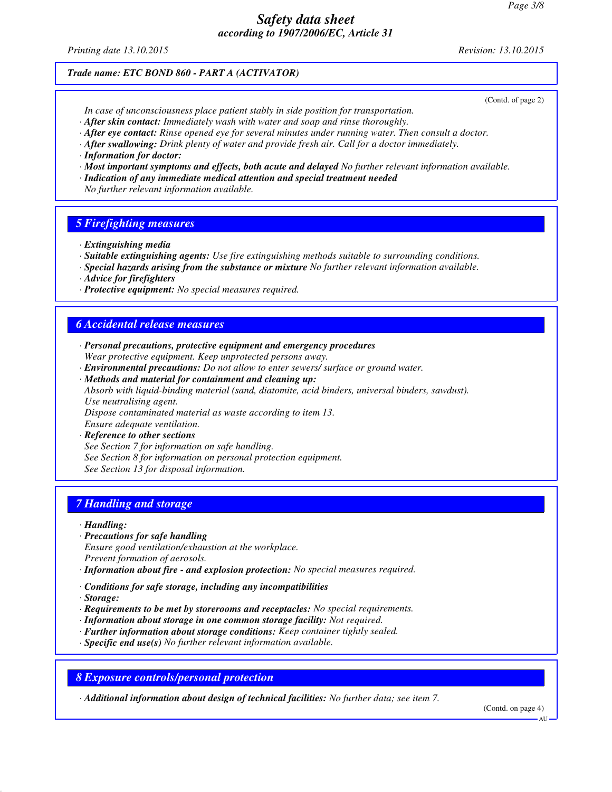*Printing date 13.10.2015 Revision: 13.10.2015*

### *Trade name: ETC BOND 860 - PART A (ACTIVATOR)*

(Contd. of page 2)

- *In case of unconsciousness place patient stably in side position for transportation.*
- *· After skin contact: Immediately wash with water and soap and rinse thoroughly.*
- *· After eye contact: Rinse opened eye for several minutes under running water. Then consult a doctor.*
- *· After swallowing: Drink plenty of water and provide fresh air. Call for a doctor immediately.*
- *· Information for doctor:*
- *· Most important symptoms and effects, both acute and delayed No further relevant information available.*
- *· Indication of any immediate medical attention and special treatment needed*
- *No further relevant information available.*

### *5 Firefighting measures*

- *· Extinguishing media*
- *· Suitable extinguishing agents: Use fire extinguishing methods suitable to surrounding conditions.*
- *· Special hazards arising from the substance or mixture No further relevant information available.*
- *· Advice for firefighters*
- *· Protective equipment: No special measures required.*

## *6 Accidental release measures*

- *· Personal precautions, protective equipment and emergency procedures Wear protective equipment. Keep unprotected persons away.*
- *· Environmental precautions: Do not allow to enter sewers/ surface or ground water.*
- *· Methods and material for containment and cleaning up: Absorb with liquid-binding material (sand, diatomite, acid binders, universal binders, sawdust). Use neutralising agent.*

*Dispose contaminated material as waste according to item 13.*

*Ensure adequate ventilation.*

- *· Reference to other sections*
- *See Section 7 for information on safe handling. See Section 8 for information on personal protection equipment.*
- 
- *See Section 13 for disposal information.*

## *7 Handling and storage*

- *· Handling:*
- *· Precautions for safe handling*
- *Ensure good ventilation/exhaustion at the workplace.*
- *Prevent formation of aerosols.*
- *· Information about fire and explosion protection: No special measures required.*
- *· Conditions for safe storage, including any incompatibilities*
- *· Storage:*
- *· Requirements to be met by storerooms and receptacles: No special requirements.*
- *· Information about storage in one common storage facility: Not required.*
- *· Further information about storage conditions: Keep container tightly sealed.*
- *· Specific end use(s) No further relevant information available.*

### *8 Exposure controls/personal protection*

*· Additional information about design of technical facilities: No further data; see item 7.*

(Contd. on page 4)

**AU**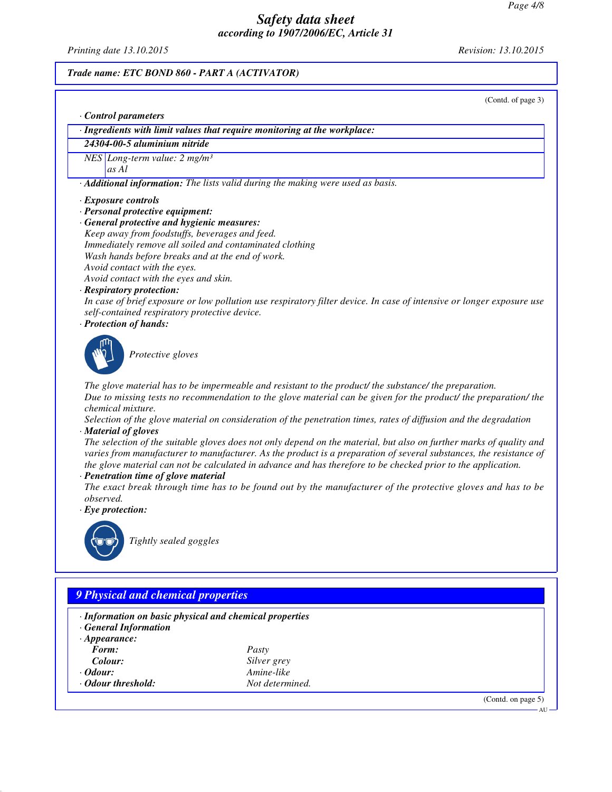*Printing date 13.10.2015 Revision: 13.10.2015*

## *Trade name: ETC BOND 860 - PART A (ACTIVATOR)*

(Contd. of page 3)

*· Control parameters*

*· Ingredients with limit values that require monitoring at the workplace:*

*24304-00-5 aluminium nitride*

*NES Long-term value: 2 mg/m³*

*as Al*

*· Additional information: The lists valid during the making were used as basis.*

- *· Exposure controls*
- *· Personal protective equipment:*
- *· General protective and hygienic measures:*
- *Keep away from foodstuffs, beverages and feed. Immediately remove all soiled and contaminated clothing Wash hands before breaks and at the end of work. Avoid contact with the eyes.*

*Avoid contact with the eyes and skin.*

*· Respiratory protection:*

*In case of brief exposure or low pollution use respiratory filter device. In case of intensive or longer exposure use self-contained respiratory protective device.*

*· Protection of hands:*



*Protective gloves*

*The glove material has to be impermeable and resistant to the product/ the substance/ the preparation. Due to missing tests no recommendation to the glove material can be given for the product/ the preparation/ the chemical mixture.*

*Selection of the glove material on consideration of the penetration times, rates of diffusion and the degradation · Material of gloves*

*The selection of the suitable gloves does not only depend on the material, but also on further marks of quality and varies from manufacturer to manufacturer. As the product is a preparation of several substances, the resistance of the glove material can not be calculated in advance and has therefore to be checked prior to the application.*

*· Penetration time of glove material*

*The exact break through time has to be found out by the manufacturer of the protective gloves and has to be observed.*

*· Eye protection:*



*Tightly sealed goggles*

## *9 Physical and chemical properties*

- *· Information on basic physical and chemical properties*
- *· General Information*
- *· Appearance: Form: Pasty*
- 
- 
- 
- *Colour: Silver grey · Odour: Amine-like · Odour threshold: Not determined.*

(Contd. on page 5)

AU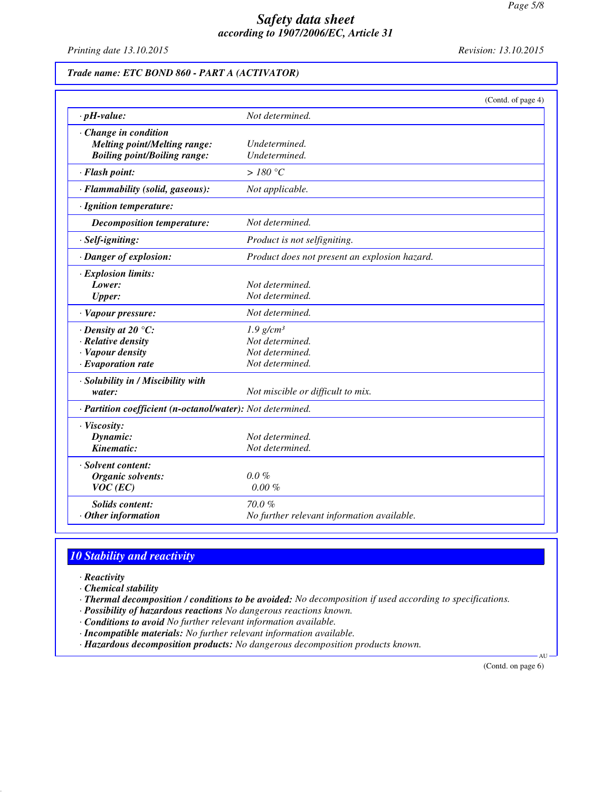*Printing date 13.10.2015 Revision: 13.10.2015*

### *Trade name: ETC BOND 860 - PART A (ACTIVATOR)*

|                                                            | (Contd. of page 4)                            |  |
|------------------------------------------------------------|-----------------------------------------------|--|
| $\cdot$ pH-value:                                          | Not determined.                               |  |
| Change in condition                                        |                                               |  |
| <b>Melting point/Melting range:</b>                        | Undetermined.                                 |  |
| <b>Boiling point/Boiling range:</b>                        | Undetermined.                                 |  |
| · Flash point:                                             | $>180\degree C$                               |  |
| · Flammability (solid, gaseous):                           | Not applicable.                               |  |
| · Ignition temperature:                                    |                                               |  |
| <b>Decomposition temperature:</b>                          | Not determined.                               |  |
| · Self-igniting:                                           | Product is not selfigniting.                  |  |
| · Danger of explosion:                                     | Product does not present an explosion hazard. |  |
| · Explosion limits:                                        |                                               |  |
| Lower:                                                     | Not determined.                               |  |
| <b>Upper:</b>                                              | Not determined.                               |  |
| · Vapour pressure:                                         | Not determined.                               |  |
| $\cdot$ Density at 20 $\degree$ C:                         | $1.9$ g/cm <sup>3</sup>                       |  |
| · Relative density                                         | Not determined.                               |  |
| · Vapour density                                           | Not determined.                               |  |
| · Evaporation rate                                         | Not determined.                               |  |
| · Solubility in / Miscibility with                         |                                               |  |
| water:                                                     | Not miscible or difficult to mix.             |  |
| · Partition coefficient (n-octanol/water): Not determined. |                                               |  |
| · Viscosity:                                               |                                               |  |
| Dynamic:                                                   | Not determined.                               |  |
| Kinematic:                                                 | Not determined.                               |  |
| · Solvent content:                                         |                                               |  |
| Organic solvents:                                          | $0.0\%$                                       |  |
| $VOC$ (EC)                                                 | $0.00 \%$                                     |  |
| <b>Solids content:</b>                                     | 70.0%                                         |  |
| $·$ Other information                                      | No further relevant information available.    |  |

# *10 Stability and reactivity*

- *· Reactivity*
- *· Chemical stability*
- *· Thermal decomposition / conditions to be avoided: No decomposition if used according to specifications.*
- *· Possibility of hazardous reactions No dangerous reactions known.*
- *· Conditions to avoid No further relevant information available.*
- *· Incompatible materials: No further relevant information available.*
- *· Hazardous decomposition products: No dangerous decomposition products known.*

(Contd. on page 6)

AU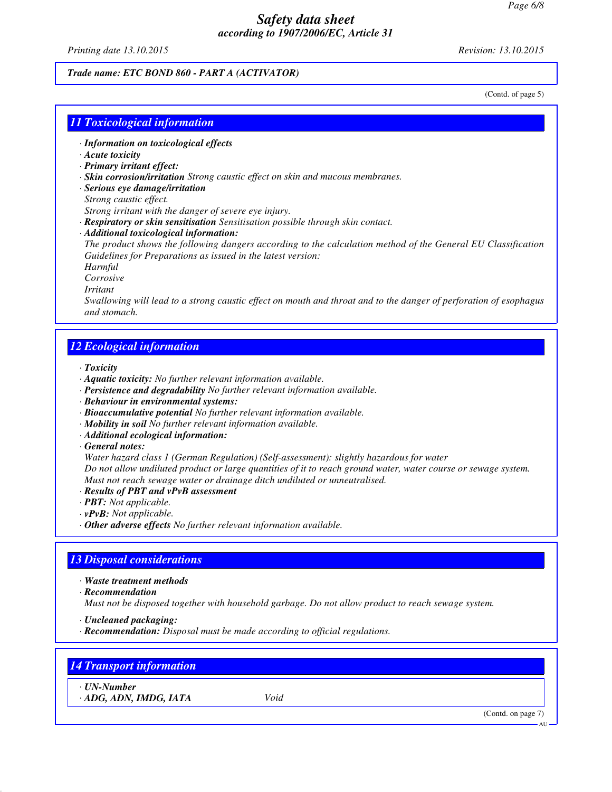*Printing date 13.10.2015 Revision: 13.10.2015*

#### *Trade name: ETC BOND 860 - PART A (ACTIVATOR)*

(Contd. of page 5)

### *11 Toxicological information*

- *· Information on toxicological effects*
- *· Acute toxicity*
- *· Primary irritant effect:*
- *· Skin corrosion/irritation Strong caustic effect on skin and mucous membranes.*
- *· Serious eye damage/irritation*
- *Strong caustic effect.*

*Strong irritant with the danger of severe eye injury.*

*· Respiratory or skin sensitisation Sensitisation possible through skin contact.*

*· Additional toxicological information:*

*The product shows the following dangers according to the calculation method of the General EU Classification Guidelines for Preparations as issued in the latest version:*

*Harmful*

*Corrosive*

*Irritant*

*Swallowing will lead to a strong caustic effect on mouth and throat and to the danger of perforation of esophagus and stomach.*

### *12 Ecological information*

*· Toxicity*

- *· Aquatic toxicity: No further relevant information available.*
- *· Persistence and degradability No further relevant information available.*
- *· Behaviour in environmental systems:*
- *· Bioaccumulative potential No further relevant information available.*
- *· Mobility in soil No further relevant information available.*
- *· Additional ecological information:*
- *· General notes:*

*Water hazard class 1 (German Regulation) (Self-assessment): slightly hazardous for water Do not allow undiluted product or large quantities of it to reach ground water, water course or sewage system. Must not reach sewage water or drainage ditch undiluted or unneutralised.*

- *· Results of PBT and vPvB assessment*
- *· PBT: Not applicable.*
- *· vPvB: Not applicable.*
- *· Other adverse effects No further relevant information available.*

## *13 Disposal considerations*

- *· Waste treatment methods*
- *· Recommendation*

*Must not be disposed together with household garbage. Do not allow product to reach sewage system.*

- *· Uncleaned packaging:*
- *· Recommendation: Disposal must be made according to official regulations.*

## *14 Transport information*

*· UN-Number*

*· ADG, ADN, IMDG, IATA Void*

(Contd. on page 7)

AU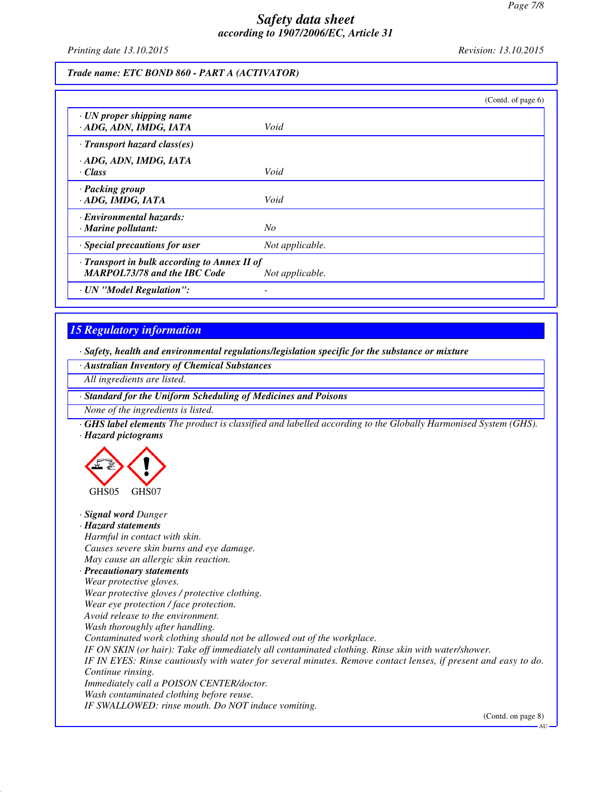*Printing date 13.10.2015 Revision: 13.10.2015*

#### *Trade name: ETC BOND 860 - PART A (ACTIVATOR)*

|                                                                                           | (Contd. of page $6$ ) |
|-------------------------------------------------------------------------------------------|-----------------------|
| $\cdot$ UN proper shipping name<br>· ADG, ADN, IMDG, IATA                                 | Void                  |
| $\cdot$ Transport hazard class(es)                                                        |                       |
| · ADG, ADN, IMDG, IATA<br>· Class                                                         | Void                  |
| · Packing group<br>· ADG, IMDG, IATA                                                      | Void                  |
| · Environmental hazards:<br>$\cdot$ Marine pollutant:                                     | No                    |
| · Special precautions for user                                                            | Not applicable.       |
| $\cdot$ Transport in bulk according to Annex II of<br><b>MARPOL73/78 and the IBC Code</b> | Not applicable.       |
| · UN "Model Regulation":                                                                  |                       |

## *15 Regulatory information*

*· Safety, health and environmental regulations/legislation specific for the substance or mixture*

*· Australian Inventory of Chemical Substances*

*All ingredients are listed.*

*· Standard for the Uniform Scheduling of Medicines and Poisons*

*None of the ingredients is listed.*

*· GHS label elements The product is classified and labelled according to the Globally Harmonised System (GHS). · Hazard pictograms*



*· Signal word Danger · Hazard statements Harmful in contact with skin. Causes severe skin burns and eye damage. May cause an allergic skin reaction. · Precautionary statements Wear protective gloves. Wear protective gloves / protective clothing. Wear eye protection / face protection. Avoid release to the environment. Wash thoroughly after handling. Contaminated work clothing should not be allowed out of the workplace. IF ON SKIN (or hair): Take off immediately all contaminated clothing. Rinse skin with water/shower. IF IN EYES: Rinse cautiously with water for several minutes. Remove contact lenses, if present and easy to do. Continue rinsing. Immediately call a POISON CENTER/doctor. Wash contaminated clothing before reuse. IF SWALLOWED: rinse mouth. Do NOT induce vomiting.*

(Contd. on page 8) AU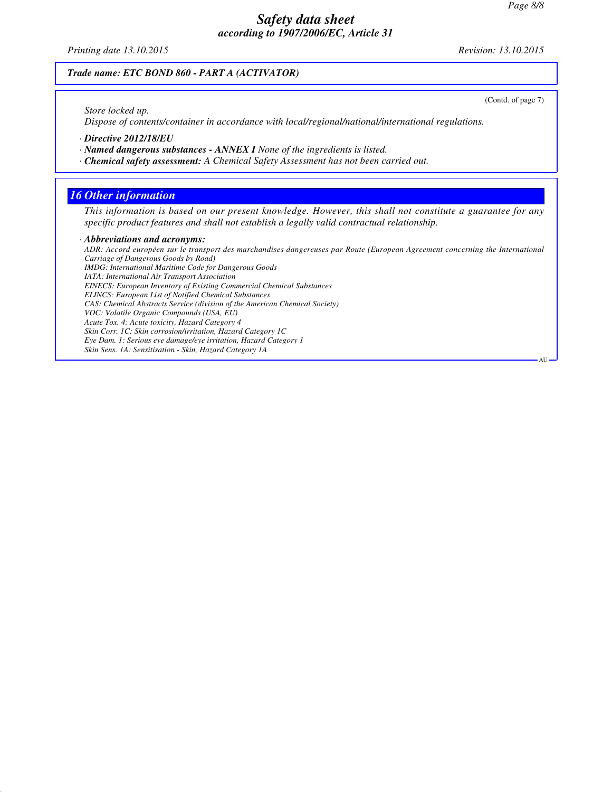*Printing date 13.10.2015 Revision: 13.10.2015*

#### *Trade name: ETC BOND 860 - PART A (ACTIVATOR)*

*Store locked up.*

*Dispose of contents/container in accordance with local/regional/national/international regulations.*

*· Directive 2012/18/EU*

*· Named dangerous substances - ANNEX I None of the ingredients is listed.*

*· Chemical safety assessment: A Chemical Safety Assessment has not been carried out.*

## *16 Other information*

*This information is based on our present knowledge. However, this shall not constitute a guarantee for any specific product features and shall not establish a legally valid contractual relationship.*

#### *· Abbreviations and acronyms:*

*ADR: Accord européen sur le transport des marchandises dangereuses par Route (European Agreement concerning the International Carriage of Dangerous Goods by Road) IMDG: International Maritime Code for Dangerous Goods IATA: International Air Transport Association EINECS: European Inventory of Existing Commercial Chemical Substances ELINCS: European List of Notified Chemical Substances CAS: Chemical Abstracts Service (division of the American Chemical Society) VOC: Volatile Organic Compounds (USA, EU) Acute Tox. 4: Acute toxicity, Hazard Category 4 Skin Corr. 1C: Skin corrosion/irritation, Hazard Category 1C Eye Dam. 1: Serious eye damage/eye irritation, Hazard Category 1 Skin Sens. 1A: Sensitisation - Skin, Hazard Category 1A*

(Contd. of page 7)

AU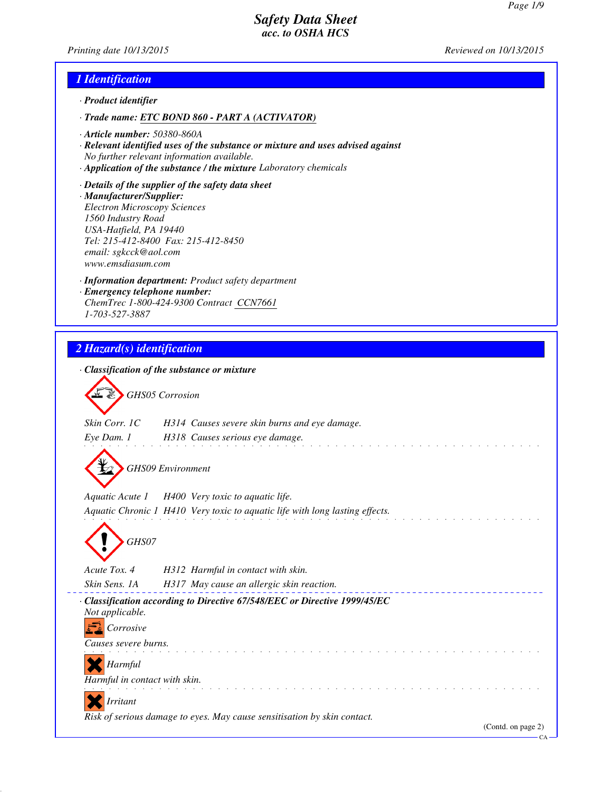*Printing date 10/13/2015 Reviewed on 10/13/2015*

## *1 Identification*

- *· Product identifier*
- *· Trade name: ETC BOND 860 PART A (ACTIVATOR)*
- *· Article number: 50380-860A*
- *· Relevant identified uses of the substance or mixture and uses advised against No further relevant information available.*
- *· Application of the substance / the mixture Laboratory chemicals*
- *· Details of the supplier of the safety data sheet · Manufacturer/Supplier: Electron Microscopy Sciences 1560 Industry Road USA-Hatfield, PA 19440 Tel: 215-412-8400 Fax: 215-412-8450 email: sgkcck@aol.com www.emsdiasum.com*
- *· Information department: Product safety department · Emergency telephone number: ChemTrec 1-800-424-9300 Contract CCN7661 1-703-527-3887*

## *2 Hazard(s) identification*

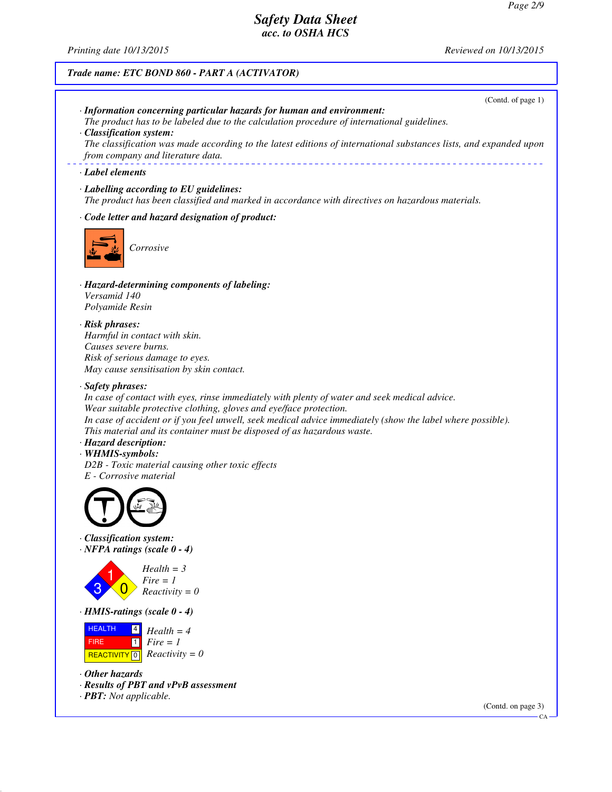*Printing date 10/13/2015 Reviewed on 10/13/2015*

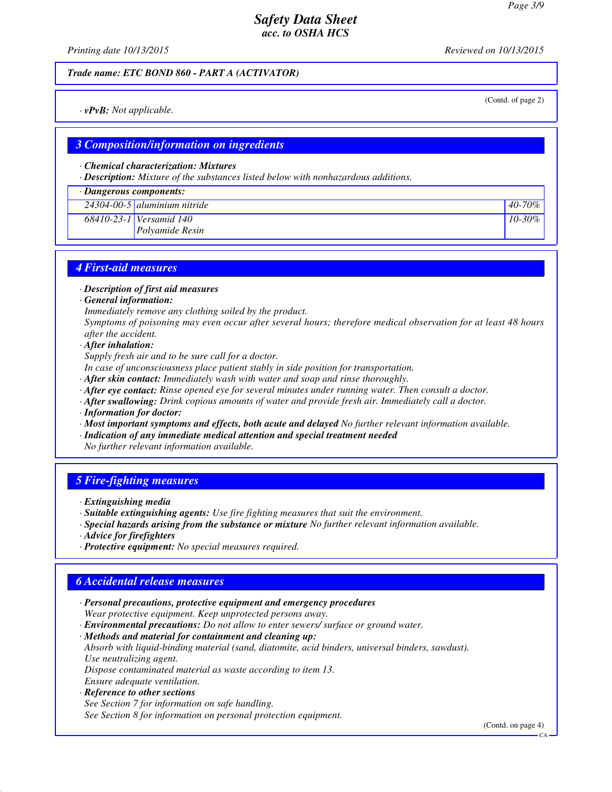*Printing date 10/13/2015 Reviewed on 10/13/2015*

(Contd. of page 2)

#### *Trade name: ETC BOND 860 - PART A (ACTIVATOR)*

*· vPvB: Not applicable.*

### *3 Composition/information on ingredients*

#### *· Chemical characterization: Mixtures*

*· Description: Mixture of the substances listed below with nonhazardous additions.*

#### *· Dangerous components:*

| $24304 - 00 - 5$ aluminium nitride | $40 - 70\%$ |
|------------------------------------|-------------|
| 68410-23-1 Versamid 140            | $10 - 30\%$ |
| <i>Polvamide Resin</i>             |             |

## *4 First-aid measures*

*· Description of first aid measures*

*· General information:*

*Immediately remove any clothing soiled by the product.*

*Symptoms of poisoning may even occur after several hours; therefore medical observation for at least 48 hours after the accident.*

*· After inhalation:*

*Supply fresh air and to be sure call for a doctor.*

*In case of unconsciousness place patient stably in side position for transportation.*

- *· After skin contact: Immediately wash with water and soap and rinse thoroughly.*
- *· After eye contact: Rinse opened eye for several minutes under running water. Then consult a doctor.*
- *· After swallowing: Drink copious amounts of water and provide fresh air. Immediately call a doctor.*
- *· Information for doctor:*
- *· Most important symptoms and effects, both acute and delayed No further relevant information available.*
- *· Indication of any immediate medical attention and special treatment needed*
- *No further relevant information available.*

### *5 Fire-fighting measures*

- *· Extinguishing media*
- *· Suitable extinguishing agents: Use fire fighting measures that suit the environment.*
- *· Special hazards arising from the substance or mixture No further relevant information available.*
- *· Advice for firefighters*
- *· Protective equipment: No special measures required.*

### *6 Accidental release measures*

*· Personal precautions, protective equipment and emergency procedures Wear protective equipment. Keep unprotected persons away.*

*· Environmental precautions: Do not allow to enter sewers/ surface or ground water.*

*· Methods and material for containment and cleaning up:*

*Absorb with liquid-binding material (sand, diatomite, acid binders, universal binders, sawdust). Use neutralizing agent.*

*Dispose contaminated material as waste according to item 13.*

*Ensure adequate ventilation.*

## *· Reference to other sections*

*See Section 7 for information on safe handling. See Section 8 for information on personal protection equipment.*

(Contd. on page 4)

CA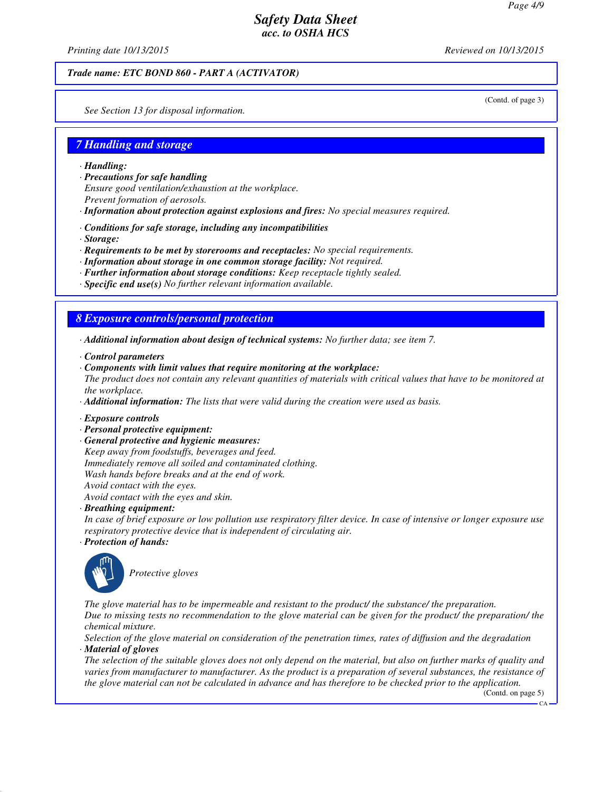*Printing date 10/13/2015 Reviewed on 10/13/2015*

#### *Trade name: ETC BOND 860 - PART A (ACTIVATOR)*

(Contd. of page 3)

*See Section 13 for disposal information.*

### *7 Handling and storage*

- *· Handling:*
- *· Precautions for safe handling Ensure good ventilation/exhaustion at the workplace. Prevent formation of aerosols.*
- *· Information about protection against explosions and fires: No special measures required.*
- *· Conditions for safe storage, including any incompatibilities*
- *· Storage:*
- *· Requirements to be met by storerooms and receptacles: No special requirements.*
- *· Information about storage in one common storage facility: Not required.*
- *· Further information about storage conditions: Keep receptacle tightly sealed.*
- *· Specific end use(s) No further relevant information available.*

#### *8 Exposure controls/personal protection*

- *· Additional information about design of technical systems: No further data; see item 7.*
- *· Control parameters*
- *· Components with limit values that require monitoring at the workplace: The product does not contain any relevant quantities of materials with critical values that have to be monitored at the workplace.*
- *· Additional information: The lists that were valid during the creation were used as basis.*
- *· Exposure controls*
- *· Personal protective equipment:*
- *· General protective and hygienic measures:*
- *Keep away from foodstuffs, beverages and feed. Immediately remove all soiled and contaminated clothing. Wash hands before breaks and at the end of work. Avoid contact with the eyes. Avoid contact with the eyes and skin.*
- *· Breathing equipment:*
- *In case of brief exposure or low pollution use respiratory filter device. In case of intensive or longer exposure use respiratory protective device that is independent of circulating air.*
- *· Protection of hands:*



*Protective gloves*

*The glove material has to be impermeable and resistant to the product/ the substance/ the preparation. Due to missing tests no recommendation to the glove material can be given for the product/ the preparation/ the chemical mixture.*

*Selection of the glove material on consideration of the penetration times, rates of diffusion and the degradation · Material of gloves*

*The selection of the suitable gloves does not only depend on the material, but also on further marks of quality and varies from manufacturer to manufacturer. As the product is a preparation of several substances, the resistance of the glove material can not be calculated in advance and has therefore to be checked prior to the application.*

(Contd. on page 5)

 $\alpha$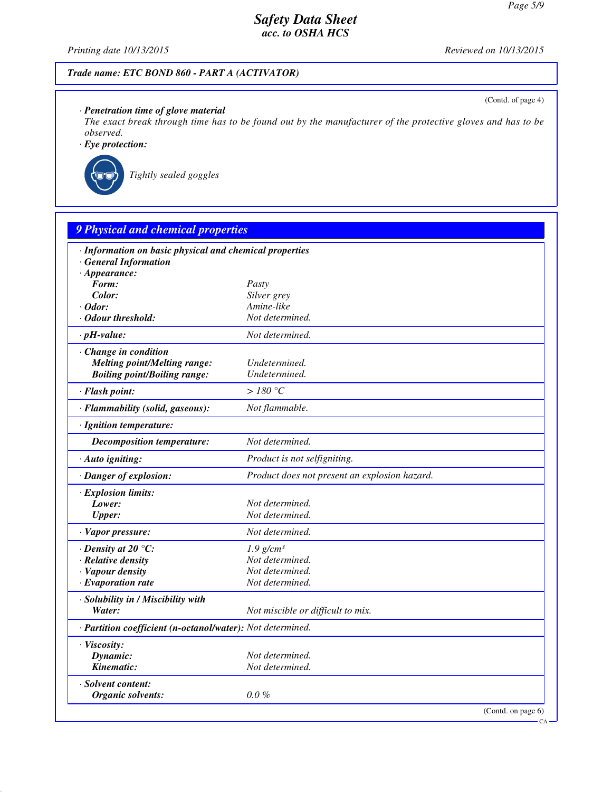*Printing date 10/13/2015 Reviewed on 10/13/2015*

(Contd. of page 4)

CA

## *Trade name: ETC BOND 860 - PART A (ACTIVATOR)*

## *· Penetration time of glove material*

*The exact break through time has to be found out by the manufacturer of the protective gloves and has to be observed.*

*· Eye protection:*



*Tightly sealed goggles*

| · Information on basic physical and chemical properties    |                                               |  |
|------------------------------------------------------------|-----------------------------------------------|--|
| <b>General Information</b>                                 |                                               |  |
| $\cdot$ Appearance:                                        |                                               |  |
| Form:                                                      | Pasty                                         |  |
| Color:                                                     | Silver grey                                   |  |
| $\cdot$ Odor:                                              | Amine-like                                    |  |
| · Odour threshold:                                         | Not determined.                               |  |
| $\cdot$ pH-value:                                          | Not determined.                               |  |
| Change in condition                                        |                                               |  |
| <b>Melting point/Melting range:</b>                        | Undetermined.                                 |  |
| <b>Boiling point/Boiling range:</b>                        | Undetermined.                                 |  |
| · Flash point:                                             | > 180 °C                                      |  |
| · Flammability (solid, gaseous):                           | Not flammable.                                |  |
| · Ignition temperature:                                    |                                               |  |
| <b>Decomposition temperature:</b>                          | Not determined.                               |  |
| · Auto igniting:                                           | Product is not selfigniting.                  |  |
| · Danger of explosion:                                     | Product does not present an explosion hazard. |  |
| · Explosion limits:                                        |                                               |  |
| Lower:                                                     | Not determined.                               |  |
| <b>Upper:</b>                                              | Not determined.                               |  |
| · Vapor pressure:                                          | Not determined.                               |  |
| $\cdot$ Density at 20 $\degree$ C:                         | $1.9$ g/cm <sup>3</sup>                       |  |
| · Relative density                                         | Not determined.                               |  |
| · Vapour density                                           | Not determined.                               |  |
| $\cdot$ Evaporation rate                                   | Not determined.                               |  |
| · Solubility in / Miscibility with                         |                                               |  |
| Water:                                                     | Not miscible or difficult to mix.             |  |
| · Partition coefficient (n-octanol/water): Not determined. |                                               |  |
| · Viscosity:                                               |                                               |  |
| Dynamic:                                                   | Not determined.                               |  |
| Kinematic:                                                 | Not determined.                               |  |
| · Solvent content:                                         |                                               |  |
| Organic solvents:                                          | $0.0\%$                                       |  |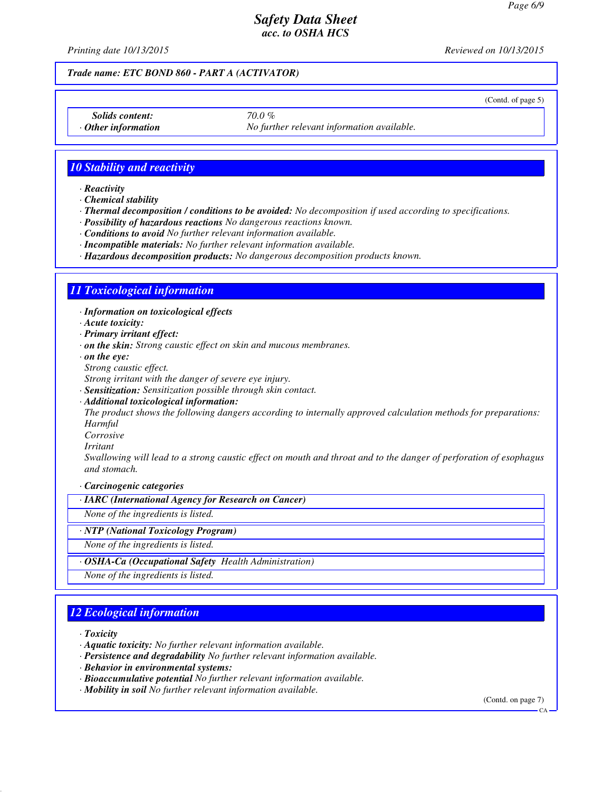*Printing date 10/13/2015 Reviewed on 10/13/2015*

#### *Trade name: ETC BOND 860 - PART A (ACTIVATOR)*

(Contd. of page 5)

*Solids content: 70.0 %*

*Other information No further relevant information available.* 

*10 Stability and reactivity*

*· Reactivity*

*· Chemical stability*

*· Thermal decomposition / conditions to be avoided: No decomposition if used according to specifications.*

*· Possibility of hazardous reactions No dangerous reactions known.*

*· Conditions to avoid No further relevant information available.*

*· Incompatible materials: No further relevant information available.*

*· Hazardous decomposition products: No dangerous decomposition products known.*

## *11 Toxicological information*

*· Information on toxicological effects*

*· Acute toxicity:*

*· Primary irritant effect:*

*· on the skin: Strong caustic effect on skin and mucous membranes.*

*· on the eye:*

*Strong caustic effect.*

*Strong irritant with the danger of severe eye injury.*

*· Sensitization: Sensitization possible through skin contact.*

*· Additional toxicological information:*

*The product shows the following dangers according to internally approved calculation methods for preparations: Harmful*

*Corrosive*

*Irritant*

*Swallowing will lead to a strong caustic effect on mouth and throat and to the danger of perforation of esophagus and stomach.*

*· Carcinogenic categories*

*· IARC (International Agency for Research on Cancer)*

*None of the ingredients is listed.*

*· NTP (National Toxicology Program)*

*None of the ingredients is listed.*

*· OSHA-Ca (Occupational Safety Health Administration)*

*None of the ingredients is listed.*

## *12 Ecological information*

*· Toxicity*

*· Aquatic toxicity: No further relevant information available.*

*· Persistence and degradability No further relevant information available.*

*· Behavior in environmental systems:*

- *· Bioaccumulative potential No further relevant information available.*
- *· Mobility in soil No further relevant information available.*

(Contd. on page 7)

CA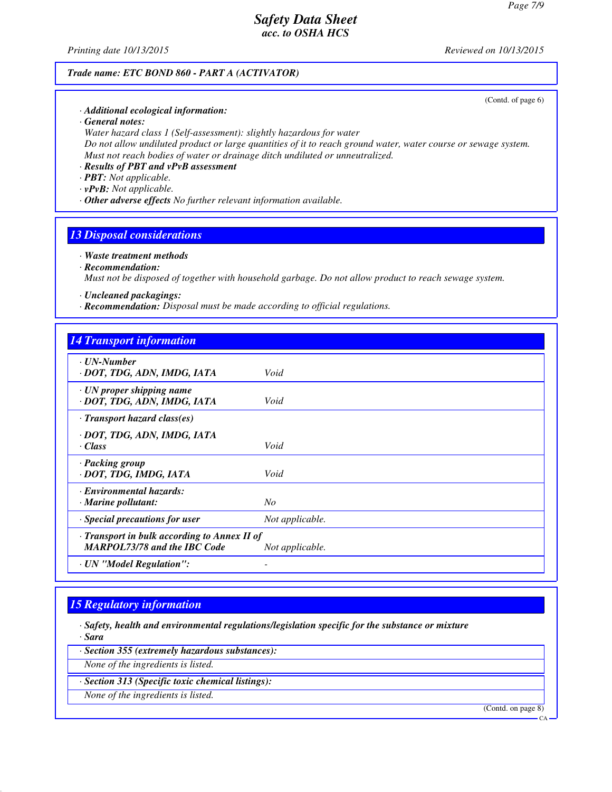*Printing date 10/13/2015 Reviewed on 10/13/2015*

### *Trade name: ETC BOND 860 - PART A (ACTIVATOR)*

(Contd. of page 6)

- *· Additional ecological information:*
- *· General notes:*

*Water hazard class 1 (Self-assessment): slightly hazardous for water Do not allow undiluted product or large quantities of it to reach ground water, water course or sewage system. Must not reach bodies of water or drainage ditch undiluted or unneutralized.*

- *· Results of PBT and vPvB assessment*
- *· PBT: Not applicable.*
- *· vPvB: Not applicable.*
- *· Other adverse effects No further relevant information available.*

### *13 Disposal considerations*

#### *· Waste treatment methods*

## *· Recommendation:*

*Must not be disposed of together with household garbage. Do not allow product to reach sewage system.*

- *· Uncleaned packagings:*
- *· Recommendation: Disposal must be made according to official regulations.*

### *14 Transport information*

| $\cdot$ UN-Number<br>· DOT, TDG, ADN, IMDG, IATA                                    | Void            |
|-------------------------------------------------------------------------------------|-----------------|
| $\cdot$ UN proper shipping name<br>· DOT, TDG, ADN, IMDG, IATA                      | Void            |
| $\cdot$ Transport hazard class(es)                                                  |                 |
| · DOT, TDG, ADN, IMDG, IATA<br>· Class                                              | Void            |
| · Packing group<br>· DOT, TDG, IMDG, IATA                                           | Void            |
| · Environmental hazards:<br>$\cdot$ Marine pollutant:                               | No              |
| · Special precautions for user                                                      | Not applicable. |
| · Transport in bulk according to Annex II of<br><b>MARPOL73/78 and the IBC Code</b> | Not applicable. |
| · UN "Model Regulation":                                                            |                 |

## *15 Regulatory information*

*· Safety, health and environmental regulations/legislation specific for the substance or mixture · Sara*

*· Section 355 (extremely hazardous substances):*

*None of the ingredients is listed.*

*· Section 313 (Specific toxic chemical listings):*

*None of the ingredients is listed.*

(Contd. on page 8)

 $CA$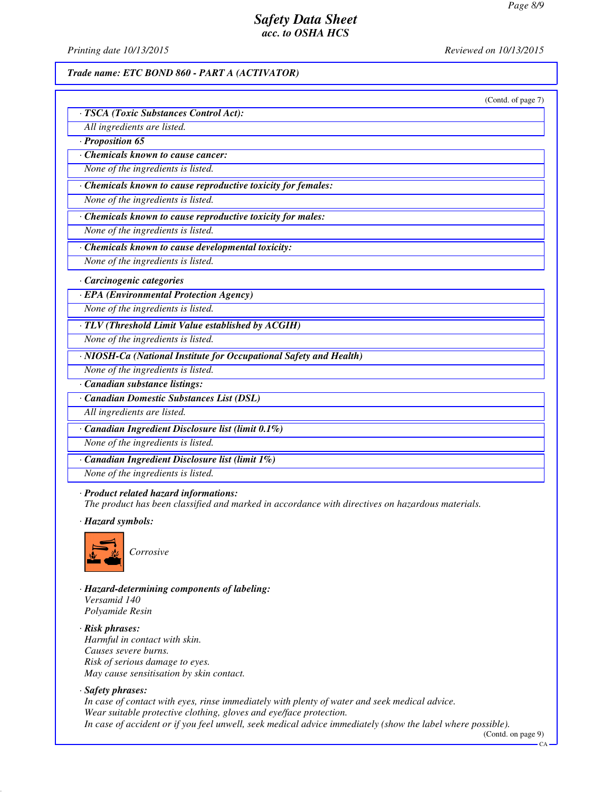*Printing date 10/13/2015 Reviewed on 10/13/2015*

#### *Trade name: ETC BOND 860 - PART A (ACTIVATOR)*

| (Contd. of page 7)                                                 |
|--------------------------------------------------------------------|
| · TSCA (Toxic Substances Control Act):                             |
| All ingredients are listed.                                        |
| $\cdot$ Proposition 65                                             |
| Chemicals known to cause cancer:                                   |
| None of the ingredients is listed.                                 |
| · Chemicals known to cause reproductive toxicity for females:      |
| None of the ingredients is listed.                                 |
| · Chemicals known to cause reproductive toxicity for males:        |
| None of the ingredients is listed.                                 |
| · Chemicals known to cause developmental toxicity:                 |
| None of the ingredients is listed.                                 |
| Carcinogenic categories                                            |
| · EPA (Environmental Protection Agency)                            |
| None of the ingredients is listed.                                 |
| · TLV (Threshold Limit Value established by ACGIH)                 |
| None of the ingredients is listed.                                 |
| · NIOSH-Ca (National Institute for Occupational Safety and Health) |
| None of the ingredients is listed.                                 |
| · Canadian substance listings:                                     |
| Canadian Domestic Substances List (DSL)                            |
| All ingredients are listed.                                        |
| · Canadian Ingredient Disclosure list (limit 0.1%)                 |
| None of the ingredients is listed.                                 |
| · Canadian Ingredient Disclosure list (limit 1%)                   |
| None of the ingredients is listed.                                 |
| · Product related hazard informations:                             |

*The product has been classified and marked in accordance with directives on hazardous materials.*

*· Hazard symbols:*



*Corrosive*

*· Hazard-determining components of labeling: Versamid 140 Polyamide Resin*

*· Risk phrases: Harmful in contact with skin. Causes severe burns. Risk of serious damage to eyes. May cause sensitisation by skin contact.*

#### *· Safety phrases:*

*In case of contact with eyes, rinse immediately with plenty of water and seek medical advice. Wear suitable protective clothing, gloves and eye/face protection. In case of accident or if you feel unwell, seek medical advice immediately (show the label where possible).*

(Contd. on page 9)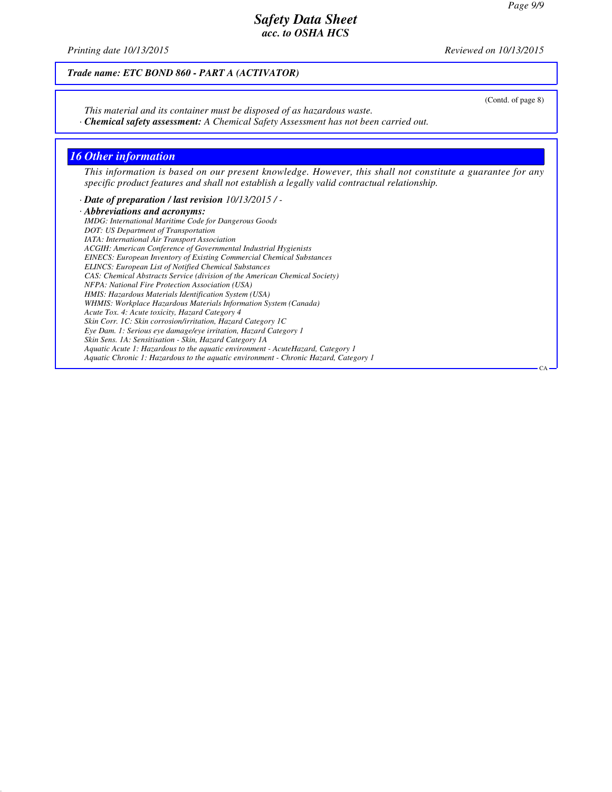*Printing date 10/13/2015 Reviewed on 10/13/2015*

*Trade name: ETC BOND 860 - PART A (ACTIVATOR)*

*This material and its container must be disposed of as hazardous waste.*

*· Chemical safety assessment: A Chemical Safety Assessment has not been carried out.*

### *16 Other information*

*This information is based on our present knowledge. However, this shall not constitute a guarantee for any specific product features and shall not establish a legally valid contractual relationship.*

*· Date of preparation / last revision 10/13/2015 / -*

*· Abbreviations and acronyms: IMDG: International Maritime Code for Dangerous Goods DOT: US Department of Transportation IATA: International Air Transport Association ACGIH: American Conference of Governmental Industrial Hygienists EINECS: European Inventory of Existing Commercial Chemical Substances ELINCS: European List of Notified Chemical Substances CAS: Chemical Abstracts Service (division of the American Chemical Society) NFPA: National Fire Protection Association (USA) HMIS: Hazardous Materials Identification System (USA) WHMIS: Workplace Hazardous Materials Information System (Canada) Acute Tox. 4: Acute toxicity, Hazard Category 4 Skin Corr. 1C: Skin corrosion/irritation, Hazard Category 1C Eye Dam. 1: Serious eye damage/eye irritation, Hazard Category 1 Skin Sens. 1A: Sensitisation - Skin, Hazard Category 1A Aquatic Acute 1: Hazardous to the aquatic environment - AcuteHazard, Category 1 Aquatic Chronic 1: Hazardous to the aquatic environment - Chronic Hazard, Category 1* (Contd. of page 8)

CA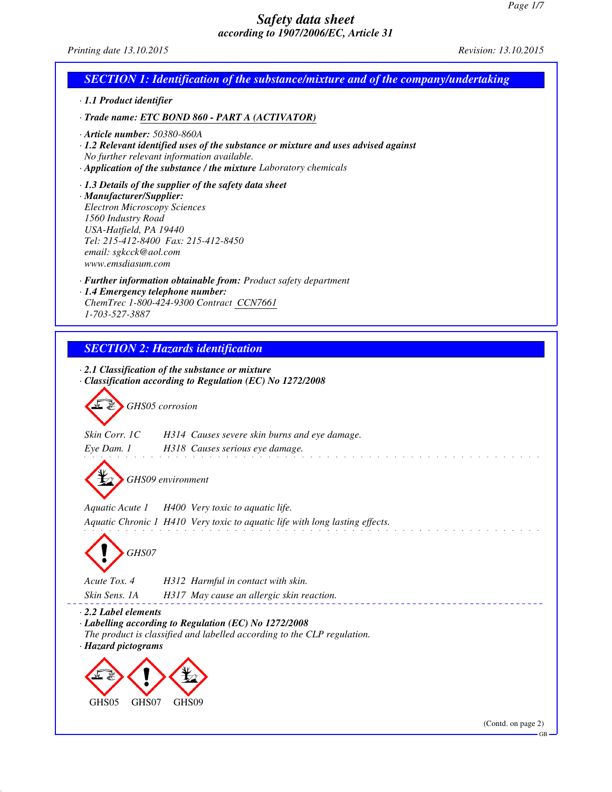*Printing date 13.10.2015 Revision: 13.10.2015*

| <b>SECTION 1: Identification of the substance/mixture and of the company/undertaking</b>                                                                                                                                                                             |
|----------------------------------------------------------------------------------------------------------------------------------------------------------------------------------------------------------------------------------------------------------------------|
| · 1.1 Product identifier                                                                                                                                                                                                                                             |
| · Trade name: ETC BOND 860 - PART A (ACTIVATOR)                                                                                                                                                                                                                      |
| $\cdot$ Article number: 50380-860A<br>· 1.2 Relevant identified uses of the substance or mixture and uses advised against<br>No further relevant information available.<br>· Application of the substance / the mixture Laboratory chemicals                         |
| $\cdot$ 1.3 Details of the supplier of the safety data sheet<br>· Manufacturer/Supplier:<br><b>Electron Microscopy Sciences</b><br>1560 Industry Road<br>USA-Hatfield, PA 19440<br>Tel: 215-412-8400 Fax: 215-412-8450<br>email: sgkcck@aol.com<br>www.emsdiasum.com |
| · Further information obtainable from: Product safety department<br>· 1.4 Emergency telephone number:<br>ChemTrec 1-800-424-9300 Contract CCN7661<br>1-703-527-3887                                                                                                  |
|                                                                                                                                                                                                                                                                      |
| <b>SECTION 2: Hazards identification</b>                                                                                                                                                                                                                             |
| $\cdot$ 2.1 Classification of the substance or mixture<br>Classification according to Regulation (EC) No 1272/2008<br>GHS05 corrosion                                                                                                                                |
| Skin Corr. 1C<br>H314 Causes severe skin burns and eye damage.                                                                                                                                                                                                       |
| Eye Dam. 1 H318 Causes serious eye damage.                                                                                                                                                                                                                           |
| GHS09 environment                                                                                                                                                                                                                                                    |
| Aquatic Acute 1<br>H400 Very toxic to aquatic life.                                                                                                                                                                                                                  |
| Aquatic Chronic 1 H410 Very toxic to aquatic life with long lasting effects.                                                                                                                                                                                         |
| GHS07                                                                                                                                                                                                                                                                |
| Acute Tox. 4<br>H312 Harmful in contact with skin.                                                                                                                                                                                                                   |
| Skin Sens. 1A<br>H317 May cause an allergic skin reaction.                                                                                                                                                                                                           |
| $\cdot$ 2.2 Label elements<br>· Labelling according to Regulation (EC) No 1272/2008<br>The product is classified and labelled according to the CLP regulation.<br>· Hazard pictograms                                                                                |
|                                                                                                                                                                                                                                                                      |
| GHS07<br>GHS05<br>GHS09                                                                                                                                                                                                                                              |
| (Contd. on page 2)<br><b>GB</b>                                                                                                                                                                                                                                      |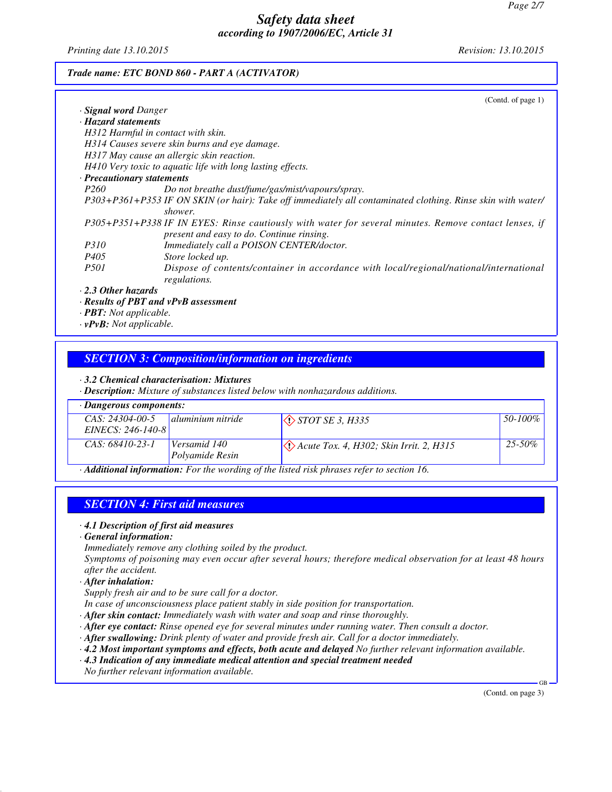*Printing date 13.10.2015 Revision: 13.10.2015*

### *Trade name: ETC BOND 860 - PART A (ACTIVATOR)*

|                            | (Contd. of page $1$ )                                                                                                                                           |
|----------------------------|-----------------------------------------------------------------------------------------------------------------------------------------------------------------|
| <b>Signal word Danger</b>  |                                                                                                                                                                 |
| · Hazard statements        |                                                                                                                                                                 |
|                            | H312 Harmful in contact with skin.                                                                                                                              |
|                            | H314 Causes severe skin burns and eye damage.                                                                                                                   |
|                            | H317 May cause an allergic skin reaction.                                                                                                                       |
|                            | H410 Very toxic to aquatic life with long lasting effects.                                                                                                      |
| · Precautionary statements |                                                                                                                                                                 |
| <i>P260</i>                | Do not breathe dust/fume/gas/mist/vapours/spray.                                                                                                                |
|                            | P303+P361+P353 IF ON SKIN (or hair): Take off immediately all contaminated clothing. Rinse skin with water/<br>shower.                                          |
|                            | P305+P351+P338 IF IN EYES: Rinse cautiously with water for several minutes. Remove contact lenses, if<br>present and easy to do. Continue rinsing.              |
| <i>P310</i>                | Immediately call a POISON CENTER/doctor.                                                                                                                        |
| <i>P405</i>                | Store locked up.                                                                                                                                                |
| <i>P501</i>                | Dispose of contents/container in accordance with local/regional/national/international<br>regulations.                                                          |
| $\cdot$ 2.3 Other hazards  |                                                                                                                                                                 |
|                            | $\boldsymbol{p}_{\text{asulta}}$ of $\boldsymbol{D}\boldsymbol{D}\boldsymbol{T}$ and $\boldsymbol{v}$ . $\boldsymbol{D}\boldsymbol{v}\boldsymbol{D}$ assessment |

*· Results of PBT and vPvB assessment*

*· PBT: Not applicable.*

*· vPvB: Not applicable.*

### *SECTION 3: Composition/information on ingredients*

*· 3.2 Chemical characterisation: Mixtures*

*· Description: Mixture of substances listed below with nonhazardous additions.*

| · Dangerous components:                                                                       |                            |                                                                 |             |
|-----------------------------------------------------------------------------------------------|----------------------------|-----------------------------------------------------------------|-------------|
| CAS: 24304-00-5                                                                               | <b>d</b> aluminium nitride | $\Diamond$ <i>STOT SE 3, H335</i>                               | 50-100%     |
| EINECS: 246-140-8                                                                             |                            |                                                                 |             |
| $CAS: 68410-23-1$                                                                             | Versamid 140               | $\langle \cdot \rangle$ Acute Tox. 4, H302; Skin Irrit. 2, H315 | $25 - 50\%$ |
|                                                                                               | Polvamide Resin            |                                                                 |             |
| A Distance Description of the Courthographics of the listed right phonons ushed to section 16 |                            |                                                                 |             |

*· Additional information: For the wording of the listed risk phrases refer to section 16.*

## *SECTION 4: First aid measures*

#### *· 4.1 Description of first aid measures*

*· General information:*

*Immediately remove any clothing soiled by the product.*

*Symptoms of poisoning may even occur after several hours; therefore medical observation for at least 48 hours after the accident.*

*· After inhalation:*

*Supply fresh air and to be sure call for a doctor.*

*In case of unconsciousness place patient stably in side position for transportation.*

- *· After skin contact: Immediately wash with water and soap and rinse thoroughly.*
- *· After eye contact: Rinse opened eye for several minutes under running water. Then consult a doctor.*
- *· After swallowing: Drink plenty of water and provide fresh air. Call for a doctor immediately.*
- *· 4.2 Most important symptoms and effects, both acute and delayed No further relevant information available.*
- *· 4.3 Indication of any immediate medical attention and special treatment needed*

*No further relevant information available.*

(Contd. on page 3)

GB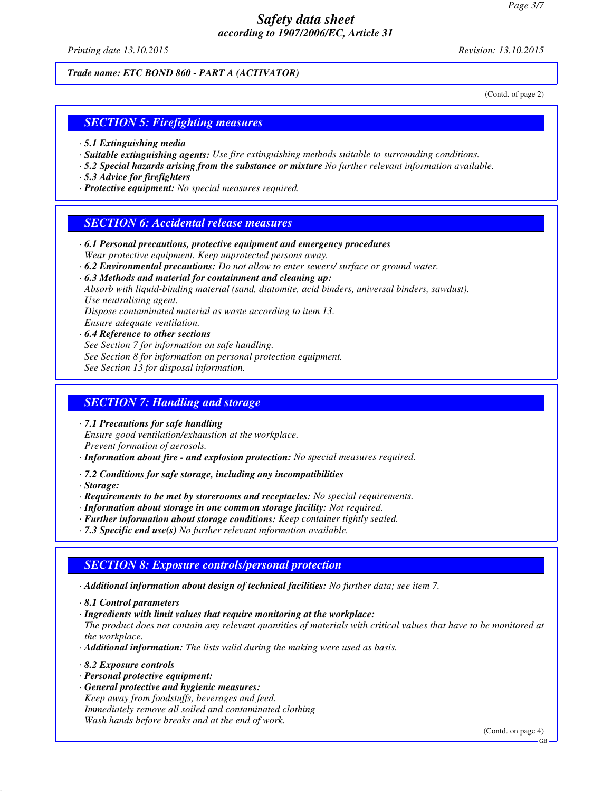*Printing date 13.10.2015 Revision: 13.10.2015*

*Trade name: ETC BOND 860 - PART A (ACTIVATOR)*

(Contd. of page 2)

## *SECTION 5: Firefighting measures*

- *· 5.1 Extinguishing media*
- *· Suitable extinguishing agents: Use fire extinguishing methods suitable to surrounding conditions.*
- *· 5.2 Special hazards arising from the substance or mixture No further relevant information available.*
- *· 5.3 Advice for firefighters*
- *· Protective equipment: No special measures required.*

### *SECTION 6: Accidental release measures*

- *· 6.1 Personal precautions, protective equipment and emergency procedures Wear protective equipment. Keep unprotected persons away.*
- *· 6.2 Environmental precautions: Do not allow to enter sewers/ surface or ground water.*

*· 6.3 Methods and material for containment and cleaning up:*

*Absorb with liquid-binding material (sand, diatomite, acid binders, universal binders, sawdust). Use neutralising agent.*

*Dispose contaminated material as waste according to item 13.*

*Ensure adequate ventilation.*

*· 6.4 Reference to other sections*

*See Section 7 for information on safe handling.*

*See Section 8 for information on personal protection equipment.*

*See Section 13 for disposal information.*

#### *SECTION 7: Handling and storage*

*· 7.1 Precautions for safe handling Ensure good ventilation/exhaustion at the workplace. Prevent formation of aerosols.*

*· Information about fire - and explosion protection: No special measures required.*

- *· 7.2 Conditions for safe storage, including any incompatibilities*
- *· Storage:*
- *· Requirements to be met by storerooms and receptacles: No special requirements.*
- *· Information about storage in one common storage facility: Not required.*
- *· Further information about storage conditions: Keep container tightly sealed.*
- *· 7.3 Specific end use(s) No further relevant information available.*

### *SECTION 8: Exposure controls/personal protection*

- *· Additional information about design of technical facilities: No further data; see item 7.*
- *· 8.1 Control parameters*
- *· Ingredients with limit values that require monitoring at the workplace:*

*The product does not contain any relevant quantities of materials with critical values that have to be monitored at the workplace.*

- *· Additional information: The lists valid during the making were used as basis.*
- *· 8.2 Exposure controls*
- *· Personal protective equipment:*
- *· General protective and hygienic measures: Keep away from foodstuffs, beverages and feed. Immediately remove all soiled and contaminated clothing Wash hands before breaks and at the end of work.*

(Contd. on page 4)

GB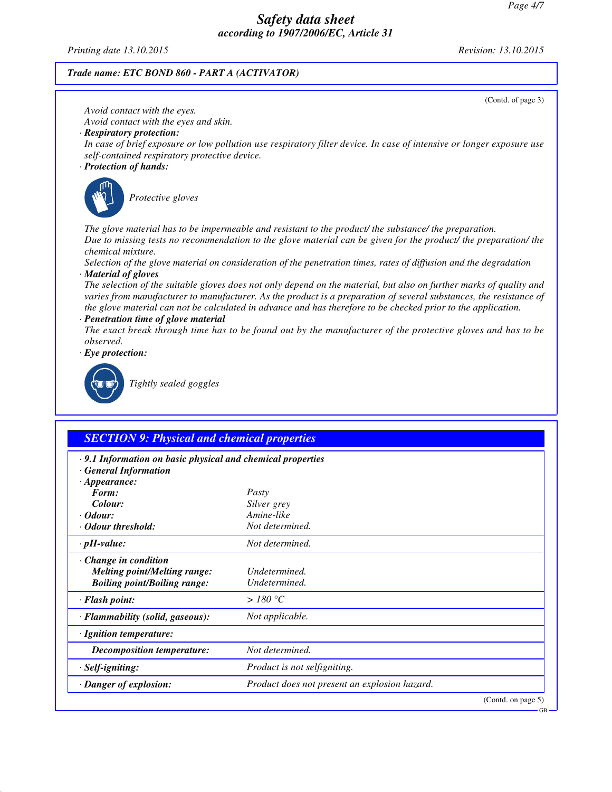*Printing date 13.10.2015 Revision: 13.10.2015*

## *Trade name: ETC BOND 860 - PART A (ACTIVATOR)*

|                                                                                                                                                                               | (Contd. of page 3)                                                                                                                                                                                                                                                                                                                                                                                                                                                                                                                                                                                                                                                                                                                                                                                                        |
|-------------------------------------------------------------------------------------------------------------------------------------------------------------------------------|---------------------------------------------------------------------------------------------------------------------------------------------------------------------------------------------------------------------------------------------------------------------------------------------------------------------------------------------------------------------------------------------------------------------------------------------------------------------------------------------------------------------------------------------------------------------------------------------------------------------------------------------------------------------------------------------------------------------------------------------------------------------------------------------------------------------------|
| Avoid contact with the eyes.<br>Avoid contact with the eyes and skin.<br>· Respiratory protection:<br>self-contained respiratory protective device.<br>· Protection of hands: | In case of brief exposure or low pollution use respiratory filter device. In case of intensive or longer exposure use                                                                                                                                                                                                                                                                                                                                                                                                                                                                                                                                                                                                                                                                                                     |
| Protective gloves                                                                                                                                                             |                                                                                                                                                                                                                                                                                                                                                                                                                                                                                                                                                                                                                                                                                                                                                                                                                           |
| chemical mixture.<br>· Material of gloves<br>· Penetration time of glove material<br>observed.<br>$\cdot$ Eye protection:<br>Tightly sealed goggles                           | The glove material has to be impermeable and resistant to the product the substance the preparation.<br>Due to missing tests no recommendation to the glove material can be given for the product/ the preparation/ the<br>Selection of the glove material on consideration of the penetration times, rates of diffusion and the degradation<br>The selection of the suitable gloves does not only depend on the material, but also on further marks of quality and<br>varies from manufacturer to manufacturer. As the product is a preparation of several substances, the resistance of<br>the glove material can not be calculated in advance and has therefore to be checked prior to the application.<br>The exact break through time has to be found out by the manufacturer of the protective gloves and has to be |
|                                                                                                                                                                               |                                                                                                                                                                                                                                                                                                                                                                                                                                                                                                                                                                                                                                                                                                                                                                                                                           |
| <b>SECTION 9: Physical and chemical properties</b><br>· 9.1 Information on basic physical and chemical properties<br><b>General Information</b>                               |                                                                                                                                                                                                                                                                                                                                                                                                                                                                                                                                                                                                                                                                                                                                                                                                                           |
| $\cdot$ Appearance:                                                                                                                                                           |                                                                                                                                                                                                                                                                                                                                                                                                                                                                                                                                                                                                                                                                                                                                                                                                                           |
| Form:<br>Colour:                                                                                                                                                              | Pasty<br>Silver grey                                                                                                                                                                                                                                                                                                                                                                                                                                                                                                                                                                                                                                                                                                                                                                                                      |
| · Odour:                                                                                                                                                                      | Amine-like                                                                                                                                                                                                                                                                                                                                                                                                                                                                                                                                                                                                                                                                                                                                                                                                                |
| · Odour threshold:                                                                                                                                                            | Not determined.                                                                                                                                                                                                                                                                                                                                                                                                                                                                                                                                                                                                                                                                                                                                                                                                           |
| $\cdot$ pH-value:                                                                                                                                                             | Not determined.                                                                                                                                                                                                                                                                                                                                                                                                                                                                                                                                                                                                                                                                                                                                                                                                           |
| Change in condition<br><b>Melting point/Melting range:</b><br><b>Boiling point/Boiling range:</b>                                                                             | Undetermined.<br>Undetermined.                                                                                                                                                                                                                                                                                                                                                                                                                                                                                                                                                                                                                                                                                                                                                                                            |
| · Flash point:                                                                                                                                                                | >180 °C                                                                                                                                                                                                                                                                                                                                                                                                                                                                                                                                                                                                                                                                                                                                                                                                                   |
| · Flammability (solid, gaseous):                                                                                                                                              | Not applicable.                                                                                                                                                                                                                                                                                                                                                                                                                                                                                                                                                                                                                                                                                                                                                                                                           |
| · Ignition temperature:                                                                                                                                                       |                                                                                                                                                                                                                                                                                                                                                                                                                                                                                                                                                                                                                                                                                                                                                                                                                           |
| <b>Decomposition temperature:</b>                                                                                                                                             | Not determined.                                                                                                                                                                                                                                                                                                                                                                                                                                                                                                                                                                                                                                                                                                                                                                                                           |
| · Self-igniting:                                                                                                                                                              | Product is not selfigniting.                                                                                                                                                                                                                                                                                                                                                                                                                                                                                                                                                                                                                                                                                                                                                                                              |
| · Danger of explosion:                                                                                                                                                        | Product does not present an explosion hazard.                                                                                                                                                                                                                                                                                                                                                                                                                                                                                                                                                                                                                                                                                                                                                                             |
|                                                                                                                                                                               | (Contd. on page 5)                                                                                                                                                                                                                                                                                                                                                                                                                                                                                                                                                                                                                                                                                                                                                                                                        |

GB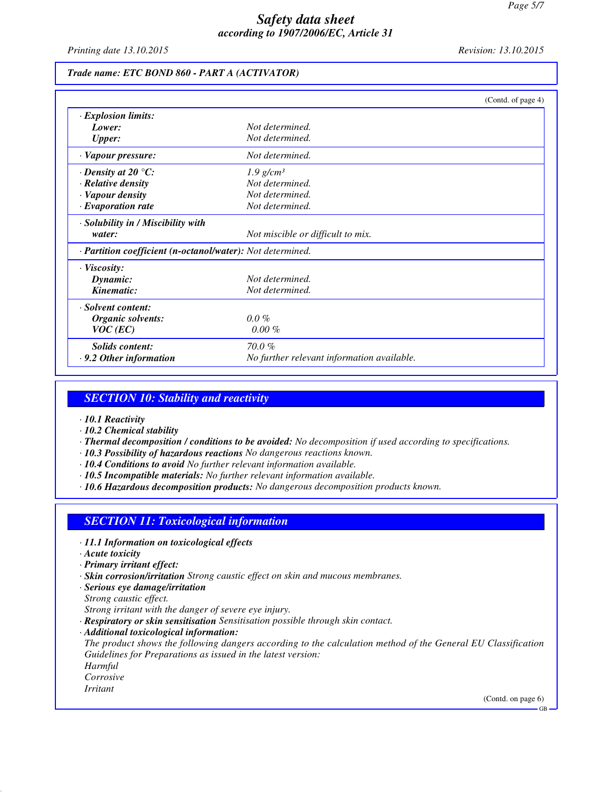*Printing date 13.10.2015 Revision: 13.10.2015*

#### *Trade name: ETC BOND 860 - PART A (ACTIVATOR)*

|                                                            |                                            | (Contd. of page 4) |
|------------------------------------------------------------|--------------------------------------------|--------------------|
| <b>Explosion limits:</b>                                   |                                            |                    |
| Lower:                                                     | Not determined.                            |                    |
| <b>Upper:</b>                                              | Not determined.                            |                    |
| · Vapour pressure:                                         | Not determined.                            |                    |
| $\cdot$ Density at 20 $\degree$ C:                         | $1.9$ g/cm <sup>3</sup>                    |                    |
| · Relative density                                         | Not determined.                            |                    |
| · Vapour density                                           | Not determined.                            |                    |
| $\cdot$ Evaporation rate                                   | Not determined.                            |                    |
| · Solubility in / Miscibility with                         |                                            |                    |
| water:                                                     | Not miscible or difficult to mix.          |                    |
| · Partition coefficient (n-octanol/water): Not determined. |                                            |                    |
| $\cdot$ Viscosity:                                         |                                            |                    |
| Dynamic:                                                   | Not determined.                            |                    |
| Kinematic:                                                 | Not determined.                            |                    |
| · Solvent content:                                         |                                            |                    |
| Organic solvents:                                          | $0.0\%$                                    |                    |
| $VOC$ (EC)                                                 | $0.00 \%$                                  |                    |
| Solids content:                                            | $70.0 \%$                                  |                    |
| $\cdot$ 9.2 Other information                              | No further relevant information available. |                    |

## *SECTION 10: Stability and reactivity*

- *· 10.1 Reactivity*
- *· 10.2 Chemical stability*
- *· Thermal decomposition / conditions to be avoided: No decomposition if used according to specifications.*
- *· 10.3 Possibility of hazardous reactions No dangerous reactions known.*
- *· 10.4 Conditions to avoid No further relevant information available.*
- *· 10.5 Incompatible materials: No further relevant information available.*
- *· 10.6 Hazardous decomposition products: No dangerous decomposition products known.*

### *SECTION 11: Toxicological information*

- *· 11.1 Information on toxicological effects*
- *· Acute toxicity*
- *· Primary irritant effect:*
- *· Skin corrosion/irritation Strong caustic effect on skin and mucous membranes.*
- *· Serious eye damage/irritation*

*Strong caustic effect.*

- *Strong irritant with the danger of severe eye injury.*
- *· Respiratory or skin sensitisation Sensitisation possible through skin contact.*
- *· Additional toxicological information:*

*The product shows the following dangers according to the calculation method of the General EU Classification Guidelines for Preparations as issued in the latest version:*

*Harmful*

*Corrosive*

*Irritant*

(Contd. on page 6)

GB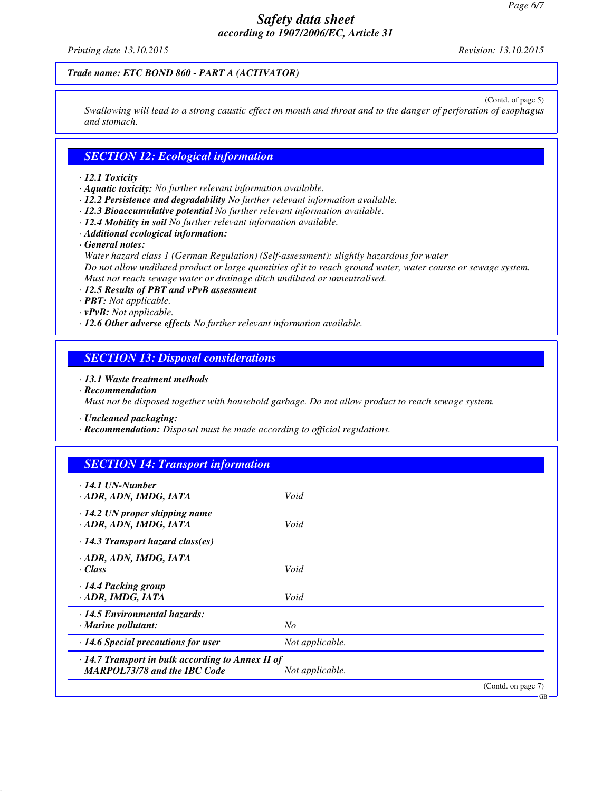*Printing date 13.10.2015 Revision: 13.10.2015*

### *Trade name: ETC BOND 860 - PART A (ACTIVATOR)*

(Contd. of page 5)

*Swallowing will lead to a strong caustic effect on mouth and throat and to the danger of perforation of esophagus and stomach.*

### *SECTION 12: Ecological information*

#### *· 12.1 Toxicity*

- *· Aquatic toxicity: No further relevant information available.*
- *· 12.2 Persistence and degradability No further relevant information available.*
- *· 12.3 Bioaccumulative potential No further relevant information available.*
- *· 12.4 Mobility in soil No further relevant information available.*
- *· Additional ecological information:*
- *· General notes:*

*Water hazard class 1 (German Regulation) (Self-assessment): slightly hazardous for water Do not allow undiluted product or large quantities of it to reach ground water, water course or sewage system. Must not reach sewage water or drainage ditch undiluted or unneutralised.*

*· 12.5 Results of PBT and vPvB assessment*

- *· PBT: Not applicable.*
- *· vPvB: Not applicable.*
- *· 12.6 Other adverse effects No further relevant information available.*

### *SECTION 13: Disposal considerations*

*· 13.1 Waste treatment methods*

*· Recommendation*

*Must not be disposed together with household garbage. Do not allow product to reach sewage system.*

*· Uncleaned packaging:*

*· Recommendation: Disposal must be made according to official regulations.*

| <b>SECTION 14: Transport information</b>                                                       |                 |                    |
|------------------------------------------------------------------------------------------------|-----------------|--------------------|
| $\cdot$ 14.1 UN-Number<br>· ADR, ADN, IMDG, IATA                                               | Void            |                    |
| $\cdot$ 14.2 UN proper shipping name<br>· ADR, ADN, IMDG, IATA                                 | Void            |                    |
| $\cdot$ 14.3 Transport hazard class(es)                                                        |                 |                    |
| · ADR, ADN, IMDG, IATA<br>· Class                                                              | Void            |                    |
| $\cdot$ 14.4 Packing group<br>· ADR, IMDG, IATA                                                | Void            |                    |
| $\cdot$ 14.5 Environmental hazards:<br>$\cdot$ Marine pollutant:                               | N <sub>o</sub>  |                    |
| $\cdot$ 14.6 Special precautions for user                                                      | Not applicable. |                    |
| $\cdot$ 14.7 Transport in bulk according to Annex II of<br><b>MARPOL73/78 and the IBC Code</b> | Not applicable. |                    |
|                                                                                                |                 | (Contd. on page 7) |

GB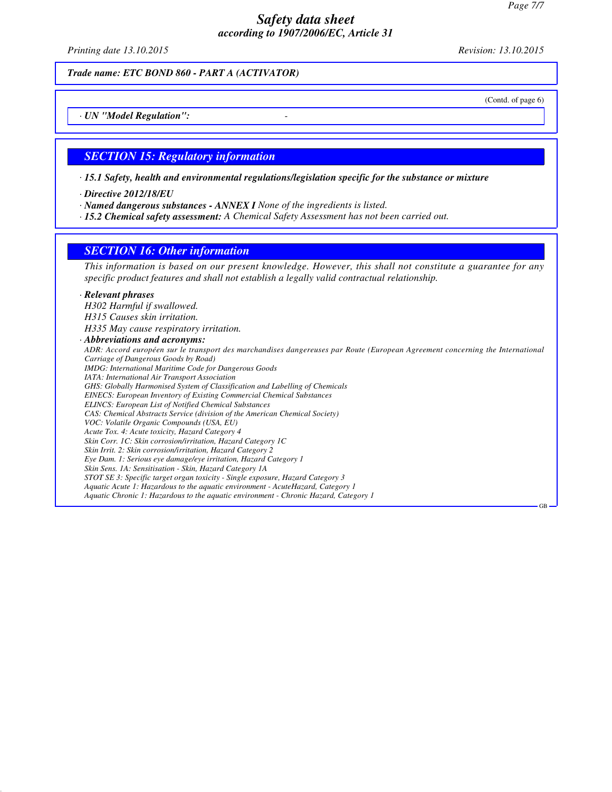*Printing date 13.10.2015 Revision: 13.10.2015*

*Trade name: ETC BOND 860 - PART A (ACTIVATOR)*

(Contd. of page 6)

GB

*· UN "Model Regulation": -* 

#### *SECTION 15: Regulatory information*

*· 15.1 Safety, health and environmental regulations/legislation specific for the substance or mixture*

*· Directive 2012/18/EU*

*· Named dangerous substances - ANNEX I None of the ingredients is listed.*

*· 15.2 Chemical safety assessment: A Chemical Safety Assessment has not been carried out.*

#### *SECTION 16: Other information*

*This information is based on our present knowledge. However, this shall not constitute a guarantee for any specific product features and shall not establish a legally valid contractual relationship.*

### *· Relevant phrases*

*H302 Harmful if swallowed. H315 Causes skin irritation. H335 May cause respiratory irritation.*

#### *· Abbreviations and acronyms:*

*ADR: Accord européen sur le transport des marchandises dangereuses par Route (European Agreement concerning the International Carriage of Dangerous Goods by Road) IMDG: International Maritime Code for Dangerous Goods IATA: International Air Transport Association GHS: Globally Harmonised System of Classification and Labelling of Chemicals EINECS: European Inventory of Existing Commercial Chemical Substances ELINCS: European List of Notified Chemical Substances CAS: Chemical Abstracts Service (division of the American Chemical Society) VOC: Volatile Organic Compounds (USA, EU) Acute Tox. 4: Acute toxicity, Hazard Category 4 Skin Corr. 1C: Skin corrosion/irritation, Hazard Category 1C Skin Irrit. 2: Skin corrosion/irritation, Hazard Category 2 Eye Dam. 1: Serious eye damage/eye irritation, Hazard Category 1 Skin Sens. 1A: Sensitisation - Skin, Hazard Category 1A STOT SE 3: Specific target organ toxicity - Single exposure, Hazard Category 3 Aquatic Acute 1: Hazardous to the aquatic environment - AcuteHazard, Category 1 Aquatic Chronic 1: Hazardous to the aquatic environment - Chronic Hazard, Category 1*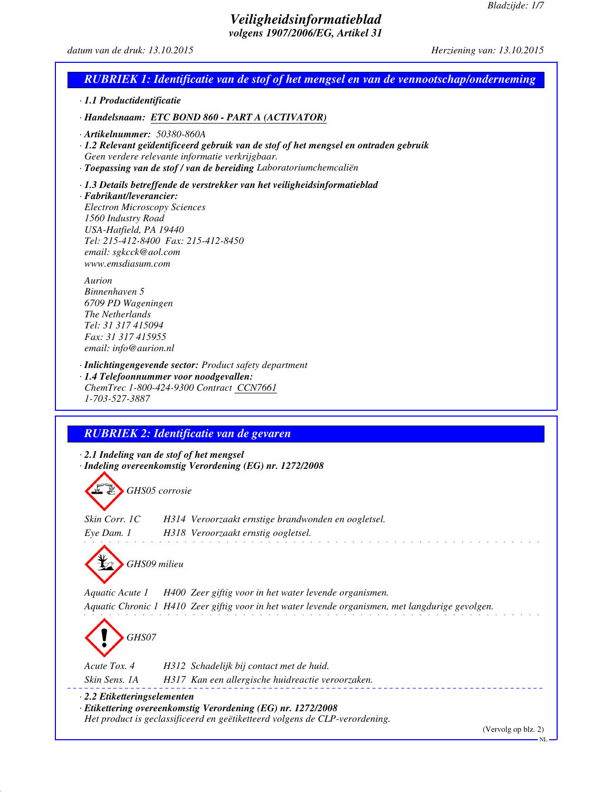$-NL$ 

## *Veiligheidsinformatieblad volgens 1907/2006/EG, Artikel 31*

## *datum van de druk: 13.10.2015 Herziening van: 13.10.2015*

|                                                                                                                                                               | <b>RUBRIEK 1: Identificatie van de stof of het mengsel en van de vennootschap/onderneming</b>                                                                                                                  |
|---------------------------------------------------------------------------------------------------------------------------------------------------------------|----------------------------------------------------------------------------------------------------------------------------------------------------------------------------------------------------------------|
| $\cdot$ 1.1 Productidentificatie                                                                                                                              |                                                                                                                                                                                                                |
|                                                                                                                                                               | · Handelsnaam: ETC BOND 860 - PART A (ACTIVATOR)                                                                                                                                                               |
| $\cdot$ Artikelnummer: 50380-860A                                                                                                                             | · 1.2 Relevant geïdentificeerd gebruik van de stof of het mengsel en ontraden gebruik<br>Geen verdere relevante informatie verkrijgbaar.<br>· Toepassing van de stof / van de bereiding Laboratoriumchemcaliën |
| · Fabrikant/leverancier:<br><b>Electron Microscopy Sciences</b><br>1560 Industry Road<br>USA-Hatfield, PA 19440<br>email: sgkcck@aol.com<br>www.emsdiasum.com | · 1.3 Details betreffende de verstrekker van het veiligheidsinformatieblad<br>Tel: 215-412-8400 Fax: 215-412-8450                                                                                              |
| Aurion<br>Binnenhaven 5<br>6709 PD Wageningen<br>The Netherlands<br>Tel: 31 317 415094<br>Fax: 31 317 415955<br>email: info@aurion.nl                         |                                                                                                                                                                                                                |
| 1-703-527-3887                                                                                                                                                | · Inlichtingengevende sector: Product safety department<br>· 1.4 Telefoonnummer voor noodgevallen:<br>ChemTrec 1-800-424-9300 Contract CCN7661                                                                 |
|                                                                                                                                                               |                                                                                                                                                                                                                |
|                                                                                                                                                               | <b>RUBRIEK 2: Identificatie van de gevaren</b>                                                                                                                                                                 |
|                                                                                                                                                               | $\cdot$ 2.1 Indeling van de stof of het mengsel                                                                                                                                                                |
|                                                                                                                                                               | · Indeling overeenkomstig Verordening (EG) nr. 1272/2008                                                                                                                                                       |
| GHS05 corrosie                                                                                                                                                |                                                                                                                                                                                                                |
| Skin Corr. 1C<br>Eye Dam. 1                                                                                                                                   | H314 Veroorzaakt ernstige brandwonden en oogletsel.<br>H318 Veroorzaakt ernstig oogletsel.                                                                                                                     |
| GHS09 milieu                                                                                                                                                  |                                                                                                                                                                                                                |
| Aquatic Acute 1                                                                                                                                               | H400 Zeer giftig voor in het water levende organismen.                                                                                                                                                         |
|                                                                                                                                                               | Aquatic Chronic 1 H410 Zeer giftig voor in het water levende organismen, met langdurige gevolgen.                                                                                                              |
| GHS07                                                                                                                                                         |                                                                                                                                                                                                                |
| Acute Tox. 4                                                                                                                                                  | H312 Schadelijk bij contact met de huid.                                                                                                                                                                       |
| Skin Sens. 1A                                                                                                                                                 | H317 Kan een allergische huidreactie veroorzaken.                                                                                                                                                              |
| $\cdot$ 2.2 Etiketteringselementen                                                                                                                            | · Etikettering overeenkomstig Verordening (EG) nr. 1272/2008<br>Het product is geclassificeerd en geëtiketteerd volgens de CLP-verordening.<br>(Vervolg op blz. 2)                                             |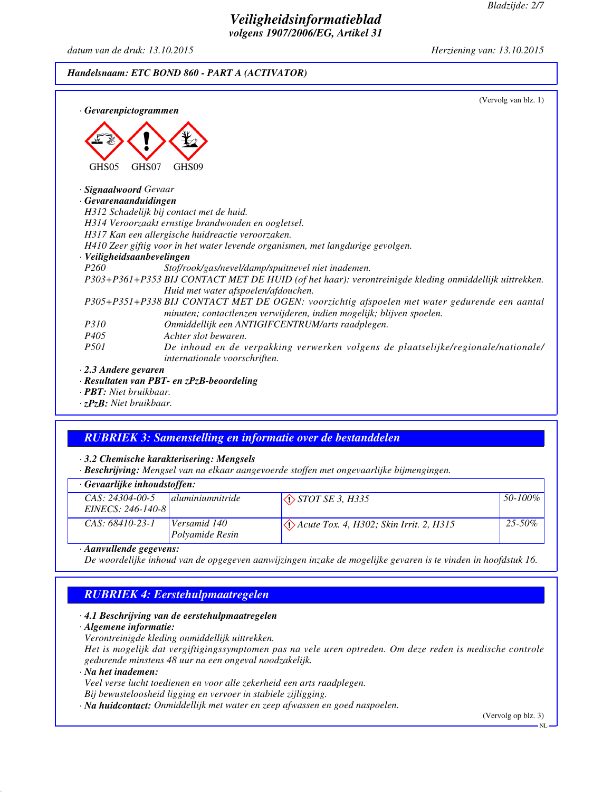## *Veiligheidsinformatieblad volgens 1907/2006/EG, Artikel 31*

*datum van de druk: 13.10.2015 Herziening van: 13.10.2015*

## *Handelsnaam: ETC BOND 860 - PART A (ACTIVATOR)*

| · Gevarenpictogrammen                               | (Vervolg van blz. 1)                                                                                                                                                  |
|-----------------------------------------------------|-----------------------------------------------------------------------------------------------------------------------------------------------------------------------|
| GHS07<br>GHS05<br>GHS <sub>09</sub>                 |                                                                                                                                                                       |
| · Signaalwoord Gevaar                               |                                                                                                                                                                       |
| $\cdot$ Gevarenaanduidingen                         |                                                                                                                                                                       |
| H312 Schadelijk bij contact met de huid.            |                                                                                                                                                                       |
| H314 Veroorzaakt ernstige brandwonden en oogletsel. |                                                                                                                                                                       |
| H317 Kan een allergische huidreactie veroorzaken.   |                                                                                                                                                                       |
|                                                     | H410 Zeer giftig voor in het water levende organismen, met langdurige gevolgen.                                                                                       |
| · Veiligheidsaanbevelingen                          |                                                                                                                                                                       |
| P <sub>260</sub>                                    | Stof/rook/gas/nevel/damp/spuitnevel niet inademen.                                                                                                                    |
|                                                     | P303+P361+P353 BIJ CONTACT MET DE HUID (of het haar): verontreinigde kleding onmiddellijk uittrekken.                                                                 |
|                                                     | Huid met water afspoelen/afdouchen.                                                                                                                                   |
|                                                     | P305+P351+P338 BIJ CONTACT MET DE OGEN: voorzichtig afspoelen met water gedurende een aantal<br>minuten; contactlenzen verwijderen, indien mogelijk; blijven spoelen. |
| <i>P310</i>                                         | Onmiddellijk een ANTIGIFCENTRUM/arts raadplegen.                                                                                                                      |
| Achter slot bewaren.<br><i>P405</i>                 |                                                                                                                                                                       |
| <i>P501</i>                                         | De inhoud en de verpakking verwerken volgens de plaatselijke/regionale/nationale/<br>internationale voorschriften.                                                    |
| $\cdot$ 2.3 Andere gevaren                          |                                                                                                                                                                       |
| $\cdot$ Resultaten van PBT- en zPzB-beoordeling     |                                                                                                                                                                       |

*· PBT: Niet bruikbaar. · zPzB: Niet bruikbaar.*

# *RUBRIEK 3: Samenstelling en informatie over de bestanddelen*

### *· 3.2 Chemische karakterisering: Mengsels*

*· Beschrijving: Mengsel van na elkaar aangevoerde stoffen met ongevaarlijke bijmengingen.*

#### *· Gevaarlijke inhoudstoffen:*

| <u>seraal afric millouastoffen.</u>      |                                 |                                                           |         |
|------------------------------------------|---------------------------------|-----------------------------------------------------------|---------|
| $CAS: 24304-00-5$<br>$EINECS: 246-140-8$ | <i>duminiumnitride</i>          | $\Diamond$ STOT SE 3, H335                                | 50-100% |
| $CAS: 68410-23-1$                        | Versamid 140<br>Polvamide Resin | $\langle \rangle$ Acute Tox. 4, H302; Skin Irrit. 2, H315 | 25-50%  |
|                                          |                                 |                                                           |         |

#### *· Aanvullende gegevens:*

*De woordelijke inhoud van de opgegeven aanwijzingen inzake de mogelijke gevaren is te vinden in hoofdstuk 16.*

## *RUBRIEK 4: Eerstehulpmaatregelen*

### *· 4.1 Beschrijving van de eerstehulpmaatregelen*

*· Algemene informatie:*

*Verontreinigde kleding onmiddellijk uittrekken.*

*Het is mogelijk dat vergiftigingssymptomen pas na vele uren optreden. Om deze reden is medische controle gedurende minstens 48 uur na een ongeval noodzakelijk.*

*· Na het inademen:*

*Veel verse lucht toedienen en voor alle zekerheid een arts raadplegen.*

*Bij bewusteloosheid ligging en vervoer in stabiele zijligging.*

*· Na huidcontact: Onmiddellijk met water en zeep afwassen en goed naspoelen.*

(Vervolg op blz. 3)

NL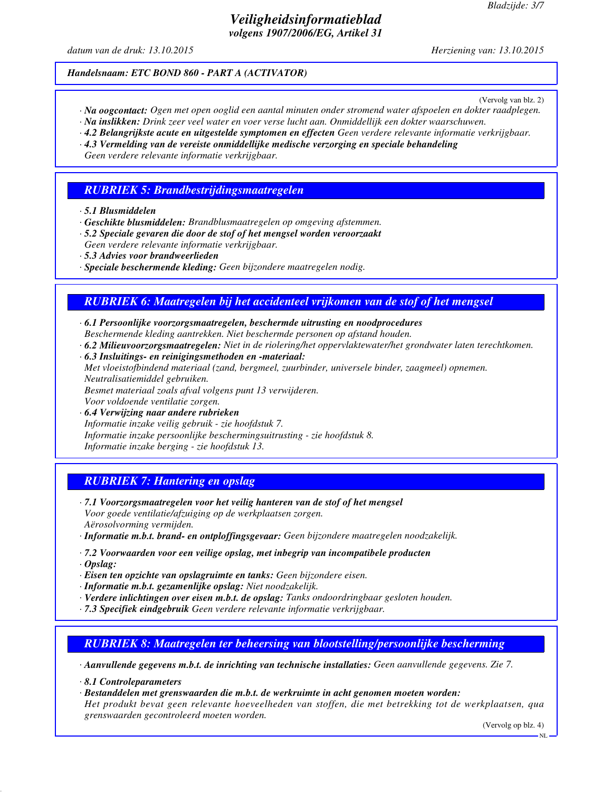## *Veiligheidsinformatieblad volgens 1907/2006/EG, Artikel 31*

*datum van de druk: 13.10.2015 Herziening van: 13.10.2015*

#### *Handelsnaam: ETC BOND 860 - PART A (ACTIVATOR)*

(Vervolg van blz. 2)

- *· Na oogcontact: Ogen met open ooglid een aantal minuten onder stromend water afspoelen en dokter raadplegen.*
- *· Na inslikken: Drink zeer veel water en voer verse lucht aan. Onmiddellijk een dokter waarschuwen.*
- *· 4.2 Belangrijkste acute en uitgestelde symptomen en effecten Geen verdere relevante informatie verkrijgbaar.*
- *· 4.3 Vermelding van de vereiste onmiddellijke medische verzorging en speciale behandeling Geen verdere relevante informatie verkrijgbaar.*

#### *RUBRIEK 5: Brandbestrijdingsmaatregelen*

*· 5.1 Blusmiddelen*

- *· Geschikte blusmiddelen: Brandblusmaatregelen op omgeving afstemmen.*
- *· 5.2 Speciale gevaren die door de stof of het mengsel worden veroorzaakt Geen verdere relevante informatie verkrijgbaar.*
- *· 5.3 Advies voor brandweerlieden*
- *· Speciale beschermende kleding: Geen bijzondere maatregelen nodig.*

### *RUBRIEK 6: Maatregelen bij het accidenteel vrijkomen van de stof of het mengsel*

- *· 6.1 Persoonlijke voorzorgsmaatregelen, beschermde uitrusting en noodprocedures Beschermende kleding aantrekken. Niet beschermde personen op afstand houden.*
- *· 6.2 Milieuvoorzorgsmaatregelen: Niet in de riolering/het oppervlaktewater/het grondwater laten terechtkomen.*
- *· 6.3 Insluitings- en reinigingsmethoden en -materiaal:*

*Met vloeistofbindend materiaal (zand, bergmeel, zuurbinder, universele binder, zaagmeel) opnemen. Neutralisatiemiddel gebruiken.*

*Besmet materiaal zoals afval volgens punt 13 verwijderen.*

- *Voor voldoende ventilatie zorgen.*
- *· 6.4 Verwijzing naar andere rubrieken Informatie inzake veilig gebruik - zie hoofdstuk 7. Informatie inzake persoonlijke beschermingsuitrusting - zie hoofdstuk 8. Informatie inzake berging - zie hoofdstuk 13.*

### *RUBRIEK 7: Hantering en opslag*

- *· 7.1 Voorzorgsmaatregelen voor het veilig hanteren van de stof of het mengsel Voor goede ventilatie/afzuiging op de werkplaatsen zorgen. Aërosolvorming vermijden.*
- *· Informatie m.b.t. brand- en ontploffingsgevaar: Geen bijzondere maatregelen noodzakelijk.*
- *· 7.2 Voorwaarden voor een veilige opslag, met inbegrip van incompatibele producten*
- *· Opslag:*
- *· Eisen ten opzichte van opslagruimte en tanks: Geen bijzondere eisen.*
- *· Informatie m.b.t. gezamenlijke opslag: Niet noodzakelijk.*

*grenswaarden gecontroleerd moeten worden.*

- *· Verdere inlichtingen over eisen m.b.t. de opslag: Tanks ondoordringbaar gesloten houden.*
- *· 7.3 Specifiek eindgebruik Geen verdere relevante informatie verkrijgbaar.*

## *RUBRIEK 8: Maatregelen ter beheersing van blootstelling/persoonlijke bescherming*

*· Aanvullende gegevens m.b.t. de inrichting van technische installaties: Geen aanvullende gegevens. Zie 7.*

- *· 8.1 Controleparameters*
- *· Bestanddelen met grenswaarden die m.b.t. de werkruimte in acht genomen moeten worden: Het produkt bevat geen relevante hoeveelheden van stoffen, die met betrekking tot de werkplaatsen, qua*

(Vervolg op blz. 4)

NL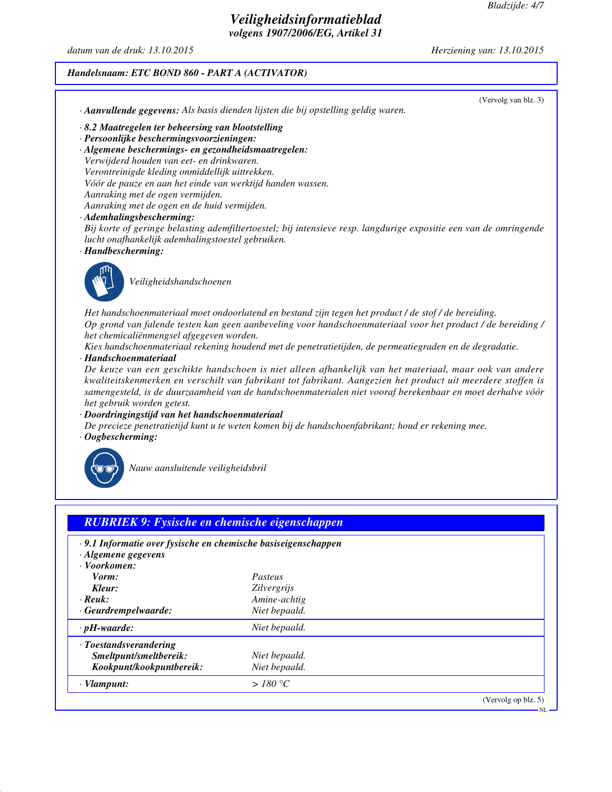## *Veiligheidsinformatieblad volgens 1907/2006/EG, Artikel 31*

*datum van de druk: 13.10.2015 Herziening van: 13.10.2015*

#### *Handelsnaam: ETC BOND 860 - PART A (ACTIVATOR)*

(Vervolg van blz. 3) *· Aanvullende gegevens: Als basis dienden lijsten die bij opstelling geldig waren. · 8.2 Maatregelen ter beheersing van blootstelling · Persoonlijke beschermingsvoorzieningen: · Algemene beschermings- en gezondheidsmaatregelen: Verwijderd houden van eet- en drinkwaren. Verontreinigde kleding onmiddellijk uittrekken. Vóór de pauze en aan het einde van werktijd handen wassen. Aanraking met de ogen vermijden. Aanraking met de ogen en de huid vermijden. · Ademhalingsbescherming: Bij korte of geringe belasting ademfiltertoestel; bij intensieve resp. langdurige expositie een van de omringende lucht onafhankelijk ademhalingstoestel gebruiken. · Handbescherming:*



*Veiligheidshandschoenen*

*Het handschoenmateriaal moet ondoorlatend en bestand zijn tegen het product / de stof / de bereiding. Op grond van falende testen kan geen aanbeveling voor handschoenmateriaal voor het product / de bereiding / het chemicaliënmengsel afgegeven worden.*

*Kies handschoenmateriaal rekening houdend met de penetratietijden, de permeatiegraden en de degradatie. · Handschoenmateriaal*

*De keuze van een geschikte handschoen is niet alleen afhankelijk van het materiaal, maar ook van andere kwaliteitskenmerken en verschilt van fabrikant tot fabrikant. Aangezien het product uit meerdere stoffen is samengesteld, is de duurzaamheid van de handschoenmaterialen niet vooraf berekenbaar en moet derhalve vóór het gebruik worden getest.*

*· Doordringingstijd van het handschoenmateriaal*

*De precieze penetratietijd kunt u te weten komen bij de handschoenfabrikant; houd er rekening mee. · Oogbescherming:*



*Nauw aansluitende veiligheidsbril*

| · 9.1 Informatie over fysische en chemische basiseigenschappen |                    |  |
|----------------------------------------------------------------|--------------------|--|
| $\cdot$ Algemene gegevens                                      |                    |  |
| · Voorkomen:                                                   |                    |  |
| Vorm:                                                          | Pasteus            |  |
| Kleur:                                                         | <i>Zilvergrijs</i> |  |
| $\cdot$ Reuk:                                                  | Amine-achtig       |  |
| $\cdot$ Geurdrempelwaarde:                                     | Niet bepaald.      |  |
| $\cdot$ pH-waarde:                                             | Niet bepaald.      |  |
| · Toestandsverandering                                         |                    |  |
| Smeltpunt/smeltbereik:                                         | Niet bepaald.      |  |
| Kookpunt/kookpuntbereik:                                       | Niet bepaald.      |  |
| $\cdot$ Vlampunt:                                              | >180 °C            |  |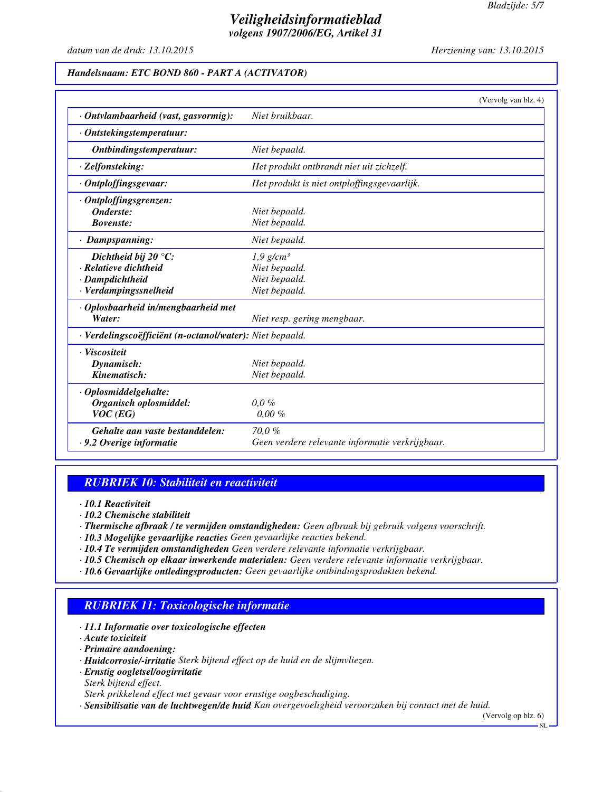## *Veiligheidsinformatieblad volgens 1907/2006/EG, Artikel 31*

*datum van de druk: 13.10.2015 Herziening van: 13.10.2015*

#### *Handelsnaam: ETC BOND 860 - PART A (ACTIVATOR)*

|                                                          | (Vervolg van blz. 4)                            |  |
|----------------------------------------------------------|-------------------------------------------------|--|
| · Ontvlambaarheid (vast, gasvormig):                     | Niet bruikbaar.                                 |  |
| · Ontstekingstemperatuur:                                |                                                 |  |
| Ontbindingstemperatuur:                                  | Niet bepaald.                                   |  |
| · Zelfonsteking:                                         | Het produkt ontbrandt niet uit zichzelf.        |  |
| · Ontploffingsgevaar:                                    | Het produkt is niet ontploffingsgevaarlijk.     |  |
| · Ontploffingsgrenzen:                                   |                                                 |  |
| Onderste:                                                | Niet bepaald.                                   |  |
| <b>Bovenste:</b>                                         | Niet bepaald.                                   |  |
| · Dampspanning:                                          | Niet bepaald.                                   |  |
| Dichtheid bij 20 $\degree$ C:                            | $1,9$ g/cm <sup>3</sup>                         |  |
| · Relatieve dichtheid                                    | Niet bepaald.                                   |  |
| · Dampdichtheid                                          | Niet bepaald.                                   |  |
| · Verdampingssnelheid                                    | Niet bepaald.                                   |  |
| · Oplosbaarheid in/mengbaarheid met                      |                                                 |  |
| Water:                                                   | Niet resp. gering mengbaar.                     |  |
| · Verdelingscoëfficiënt (n-octanol/water): Niet bepaald. |                                                 |  |
| · Viscositeit                                            |                                                 |  |
| Dynamisch:                                               | Niet bepaald.                                   |  |
| Kinematisch:                                             | Niet bepaald.                                   |  |
| · Oplosmiddelgehalte:                                    |                                                 |  |
| Organisch oplosmiddel:                                   | $0,0\%$                                         |  |
| $VOC$ (EG)                                               | $0.00 \%$                                       |  |
| Gehalte aan vaste bestanddelen:                          | 70.0%                                           |  |
| $\cdot$ 9.2 Overige informatie                           | Geen verdere relevante informatie verkrijgbaar. |  |

### *RUBRIEK 10: Stabiliteit en reactiviteit*

*· 10.1 Reactiviteit*

*· 10.2 Chemische stabiliteit*

*· Thermische afbraak / te vermijden omstandigheden: Geen afbraak bij gebruik volgens voorschrift.*

- *· 10.3 Mogelijke gevaarlijke reacties Geen gevaarlijke reacties bekend.*
- *· 10.4 Te vermijden omstandigheden Geen verdere relevante informatie verkrijgbaar.*
- *· 10.5 Chemisch op elkaar inwerkende materialen: Geen verdere relevante informatie verkrijgbaar.*
- *· 10.6 Gevaarlijke ontledingsproducten: Geen gevaarlijke ontbindingsprodukten bekend.*

## *RUBRIEK 11: Toxicologische informatie*

- *· 11.1 Informatie over toxicologische effecten*
- *· Acute toxiciteit*
- *· Primaire aandoening:*
- *· Huidcorrosie/-irritatie Sterk bijtend effect op de huid en de slijmvliezen.*
- *· Ernstig oogletsel/oogirritatie*
- *Sterk bijtend effect.*
- *Sterk prikkelend effect met gevaar voor ernstige oogbeschadiging.*

*· Sensibilisatie van de luchtwegen/de huid Kan overgevoeligheid veroorzaken bij contact met de huid.*

(Vervolg op blz. 6)

NL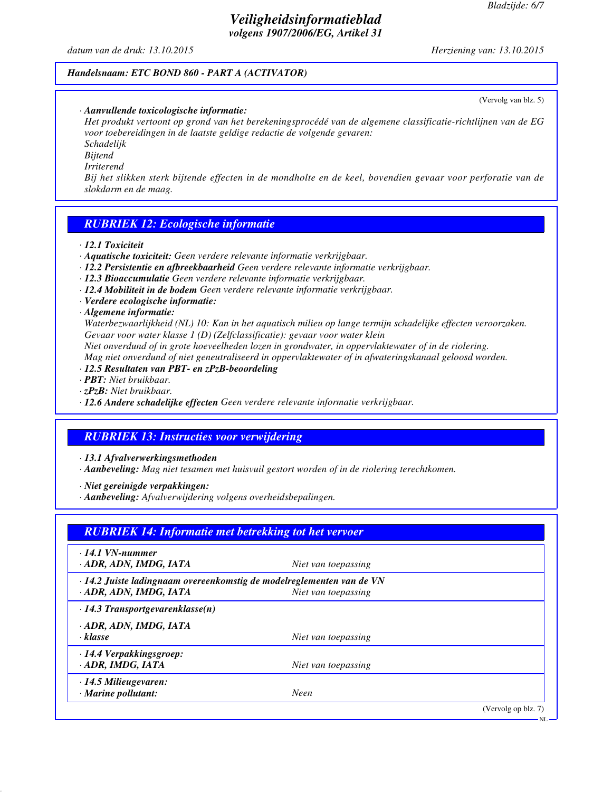(Vervolg van blz. 5)

## *Veiligheidsinformatieblad volgens 1907/2006/EG, Artikel 31*

*datum van de druk: 13.10.2015 Herziening van: 13.10.2015*

#### *Handelsnaam: ETC BOND 860 - PART A (ACTIVATOR)*

#### *· Aanvullende toxicologische informatie:*

*Het produkt vertoont op grond van het berekeningsprocédé van de algemene classificatie-richtlijnen van de EG voor toebereidingen in de laatste geldige redactie de volgende gevaren: Schadelijk*

*Bijtend*

*Irriterend*

*Bij het slikken sterk bijtende effecten in de mondholte en de keel, bovendien gevaar voor perforatie van de slokdarm en de maag.*

### *RUBRIEK 12: Ecologische informatie*

*· 12.1 Toxiciteit*

- *· Aquatische toxiciteit: Geen verdere relevante informatie verkrijgbaar.*
- *· 12.2 Persistentie en afbreekbaarheid Geen verdere relevante informatie verkrijgbaar.*
- *· 12.3 Bioaccumulatie Geen verdere relevante informatie verkrijgbaar.*
- *· 12.4 Mobiliteit in de bodem Geen verdere relevante informatie verkrijgbaar.*
- *· Verdere ecologische informatie:*

#### *· Algemene informatie:*

*Waterbezwaarlijkheid (NL) 10: Kan in het aquatisch milieu op lange termijn schadelijke effecten veroorzaken. Gevaar voor water klasse 1 (D) (Zelfclassificatie): gevaar voor water klein*

*Niet onverdund of in grote hoeveelheden lozen in grondwater, in oppervlaktewater of in de riolering. Mag niet onverdund of niet geneutraliseerd in oppervlaktewater of in afwateringskanaal geloosd worden.*

- *· 12.5 Resultaten van PBT- en zPzB-beoordeling*
- *· PBT: Niet bruikbaar.*
- *· zPzB: Niet bruikbaar.*
- *· 12.6 Andere schadelijke effecten Geen verdere relevante informatie verkrijgbaar.*

### *RUBRIEK 13: Instructies voor verwijdering*

*· 13.1 Afvalverwerkingsmethoden*

*· Aanbeveling: Mag niet tesamen met huisvuil gestort worden of in de riolering terechtkomen.*

*· Niet gereinigde verpakkingen:*

*· Aanbeveling: Afvalverwijdering volgens overheidsbepalingen.*

| $\cdot$ 14.1 VN-nummer<br>· ADR, ADN, IMDG, IATA                                                | Niet van toepassing |  |
|-------------------------------------------------------------------------------------------------|---------------------|--|
| · 14.2 Juiste ladingnaam overeenkomstig de modelreglementen van de VN<br>· ADR, ADN, IMDG, IATA | Niet van toepassing |  |
| $\cdot$ 14.3 Transportgevarenklasse(n)                                                          |                     |  |
| · ADR, ADN, IMDG, IATA<br>$\cdot$ klasse                                                        | Niet van toepassing |  |
| $\cdot$ 14.4 Verpakkingsgroep:<br>· ADR, IMDG, IATA                                             | Niet van toepassing |  |
| $\cdot$ 14.5 Milieugevaren:<br>$\cdot$ Marine pollutant:                                        | Neen                |  |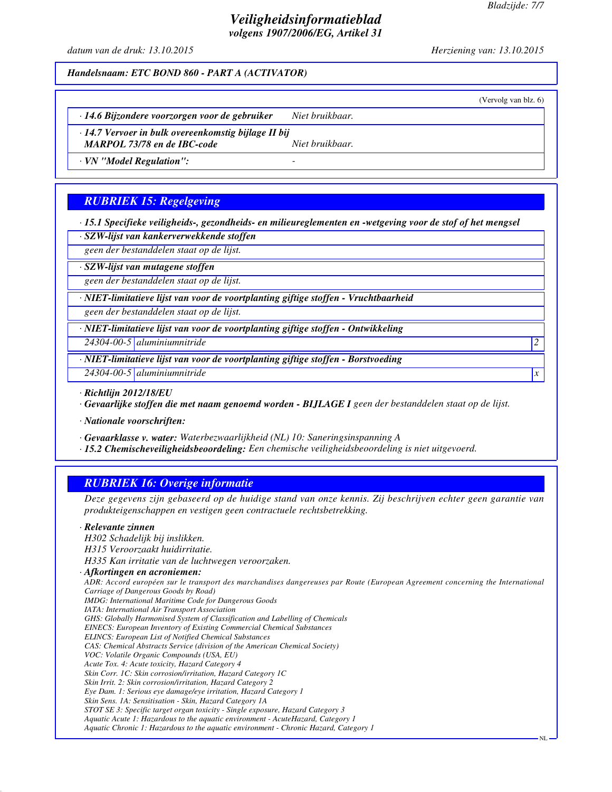(Vervolg van blz. 6)

NL

## *Veiligheidsinformatieblad volgens 1907/2006/EG, Artikel 31*

*datum van de druk: 13.10.2015 Herziening van: 13.10.2015*

*Handelsnaam: ETC BOND 860 - PART A (ACTIVATOR)*

*· 14.6 Bijzondere voorzorgen voor de gebruiker Niet bruikbaar.*

*· 14.7 Vervoer in bulk overeenkomstig bijlage II bij*

*MARPOL 73/78 en de IBC-code Niet bruikbaar.*

*· VN "Model Regulation": -* 

## *RUBRIEK 15: Regelgeving*

*· 15.1 Specifieke veiligheids-, gezondheids- en milieureglementen en -wetgeving voor de stof of het mengsel*

*· SZW-lijst van kankerverwekkende stoffen*

*geen der bestanddelen staat op de lijst.*

*· SZW-lijst van mutagene stoffen*

*geen der bestanddelen staat op de lijst.*

*· NIET-limitatieve lijst van voor de voortplanting giftige stoffen - Vruchtbaarheid*

*geen der bestanddelen staat op de lijst.*

*· NIET-limitatieve lijst van voor de voortplanting giftige stoffen - Ontwikkeling*

*24304-00-5 aluminiumnitride 2* 

*· NIET-limitatieve lijst van voor de voortplanting giftige stoffen - Borstvoeding*

*24304-00-5 aluminiumnitride x* 

*· Richtlijn 2012/18/EU*

*· Gevaarlijke stoffen die met naam genoemd worden - BIJLAGE I geen der bestanddelen staat op de lijst.*

*· Nationale voorschriften:*

*· Gevaarklasse v. water: Waterbezwaarlijkheid (NL) 10: Saneringsinspanning A*

*· 15.2 Chemischeveiligheidsbeoordeling: Een chemische veiligheidsbeoordeling is niet uitgevoerd.*

## *RUBRIEK 16: Overige informatie*

*Deze gegevens zijn gebaseerd op de huidige stand van onze kennis. Zij beschrijven echter geen garantie van produkteigenschappen en vestigen geen contractuele rechtsbetrekking.*

#### *· Relevante zinnen*

*H302 Schadelijk bij inslikken. H315 Veroorzaakt huidirritatie. H335 Kan irritatie van de luchtwegen veroorzaken. · Afkortingen en acroniemen: ADR: Accord européen sur le transport des marchandises dangereuses par Route (European Agreement concerning the International Carriage of Dangerous Goods by Road) IMDG: International Maritime Code for Dangerous Goods IATA: International Air Transport Association GHS: Globally Harmonised System of Classification and Labelling of Chemicals EINECS: European Inventory of Existing Commercial Chemical Substances ELINCS: European List of Notified Chemical Substances CAS: Chemical Abstracts Service (division of the American Chemical Society) VOC: Volatile Organic Compounds (USA, EU) Acute Tox. 4: Acute toxicity, Hazard Category 4 Skin Corr. 1C: Skin corrosion/irritation, Hazard Category 1C Skin Irrit. 2: Skin corrosion/irritation, Hazard Category 2 Eye Dam. 1: Serious eye damage/eye irritation, Hazard Category 1 Skin Sens. 1A: Sensitisation - Skin, Hazard Category 1A STOT SE 3: Specific target organ toxicity - Single exposure, Hazard Category 3 Aquatic Acute 1: Hazardous to the aquatic environment - AcuteHazard, Category 1 Aquatic Chronic 1: Hazardous to the aquatic environment - Chronic Hazard, Category 1*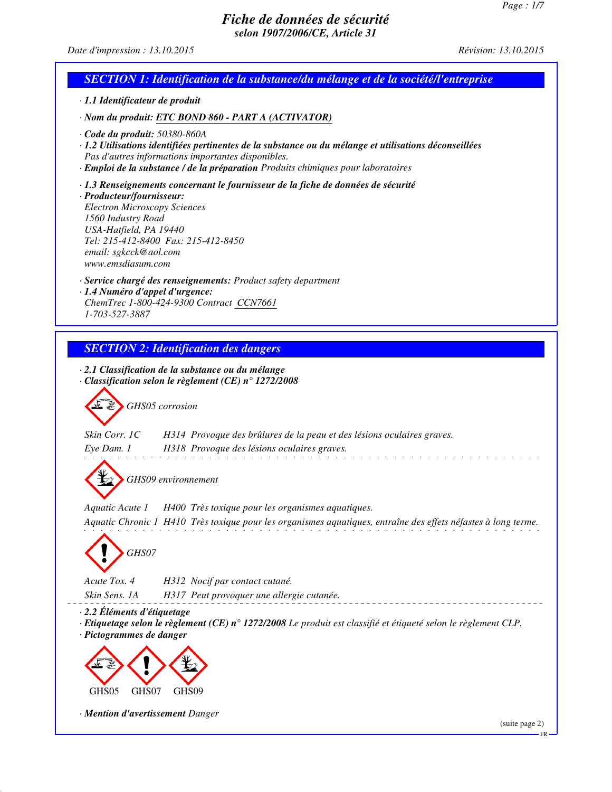## *Date d'impression : 13.10.2015 Révision: 13.10.2015*

| SECTION 1: Identification de la substance/du mélange et de la société/l'entreprise                                                                                                                                                                                                         |
|--------------------------------------------------------------------------------------------------------------------------------------------------------------------------------------------------------------------------------------------------------------------------------------------|
| · 1.1 Identificateur de produit                                                                                                                                                                                                                                                            |
| · Nom du produit: ETC BOND 860 - PART A (ACTIVATOR)                                                                                                                                                                                                                                        |
| $\cdot$ Code du produit: 50380-860A<br>· 1.2 Utilisations identifiées pertinentes de la substance ou du mélange et utilisations déconseillées<br>Pas d'autres informations importantes disponibles.<br>· Emploi de la substance / de la préparation Produits chimiques pour laboratoires   |
| · 1.3 Renseignements concernant le fournisseur de la fiche de données de sécurité<br>· Producteur/fournisseur:<br><b>Electron Microscopy Sciences</b><br>1560 Industry Road<br>USA-Hatfield, PA 19440<br>Tel: 215-412-8400 Fax: 215-412-8450<br>email: sgkcck@aol.com<br>www.emsdiasum.com |
| · Service chargé des renseignements: Product safety department<br>· 1.4 Numéro d'appel d'urgence:<br>ChemTrec 1-800-424-9300 Contract CCN7661<br>1-703-527-3887                                                                                                                            |
| <b>SECTION 2: Identification des dangers</b>                                                                                                                                                                                                                                               |
| $\cdot$ 2.1 Classification de la substance ou du mélange<br>$\cdot$ Classification selon le règlement (CE) n° 1272/2008<br>GHS05 corrosion<br>Skin Corr. 1C<br>H314 Provoque des brûlures de la peau et des lésions oculaires graves.                                                      |
| Eye Dam. 1<br>H318 Provoque des lésions oculaires graves.<br>GHS09 environnement                                                                                                                                                                                                           |
| Aquatic Acute 1<br>H400 Très toxique pour les organismes aquatiques.<br>Aquatic Chronic 1 H410 Très toxique pour les organismes aquatiques, entraîne des effets néfastes à long terme.<br>GHS07                                                                                            |
| Acute Tox. 4<br>H312 Nocif par contact cutané.<br>Skin Sens. 1A<br>H317 Peut provoquer une allergie cutanée.                                                                                                                                                                               |
| · 2.2 Éléments d'étiquetage<br>Etiquetage selon le règlement (CE) n° 1272/2008 Le produit est classifié et étiqueté selon le règlement CLP.<br>· Pictogrammes de danger                                                                                                                    |
| GHS05<br>GHS09<br>GHS07                                                                                                                                                                                                                                                                    |
| · Mention d'avertissement Danger<br>(suite page 2)                                                                                                                                                                                                                                         |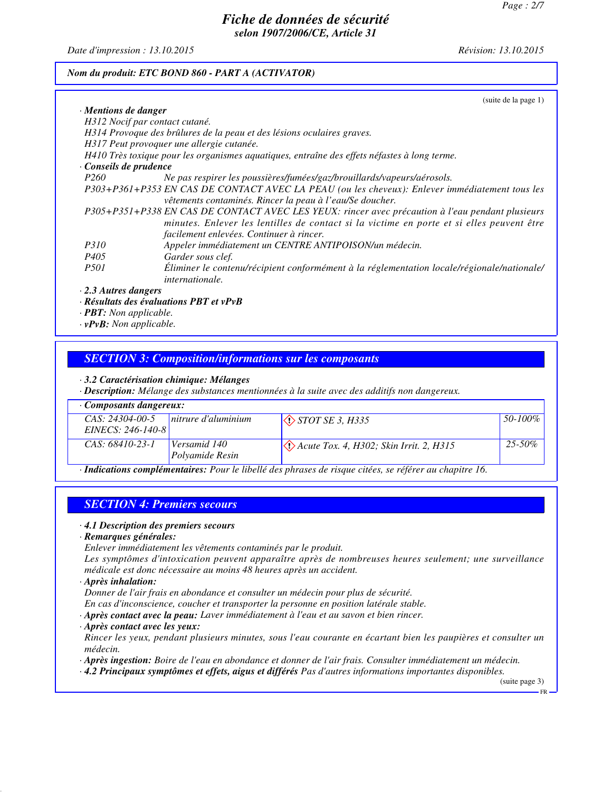*Date d'impression : 13.10.2015 Révision: 13.10.2015*

#### *Nom du produit: ETC BOND 860 - PART A (ACTIVATOR)*

| (suite de la page 1)                                                                                      |
|-----------------------------------------------------------------------------------------------------------|
| $\cdot$ Mentions de danger                                                                                |
| H312 Nocif par contact cutané.                                                                            |
| H314 Provoque des brûlures de la peau et des lésions oculaires graves.                                    |
| H317 Peut provoquer une allergie cutanée.                                                                 |
| H410 Très toxique pour les organismes aquatiques, entraîne des effets néfastes à long terme.              |
| Conseils de prudence                                                                                      |
| <i>P260</i><br>Ne pas respirer les poussières/fumées/gaz/brouillards/vapeurs/aérosols.                    |
| P303+P361+P353 EN CAS DE CONTACT AVEC LA PEAU (ou les cheveux): Enlever immédiatement tous les            |
| vêtements contaminés. Rincer la peau à l'eau/Se doucher.                                                  |
| P305+P351+P338 EN CAS DE CONTACT AVEC LES YEUX: rincer avec précaution à l'eau pendant plusieurs          |
| minutes. Enlever les lentilles de contact si la victime en porte et si elles peuvent être                 |
| facilement enlevées. Continuer à rincer.                                                                  |
| <i>P310</i><br>Appeler immédiatement un CENTRE ANTIPOISON/un médecin.                                     |
| Garder sous clef.<br>P405                                                                                 |
| Éliminer le contenu/récipient conformément à la réglementation locale/régionale/nationale/<br><i>P501</i> |
| <i>internationale.</i>                                                                                    |
| $\cdot$ 2.3 Autres dangers                                                                                |

#### *· Résultats des évaluations PBT et vPvB*

*· PBT: Non applicable.*

*· vPvB: Non applicable.*

#### *SECTION 3: Composition/informations sur les composants*

*· 3.2 Caractérisation chimique: Mélanges*

*· Description: Mélange des substances mentionnées à la suite avec des additifs non dangereux.*

| Composants dangereux:                                                                                   |                                 |                                                                 |             |
|---------------------------------------------------------------------------------------------------------|---------------------------------|-----------------------------------------------------------------|-------------|
| $CAS: 24304-00-5$ nitrure d'aluminium<br>EINECS: $246-140-8$                                            |                                 | $\Diamond$ STOT SE 3, H335                                      | 50-100%     |
| $CAS: 68410-23-1$                                                                                       | Versamid 140<br>Polyamide Resin | $\langle \cdot \rangle$ Acute Tox. 4, H302; Skin Irrit. 2, H315 | $25 - 50\%$ |
| · Indications complémentaires: Pour le libellé des phrases de risque citées, se référer au chapitre 16. |                                 |                                                                 |             |

*SECTION 4: Premiers secours*

#### *· 4.1 Description des premiers secours*

*· Remarques générales:*

*Enlever immédiatement les vêtements contaminés par le produit.*

*Les symptômes d'intoxication peuvent apparaître après de nombreuses heures seulement; une surveillance médicale est donc nécessaire au moins 48 heures après un accident.*

*· Après inhalation:*

*Donner de l'air frais en abondance et consulter un médecin pour plus de sécurité.*

*En cas d'inconscience, coucher et transporter la personne en position latérale stable.*

*· Après contact avec la peau: Laver immédiatement à l'eau et au savon et bien rincer.*

*· Après contact avec les yeux:*

*Rincer les yeux, pendant plusieurs minutes, sous l'eau courante en écartant bien les paupières et consulter un médecin.*

*· Après ingestion: Boire de l'eau en abondance et donner de l'air frais. Consulter immédiatement un médecin.*

*· 4.2 Principaux symptômes et effets, aigus et différés Pas d'autres informations importantes disponibles.*

(suite page 3)

FR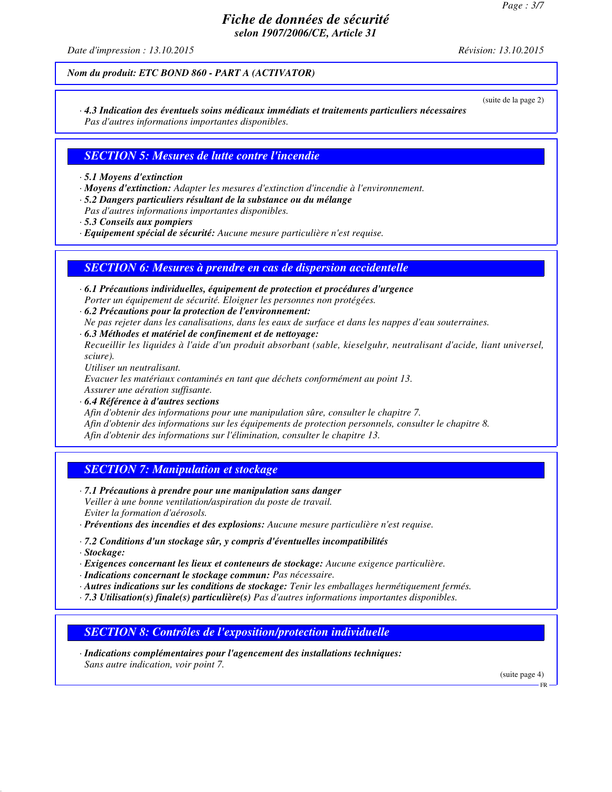*Date d'impression : 13.10.2015 Révision: 13.10.2015*

(suite de la page 2)

#### *Nom du produit: ETC BOND 860 - PART A (ACTIVATOR)*

*· 4.3 Indication des éventuels soins médicaux immédiats et traitements particuliers nécessaires Pas d'autres informations importantes disponibles.*

#### *SECTION 5: Mesures de lutte contre l'incendie*

- *· 5.1 Moyens d'extinction*
- *· Moyens d'extinction: Adapter les mesures d'extinction d'incendie à l'environnement.*
- *· 5.2 Dangers particuliers résultant de la substance ou du mélange Pas d'autres informations importantes disponibles.*
- *· 5.3 Conseils aux pompiers*
- *· Equipement spécial de sécurité: Aucune mesure particulière n'est requise.*

#### *SECTION 6: Mesures à prendre en cas de dispersion accidentelle*

- *· 6.1 Précautions individuelles, équipement de protection et procédures d'urgence Porter un équipement de sécurité. Eloigner les personnes non protégées.*
- *· 6.2 Précautions pour la protection de l'environnement: Ne pas rejeter dans les canalisations, dans les eaux de surface et dans les nappes d'eau souterraines.*
- *· 6.3 Méthodes et matériel de confinement et de nettoyage: Recueillir les liquides à l'aide d'un produit absorbant (sable, kieselguhr, neutralisant d'acide, liant universel, sciure).*

*Utiliser un neutralisant.*

*Evacuer les matériaux contaminés en tant que déchets conformément au point 13. Assurer une aération suffisante.*

*· 6.4 Référence à d'autres sections Afin d'obtenir des informations pour une manipulation sûre, consulter le chapitre 7. Afin d'obtenir des informations sur les équipements de protection personnels, consulter le chapitre 8. Afin d'obtenir des informations sur l'élimination, consulter le chapitre 13.*

#### *SECTION 7: Manipulation et stockage*

*· 7.1 Précautions à prendre pour une manipulation sans danger Veiller à une bonne ventilation/aspiration du poste de travail. Eviter la formation d'aérosols.*

*· Préventions des incendies et des explosions: Aucune mesure particulière n'est requise.*

- *· 7.2 Conditions d'un stockage sûr, y compris d'éventuelles incompatibilités*
- *· Stockage:*
- *· Exigences concernant les lieux et conteneurs de stockage: Aucune exigence particulière.*

*· Indications concernant le stockage commun: Pas nécessaire.*

- *· Autres indications sur les conditions de stockage: Tenir les emballages hermétiquement fermés.*
- *· 7.3 Utilisation(s) finale(s) particulière(s) Pas d'autres informations importantes disponibles.*

*SECTION 8: Contrôles de l'exposition/protection individuelle*

*· Indications complémentaires pour l'agencement des installations techniques: Sans autre indication, voir point 7.*

(suite page 4)

FR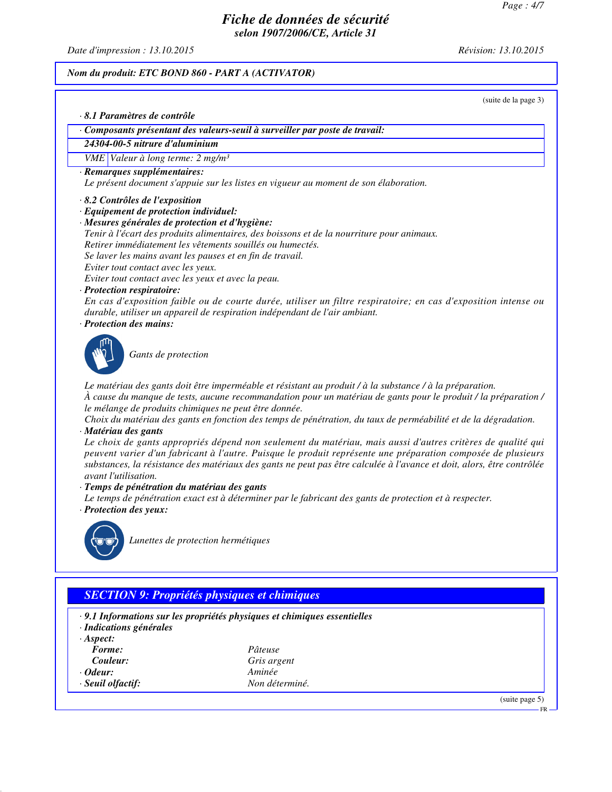*Date d'impression : 13.10.2015 Révision: 13.10.2015*

#### *Nom du produit: ETC BOND 860 - PART A (ACTIVATOR)*

(suite de la page 3)

```
· 8.1 Paramètres de contrôle
```
- *· Composants présentant des valeurs-seuil à surveiller par poste de travail:*
- *24304-00-5 nitrure d'aluminium*

*VME Valeur à long terme: 2 mg/m³*

*· Remarques supplémentaires:*

*Le présent document s'appuie sur les listes en vigueur au moment de son élaboration.*

- *· 8.2 Contrôles de l'exposition*
- *· Equipement de protection individuel:*
- *· Mesures générales de protection et d'hygiène:*
- *Tenir à l'écart des produits alimentaires, des boissons et de la nourriture pour animaux.*

*Retirer immédiatement les vêtements souillés ou humectés.*

- *Se laver les mains avant les pauses et en fin de travail.*
- *Eviter tout contact avec les yeux.*

*Eviter tout contact avec les yeux et avec la peau.*

*· Protection respiratoire:*

*En cas d'exposition faible ou de courte durée, utiliser un filtre respiratoire; en cas d'exposition intense ou durable, utiliser un appareil de respiration indépendant de l'air ambiant.*

*· Protection des mains:*



*Gants de protection*

*Le matériau des gants doit être imperméable et résistant au produit / à la substance / à la préparation. À cause du manque de tests, aucune recommandation pour un matériau de gants pour le produit / la préparation / le mélange de produits chimiques ne peut être donnée.*

*Choix du matériau des gants en fonction des temps de pénétration, du taux de perméabilité et de la dégradation. · Matériau des gants*

*Le choix de gants appropriés dépend non seulement du matériau, mais aussi d'autres critères de qualité qui peuvent varier d'un fabricant à l'autre. Puisque le produit représente une préparation composée de plusieurs substances, la résistance des matériaux des gants ne peut pas être calculée à l'avance et doit, alors, être contrôlée avant l'utilisation.*

- *· Temps de pénétration du matériau des gants*
- *Le temps de pénétration exact est à déterminer par le fabricant des gants de protection et à respecter. · Protection des yeux:*



*Lunettes de protection hermétiques*

## *SECTION 9: Propriétés physiques et chimiques*

- *· 9.1 Informations sur les propriétés physiques et chimiques essentielles*
- *· Indications générales*
- *· Aspect:*
- *Forme: Pâteuse*
- 
- *· Odeur: Aminée*
- *· Seuil olfactif: Non déterminé.*
- *Couleur: Gris argent*

(suite page 5)

FR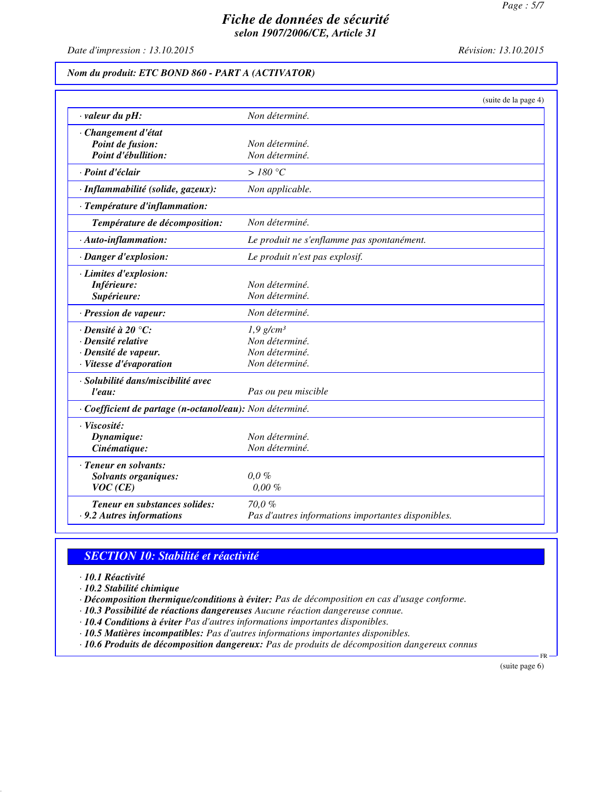*Date d'impression : 13.10.2015 Révision: 13.10.2015*

### *Nom du produit: ETC BOND 860 - PART A (ACTIVATOR)*

|                                                          | (suite de la page 4)                               |
|----------------------------------------------------------|----------------------------------------------------|
| $\cdot$ valeur du pH:                                    | Non déterminé.                                     |
| · Changement d'état                                      |                                                    |
| Point de fusion:                                         | Non déterminé.                                     |
| Point d'ébullition:                                      | Non déterminé.                                     |
| · Point d'éclair                                         | >180 °C                                            |
| · Inflammabilité (solide, gazeux):                       | Non applicable.                                    |
| · Température d'inflammation:                            |                                                    |
| Température de décomposition:                            | Non déterminé.                                     |
| $\cdot$ Auto-inflammation:                               | Le produit ne s'enflamme pas spontanément.         |
| · Danger d'explosion:                                    | Le produit n'est pas explosif.                     |
| · Limites d'explosion:                                   |                                                    |
| Inférieure:                                              | Non déterminé.                                     |
| Supérieure:                                              | Non déterminé.                                     |
| · Pression de vapeur:                                    | Non déterminé.                                     |
| $\cdot$ Densité à 20 °C:                                 | $1,9$ g/cm <sup>3</sup>                            |
| · Densité relative                                       | Non déterminé.                                     |
| · Densité de vapeur.                                     | Non déterminé.                                     |
| · Vitesse d'évaporation                                  | Non déterminé.                                     |
| · Solubilité dans/miscibilité avec                       |                                                    |
| l'eau:                                                   | Pas ou peu miscible                                |
| · Coefficient de partage (n-octanol/eau): Non déterminé. |                                                    |
| · Viscosité:                                             |                                                    |
| Dynamique:                                               | Non déterminé.                                     |
| Cinématique:                                             | Non déterminé.                                     |
| · Teneur en solvants:                                    |                                                    |
| <b>Solvants organiques:</b>                              | 0,0,0                                              |
| VOC(CE)                                                  | $0.00 \%$                                          |
| Teneur en substances solides:                            | 70,0%                                              |
| .9.2 Autres informations                                 | Pas d'autres informations importantes disponibles. |

## *SECTION 10: Stabilité et réactivité*

*· 10.1 Réactivité*

*· 10.2 Stabilité chimique*

*· Décomposition thermique/conditions à éviter: Pas de décomposition en cas d'usage conforme.*

*· 10.3 Possibilité de réactions dangereuses Aucune réaction dangereuse connue.*

*· 10.4 Conditions à éviter Pas d'autres informations importantes disponibles.*

*· 10.5 Matières incompatibles: Pas d'autres informations importantes disponibles.*

*· 10.6 Produits de décomposition dangereux: Pas de produits de décomposition dangereux connus*

(suite page 6)

FR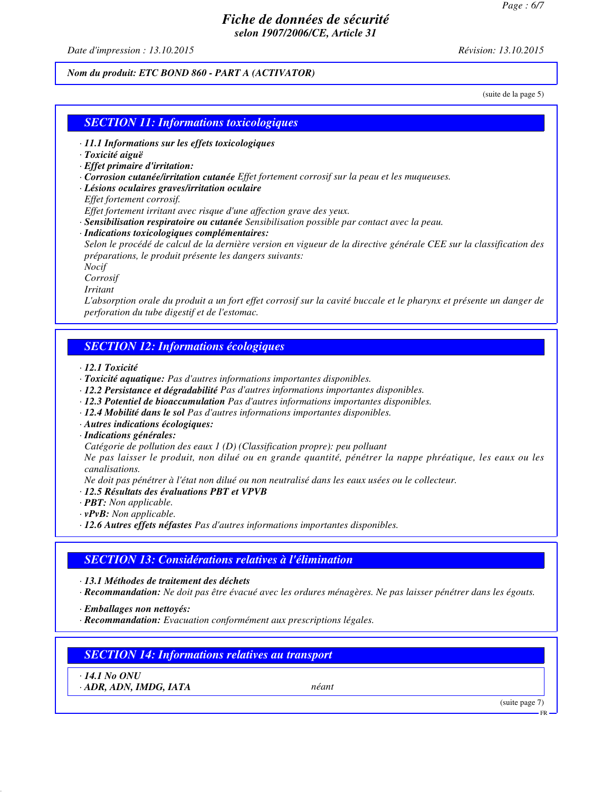*Date d'impression : 13.10.2015 Révision: 13.10.2015*

#### *Nom du produit: ETC BOND 860 - PART A (ACTIVATOR)*

(suite de la page 5)

#### *SECTION 11: Informations toxicologiques*

- *· 11.1 Informations sur les effets toxicologiques*
- *· Toxicité aiguë*
- *· Effet primaire d'irritation:*
- *· Corrosion cutanée/irritation cutanée Effet fortement corrosif sur la peau et les muqueuses.*
- *· Lésions oculaires graves/irritation oculaire*
- *Effet fortement corrosif.*
- *Effet fortement irritant avec risque d'une affection grave des yeux.*
- *· Sensibilisation respiratoire ou cutanée Sensibilisation possible par contact avec la peau.*
- *· Indications toxicologiques complémentaires:*

*Selon le procédé de calcul de la dernière version en vigueur de la directive générale CEE sur la classification des préparations, le produit présente les dangers suivants:*

*Nocif*

*Corrosif*

*Irritant*

*L'absorption orale du produit a un fort effet corrosif sur la cavité buccale et le pharynx et présente un danger de perforation du tube digestif et de l'estomac.*

#### *SECTION 12: Informations écologiques*

*· 12.1 Toxicité*

- *· Toxicité aquatique: Pas d'autres informations importantes disponibles.*
- *· 12.2 Persistance et dégradabilité Pas d'autres informations importantes disponibles.*
- *· 12.3 Potentiel de bioaccumulation Pas d'autres informations importantes disponibles.*
- *· 12.4 Mobilité dans le sol Pas d'autres informations importantes disponibles.*
- *· Autres indications écologiques:*
- *· Indications générales:*

*Catégorie de pollution des eaux 1 (D) (Classification propre): peu polluant*

*Ne pas laisser le produit, non dilué ou en grande quantité, pénétrer la nappe phréatique, les eaux ou les canalisations.*

*Ne doit pas pénétrer à l'état non dilué ou non neutralisé dans les eaux usées ou le collecteur.*

- *· 12.5 Résultats des évaluations PBT et VPVB*
- *· PBT: Non applicable.*
- *· vPvB: Non applicable.*
- *· 12.6 Autres effets néfastes Pas d'autres informations importantes disponibles.*

### *SECTION 13: Considérations relatives à l'élimination*

*· 13.1 Méthodes de traitement des déchets*

*· Recommandation: Ne doit pas être évacué avec les ordures ménagères. Ne pas laisser pénétrer dans les égouts.*

*· Emballages non nettoyés:*

*· Recommandation: Evacuation conformément aux prescriptions légales.*

## *SECTION 14: Informations relatives au transport*

*· 14.1 No ONU*

*· ADR, ADN, IMDG, IATA néant*

(suite page 7)

FR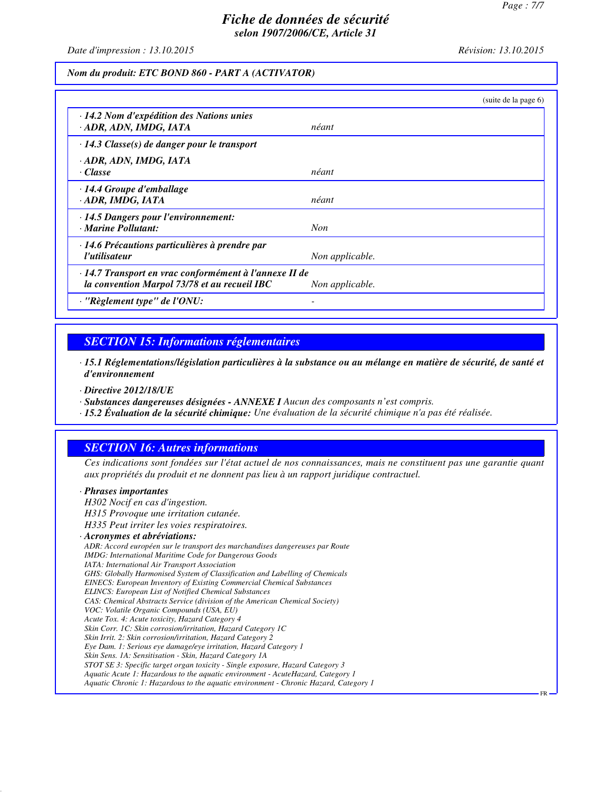FR

### *Fiche de données de sécurité selon 1907/2006/CE, Article 31*

*Date d'impression : 13.10.2015 Révision: 13.10.2015*

#### *Nom du produit: ETC BOND 860 - PART A (ACTIVATOR)*

|                                                                                                        | (suite de la page 6) |
|--------------------------------------------------------------------------------------------------------|----------------------|
| · 14.2 Nom d'expédition des Nations unies<br>· ADR, ADN, IMDG, IATA                                    | néant                |
| $\cdot$ 14.3 Classe(s) de danger pour le transport                                                     |                      |
| · ADR, ADN, IMDG, IATA<br>· Classe                                                                     | néant                |
| $\cdot$ 14.4 Groupe d'emballage<br>· ADR, IMDG, IATA                                                   | néant                |
| $\cdot$ 14.5 Dangers pour l'environnement:<br>· Marine Pollutant:                                      | <b>Non</b>           |
| · 14.6 Précautions particulières à prendre par<br>l'utilisateur                                        | Non applicable.      |
| · 14.7 Transport en vrac conformément à l'annexe II de<br>la convention Marpol 73/78 et au recueil IBC | Non applicable.      |
| $\cdot$ "Règlement type" de l'ONU:                                                                     |                      |

#### *SECTION 15: Informations réglementaires*

*· 15.1 Réglementations/législation particulières à la substance ou au mélange en matière de sécurité, de santé et d'environnement*

*· Directive 2012/18/UE*

*· Substances dangereuses désignées - ANNEXE I Aucun des composants n'est compris.*

*· 15.2 Évaluation de la sécurité chimique: Une évaluation de la sécurité chimique n'a pas été réalisée.*

### *SECTION 16: Autres informations*

*Ces indications sont fondées sur l'état actuel de nos connaissances, mais ne constituent pas une garantie quant aux propriétés du produit et ne donnent pas lieu à un rapport juridique contractuel.*

#### *· Phrases importantes*

*H302 Nocif en cas d'ingestion. H315 Provoque une irritation cutanée. H335 Peut irriter les voies respiratoires. · Acronymes et abréviations: ADR: Accord européen sur le transport des marchandises dangereuses par Route IMDG: International Maritime Code for Dangerous Goods IATA: International Air Transport Association GHS: Globally Harmonised System of Classification and Labelling of Chemicals EINECS: European Inventory of Existing Commercial Chemical Substances ELINCS: European List of Notified Chemical Substances CAS: Chemical Abstracts Service (division of the American Chemical Society) VOC: Volatile Organic Compounds (USA, EU) Acute Tox. 4: Acute toxicity, Hazard Category 4 Skin Corr. 1C: Skin corrosion/irritation, Hazard Category 1C Skin Irrit. 2: Skin corrosion/irritation, Hazard Category 2 Eye Dam. 1: Serious eye damage/eye irritation, Hazard Category 1 Skin Sens. 1A: Sensitisation - Skin, Hazard Category 1A STOT SE 3: Specific target organ toxicity - Single exposure, Hazard Category 3 Aquatic Acute 1: Hazardous to the aquatic environment - AcuteHazard, Category 1 Aquatic Chronic 1: Hazardous to the aquatic environment - Chronic Hazard, Category 1*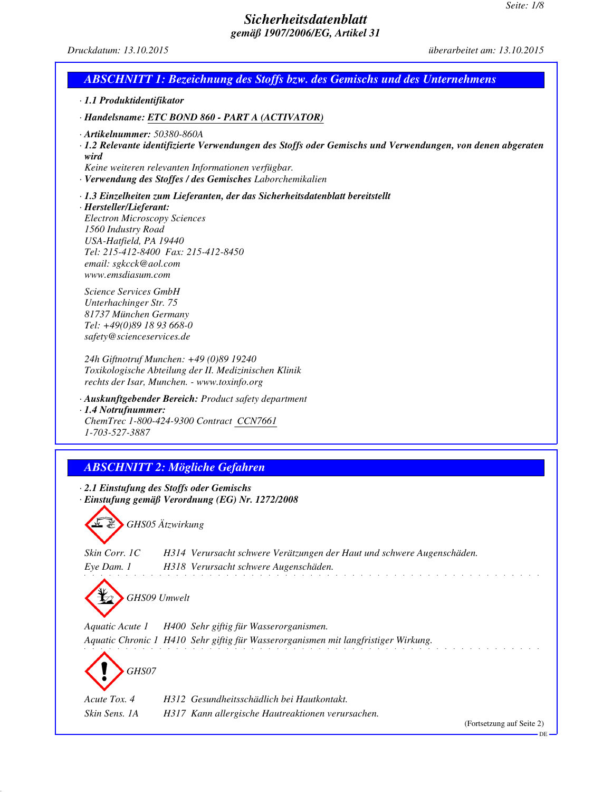*Druckdatum: 13.10.2015 überarbeitet am: 13.10.2015*

# *ABSCHNITT 1: Bezeichnung des Stoffs bzw. des Gemischs und des Unternehmens*

*· 1.1 Produktidentifikator*

*· Handelsname: ETC BOND 860 - PART A (ACTIVATOR)*

- *· Artikelnummer: 50380-860A*
- *· 1.2 Relevante identifizierte Verwendungen des Stoffs oder Gemischs und Verwendungen, von denen abgeraten wird*
- *Keine weiteren relevanten Informationen verfügbar.*
- *· Verwendung des Stoffes / des Gemisches Laborchemikalien*

#### *· 1.3 Einzelheiten zum Lieferanten, der das Sicherheitsdatenblatt bereitstellt*

*· Hersteller/Lieferant:*

*Electron Microscopy Sciences 1560 Industry Road USA-Hatfield, PA 19440 Tel: 215-412-8400 Fax: 215-412-8450 email: sgkcck@aol.com www.emsdiasum.com*

*Science Services GmbH Unterhachinger Str. 75 81737 München Germany Tel: +49(0)89 18 93 668-0 safety@scienceservices.de*

*24h Giftnotruf Munchen: +49 (0)89 19240 Toxikologische Abteilung der II. Medizinischen Klinik rechts der Isar, Munchen. - www.toxinfo.org*

*· Auskunftgebender Bereich: Product safety department*

*· 1.4 Notrufnummer: ChemTrec 1-800-424-9300 Contract CCN7661 1-703-527-3887*

## *ABSCHNITT 2: Mögliche Gefahren*

*· 2.1 Einstufung des Stoffs oder Gemischs · Einstufung gemäß Verordnung (EG) Nr. 1272/2008*

*GHS05 Ätzwirkung*

*Skin Corr. 1C H314 Verursacht schwere Verätzungen der Haut und schwere Augenschäden. Eye Dam. 1 H318 Verursacht schwere Augenschäden.* and the company of the state of

*GHS09 Umwelt*

*Aquatic Acute 1 H400 Sehr giftig für Wasserorganismen.*

*Aquatic Chronic 1 H410 Sehr giftig für Wasserorganismen mit langfristiger Wirkung.*

*GHS07*

*Acute Tox. 4 H312 Gesundheitsschädlich bei Hautkontakt. Skin Sens. 1A H317 Kann allergische Hautreaktionen verursachen.*

(Fortsetzung auf Seite 2)

DE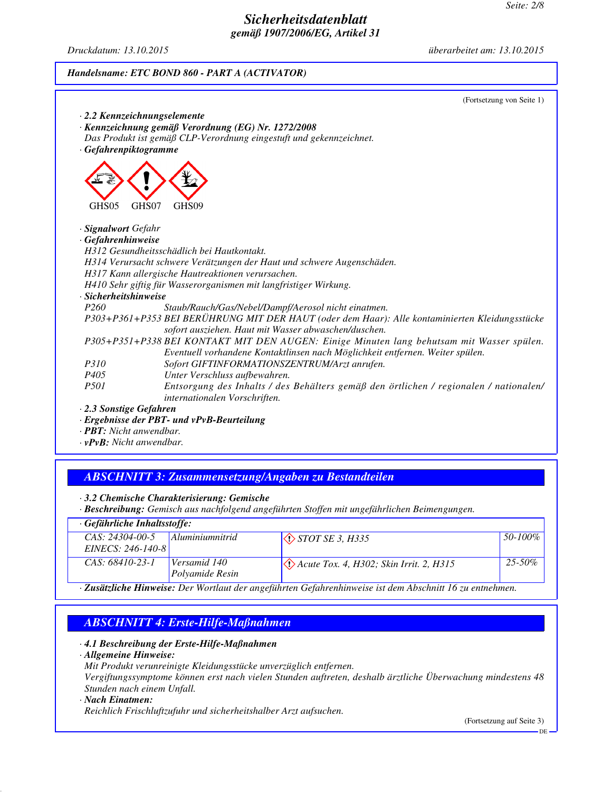*Druckdatum: 13.10.2015 überarbeitet am: 13.10.2015*

#### *Handelsname: ETC BOND 860 - PART A (ACTIVATOR)*

|                            | (Fortsetzung von Seite 1)                                                                                                                              |
|----------------------------|--------------------------------------------------------------------------------------------------------------------------------------------------------|
|                            | $\cdot$ 2.2 Kennzeichnungselemente                                                                                                                     |
|                            | · Kennzeichnung gemäß Verordnung (EG) Nr. 1272/2008                                                                                                    |
|                            | Das Produkt ist gemäß CLP-Verordnung eingestuft und gekennzeichnet.                                                                                    |
| · Gefahrenpiktogramme      |                                                                                                                                                        |
|                            |                                                                                                                                                        |
| GHS05                      | GHS07<br>GHS <sub>09</sub>                                                                                                                             |
| · <b>Signalwort</b> Gefahr |                                                                                                                                                        |
| · Gefahrenhinweise         |                                                                                                                                                        |
|                            | H312 Gesundheitsschädlich bei Hautkontakt.                                                                                                             |
|                            | H314 Verursacht schwere Verätzungen der Haut und schwere Augenschäden.                                                                                 |
|                            | H317 Kann allergische Hautreaktionen verursachen.                                                                                                      |
|                            | H410 Sehr giftig für Wasserorganismen mit langfristiger Wirkung.                                                                                       |
| · Sicherheitshinweise      |                                                                                                                                                        |
| P <sub>260</sub>           | Staub/Rauch/Gas/Nebel/Dampf/Aerosol nicht einatmen.                                                                                                    |
|                            | P303+P361+P353 BEI BERÜHRUNG MIT DER HAUT (oder dem Haar): Alle kontaminierten Kleidungsstücke<br>sofort ausziehen. Haut mit Wasser abwaschen/duschen. |
|                            | P305+P351+P338 BEI KONTAKT MIT DEN AUGEN: Einige Minuten lang behutsam mit Wasser spülen.                                                              |
|                            | Eventuell vorhandene Kontaktlinsen nach Möglichkeit entfernen. Weiter spülen.                                                                          |
| <i>P310</i>                | Sofort GIFTINFORMATIONSZENTRUM/Arzt anrufen.                                                                                                           |
| P <sub>405</sub>           | Unter Verschluss aufbewahren.                                                                                                                          |
| <i>P501</i>                | Entsorgung des Inhalts / des Behälters gemäß den örtlichen / regionalen / nationalen/<br>internationalen Vorschriften.                                 |
| 2.3 Sonstige Gefahren      |                                                                                                                                                        |
|                            | Ergebnisse der PBT- und vPvB-Beurteilung                                                                                                               |

*· PBT: Nicht anwendbar.*

*· vPvB: Nicht anwendbar.*

### *ABSCHNITT 3: Zusammensetzung/Angaben zu Bestandteilen*

*· 3.2 Chemische Charakterisierung: Gemische*

*· Beschreibung: Gemisch aus nachfolgend angeführten Stoffen mit ungefährlichen Beimengungen.*

| $\cdot$ Gefährliche Inhaltsstoffe:                                  |                                 |                                                                 |              |
|---------------------------------------------------------------------|---------------------------------|-----------------------------------------------------------------|--------------|
| $CAS: 24304-00-5$                                                   | <i>Aluminiumnitrid</i>          | $\Diamond$ <i>STOT SE 3, H335</i>                               | $50 - 100\%$ |
| EINECS: $246-140-8$                                                 |                                 |                                                                 |              |
| $CAS: 68410-23-1$                                                   | Versamid 140<br>Polyamide Resin | $\langle \cdot \rangle$ Acute Tox. 4, H302; Skin Irrit. 2, H315 | $25 - 50\%$  |
| $\sigma$ with $\pi$ in $\pi$ and $\sigma$ and $\sigma$ is the $\pi$ |                                 |                                                                 |              |

*· Zusätzliche Hinweise: Der Wortlaut der angeführten Gefahrenhinweise ist dem Abschnitt 16 zu entnehmen.*

## *ABSCHNITT 4: Erste-Hilfe-Maßnahmen*

*· 4.1 Beschreibung der Erste-Hilfe-Maßnahmen*

*· Allgemeine Hinweise:*

*Mit Produkt verunreinigte Kleidungsstücke unverzüglich entfernen.*

*Vergiftungssymptome können erst nach vielen Stunden auftreten, deshalb ärztliche Überwachung mindestens 48 Stunden nach einem Unfall.*

#### *· Nach Einatmen:*

*Reichlich Frischluftzufuhr und sicherheitshalber Arzt aufsuchen.*

(Fortsetzung auf Seite 3)

DE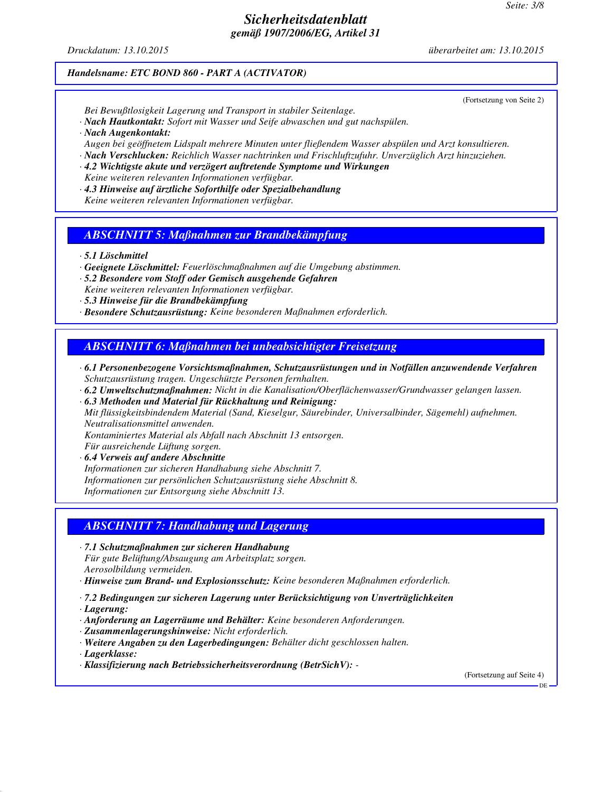*Druckdatum: 13.10.2015 überarbeitet am: 13.10.2015*

(Fortsetzung von Seite 2)

#### *Handelsname: ETC BOND 860 - PART A (ACTIVATOR)*

*Bei Bewußtlosigkeit Lagerung und Transport in stabiler Seitenlage.*

- *· Nach Hautkontakt: Sofort mit Wasser und Seife abwaschen und gut nachspülen.*
- *· Nach Augenkontakt:*

*Augen bei geöffnetem Lidspalt mehrere Minuten unter fließendem Wasser abspülen und Arzt konsultieren.*

- *· Nach Verschlucken: Reichlich Wasser nachtrinken und Frischluftzufuhr. Unverzüglich Arzt hinzuziehen.*
- *· 4.2 Wichtigste akute und verzögert auftretende Symptome und Wirkungen Keine weiteren relevanten Informationen verfügbar.*
- *· 4.3 Hinweise auf ärztliche Soforthilfe oder Spezialbehandlung Keine weiteren relevanten Informationen verfügbar.*

### *ABSCHNITT 5: Maßnahmen zur Brandbekämpfung*

*· 5.1 Löschmittel*

- *· Geeignete Löschmittel: Feuerlöschmaßnahmen auf die Umgebung abstimmen.*
- *· 5.2 Besondere vom Stoff oder Gemisch ausgehende Gefahren Keine weiteren relevanten Informationen verfügbar.*
- *· 5.3 Hinweise für die Brandbekämpfung*
- *· Besondere Schutzausrüstung: Keine besonderen Maßnahmen erforderlich.*

### *ABSCHNITT 6: Maßnahmen bei unbeabsichtigter Freisetzung*

- *· 6.1 Personenbezogene Vorsichtsmaßnahmen, Schutzausrüstungen und in Notfällen anzuwendende Verfahren Schutzausrüstung tragen. Ungeschützte Personen fernhalten.*
- *· 6.2 Umweltschutzmaßnahmen: Nicht in die Kanalisation/Oberflächenwasser/Grundwasser gelangen lassen.*
- *· 6.3 Methoden und Material für Rückhaltung und Reinigung: Mit flüssigkeitsbindendem Material (Sand, Kieselgur, Säurebinder, Universalbinder, Sägemehl) aufnehmen. Neutralisationsmittel anwenden. Kontaminiertes Material als Abfall nach Abschnitt 13 entsorgen.*

*Für ausreichende Lüftung sorgen.*

*· 6.4 Verweis auf andere Abschnitte*

*Informationen zur sicheren Handhabung siehe Abschnitt 7. Informationen zur persönlichen Schutzausrüstung siehe Abschnitt 8. Informationen zur Entsorgung siehe Abschnitt 13.*

## *ABSCHNITT 7: Handhabung und Lagerung*

*· 7.1 Schutzmaßnahmen zur sicheren Handhabung Für gute Belüftung/Absaugung am Arbeitsplatz sorgen. Aerosolbildung vermeiden.*

*· Hinweise zum Brand- und Explosionsschutz: Keine besonderen Maßnahmen erforderlich.*

*· 7.2 Bedingungen zur sicheren Lagerung unter Berücksichtigung von Unverträglichkeiten*

*· Lagerung:*

- *· Anforderung an Lagerräume und Behälter: Keine besonderen Anforderungen.*
- *· Zusammenlagerungshinweise: Nicht erforderlich.*
- *· Weitere Angaben zu den Lagerbedingungen: Behälter dicht geschlossen halten.*

*· Lagerklasse:*

*· Klassifizierung nach Betriebssicherheitsverordnung (BetrSichV): -* 

(Fortsetzung auf Seite 4)

DE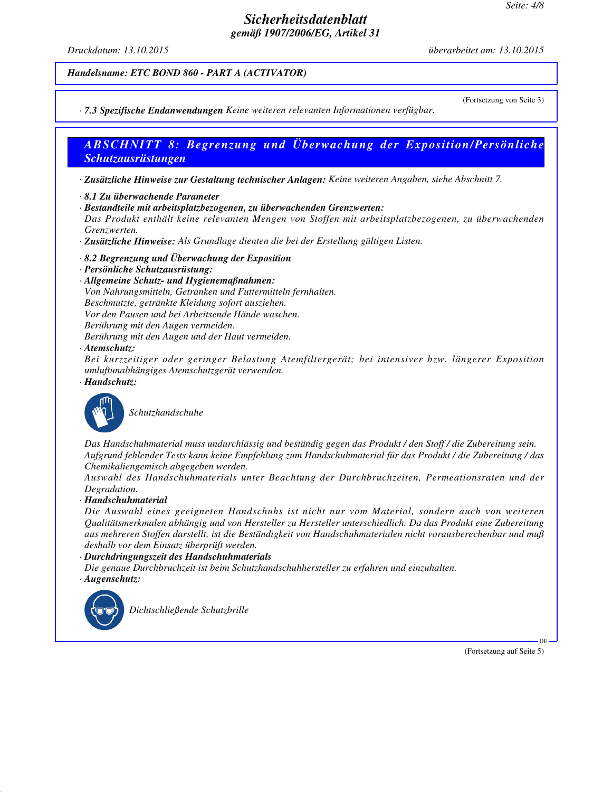*Druckdatum: 13.10.2015 überarbeitet am: 13.10.2015*

(Fortsetzung von Seite 3)

#### *Handelsname: ETC BOND 860 - PART A (ACTIVATOR)*

*· 7.3 Spezifische Endanwendungen Keine weiteren relevanten Informationen verfügbar.*

## *ABSCHNITT 8: Begrenzung und Überwachung der Exposition/Persönliche Schutzausrüstungen*

*· Zusätzliche Hinweise zur Gestaltung technischer Anlagen: Keine weiteren Angaben, siehe Abschnitt 7.*

- *· 8.1 Zu überwachende Parameter*
- *· Bestandteile mit arbeitsplatzbezogenen, zu überwachenden Grenzwerten:*

*Das Produkt enthält keine relevanten Mengen von Stoffen mit arbeitsplatzbezogenen, zu überwachenden Grenzwerten.*

*· Zusätzliche Hinweise: Als Grundlage dienten die bei der Erstellung gültigen Listen.*

- *· 8.2 Begrenzung und Überwachung der Exposition*
- *· Persönliche Schutzausrüstung:*
- *· Allgemeine Schutz- und Hygienemaßnahmen: Von Nahrungsmitteln, Getränken und Futtermitteln fernhalten. Beschmutzte, getränkte Kleidung sofort ausziehen. Vor den Pausen und bei Arbeitsende Hände waschen. Berührung mit den Augen vermeiden. Berührung mit den Augen und der Haut vermeiden. · Atemschutz:*

*Bei kurzzeitiger oder geringer Belastung Atemfiltergerät; bei intensiver bzw. längerer Exposition umluftunabhängiges Atemschutzgerät verwenden.*

*· Handschutz:*



*Schutzhandschuhe*

*Das Handschuhmaterial muss undurchlässig und beständig gegen das Produkt / den Stoff / die Zubereitung sein. Aufgrund fehlender Tests kann keine Empfehlung zum Handschuhmaterial für das Produkt / die Zubereitung / das Chemikaliengemisch abgegeben werden.*

*Auswahl des Handschuhmaterials unter Beachtung der Durchbruchzeiten, Permeationsraten und der Degradation.*

*· Handschuhmaterial*

*Die Auswahl eines geeigneten Handschuhs ist nicht nur vom Material, sondern auch von weiteren Qualitätsmerkmalen abhängig und von Hersteller zu Hersteller unterschiedlich. Da das Produkt eine Zubereitung aus mehreren Stoffen darstellt, ist die Beständigkeit von Handschuhmaterialen nicht vorausberechenbar und muß deshalb vor dem Einsatz überprüft werden.*

*· Durchdringungszeit des Handschuhmaterials*

*Die genaue Durchbruchzeit ist beim Schutzhandschuhhersteller zu erfahren und einzuhalten. · Augenschutz:*



*Dichtschließende Schutzbrille*

(Fortsetzung auf Seite 5)

DE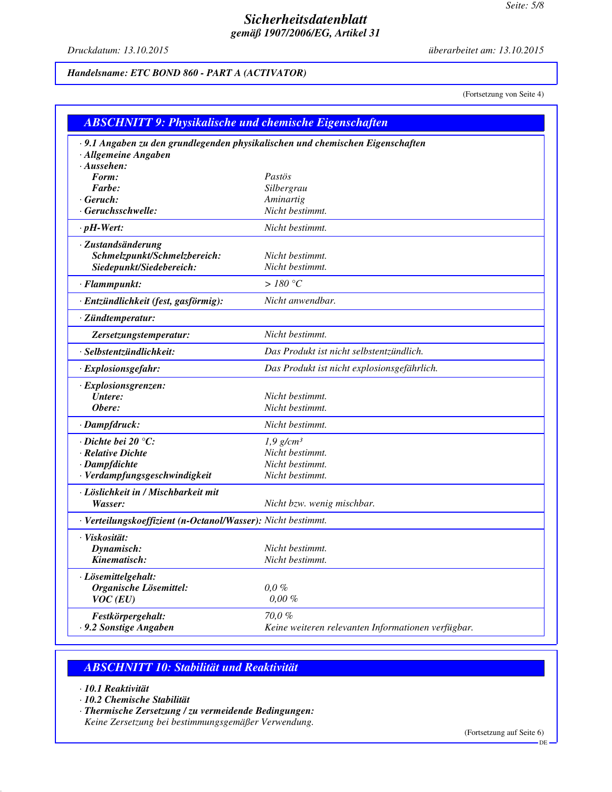*Druckdatum: 13.10.2015 überarbeitet am: 13.10.2015*

## *Handelsname: ETC BOND 860 - PART A (ACTIVATOR)*

(Fortsetzung von Seite 4)

| <b>ABSCHNITT 9: Physikalische und chemische Eigenschaften</b>                                         |                                                    |  |
|-------------------------------------------------------------------------------------------------------|----------------------------------------------------|--|
| ·9.1 Angaben zu den grundlegenden physikalischen und chemischen Eigenschaften<br>· Allgemeine Angaben |                                                    |  |
| $\cdot$ Aussehen:                                                                                     |                                                    |  |
| Form:                                                                                                 | Pastös                                             |  |
| Farbe:                                                                                                | Silbergrau                                         |  |
| $\cdot$ Geruch:                                                                                       | Aminartig                                          |  |
| · Geruchsschwelle:                                                                                    | Nicht bestimmt.                                    |  |
| $\cdot$ pH-Wert:                                                                                      | Nicht bestimmt.                                    |  |
| · Zustandsänderung                                                                                    |                                                    |  |
| Schmelzpunkt/Schmelzbereich:                                                                          | Nicht bestimmt.                                    |  |
| Siedepunkt/Siedebereich:                                                                              | Nicht bestimmt.                                    |  |
| · Flammpunkt:                                                                                         | $>180\ ^{\circ}C$                                  |  |
| · Entzündlichkeit (fest, gasförmig):                                                                  | Nicht anwendbar.                                   |  |
| · Zündtemperatur:                                                                                     |                                                    |  |
| Zersetzungstemperatur:                                                                                | Nicht bestimmt.                                    |  |
| · Selbstentzündlichkeit:                                                                              | Das Produkt ist nicht selbstentzündlich.           |  |
| · Explosionsgefahr:                                                                                   | Das Produkt ist nicht explosionsgefährlich.        |  |
| · Explosionsgrenzen:                                                                                  |                                                    |  |
| Untere:                                                                                               | Nicht bestimmt.                                    |  |
| Obere:                                                                                                | Nicht bestimmt.                                    |  |
| · Dampfdruck:                                                                                         | Nicht bestimmt.                                    |  |
| $\cdot$ Dichte bei 20 $\degree$ C:                                                                    | $1,9$ g/cm <sup>3</sup>                            |  |
| · Relative Dichte                                                                                     | Nicht bestimmt.                                    |  |
| · Dampfdichte                                                                                         | Nicht bestimmt.                                    |  |
| · Verdampfungsgeschwindigkeit                                                                         | Nicht bestimmt.                                    |  |
| · Löslichkeit in / Mischbarkeit mit                                                                   |                                                    |  |
| Wasser:                                                                                               | Nicht bzw. wenig mischbar.                         |  |
| · Verteilungskoeffizient (n-Octanol/Wasser): Nicht bestimmt.                                          |                                                    |  |
| · Viskosität:                                                                                         |                                                    |  |
| Dynamisch:                                                                                            | Nicht bestimmt.                                    |  |
| Kinematisch:                                                                                          | Nicht bestimmt.                                    |  |
| · Lösemittelgehalt:                                                                                   |                                                    |  |
| Organische Lösemittel:                                                                                | $0,0\%$                                            |  |
| $VOC$ (EU)                                                                                            | $0.00 \%$                                          |  |
| Festkörpergehalt:                                                                                     | 70,0%                                              |  |
| - 9.2 Sonstige Angaben                                                                                | Keine weiteren relevanten Informationen verfügbar. |  |

## *ABSCHNITT 10: Stabilität und Reaktivität*

- *· 10.1 Reaktivität*
- *· 10.2 Chemische Stabilität*
- *· Thermische Zersetzung / zu vermeidende Bedingungen:*

*Keine Zersetzung bei bestimmungsgemäßer Verwendung.*

(Fortsetzung auf Seite 6)

DE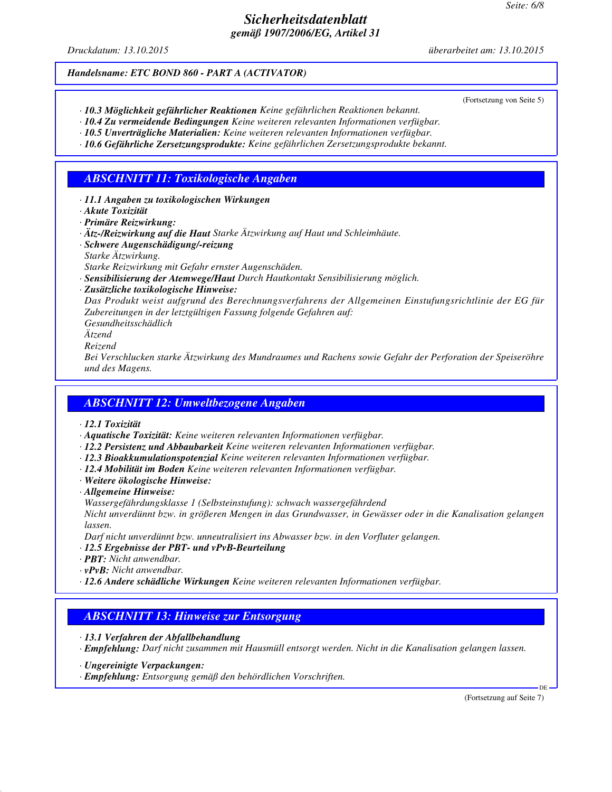*Druckdatum: 13.10.2015 überarbeitet am: 13.10.2015*

#### *Handelsname: ETC BOND 860 - PART A (ACTIVATOR)*

(Fortsetzung von Seite 5)

- *· 10.3 Möglichkeit gefährlicher Reaktionen Keine gefährlichen Reaktionen bekannt.*
- *· 10.4 Zu vermeidende Bedingungen Keine weiteren relevanten Informationen verfügbar. · 10.5 Unverträgliche Materialien: Keine weiteren relevanten Informationen verfügbar.*

*· 10.6 Gefährliche Zersetzungsprodukte: Keine gefährlichen Zersetzungsprodukte bekannt.*

## *ABSCHNITT 11: Toxikologische Angaben*

*· 11.1 Angaben zu toxikologischen Wirkungen*

*· Akute Toxizität*

*· Primäre Reizwirkung:*

- *· Ätz-/Reizwirkung auf die Haut Starke Ätzwirkung auf Haut und Schleimhäute.*
- *· Schwere Augenschädigung/-reizung*
- *Starke Ätzwirkung.*

*Starke Reizwirkung mit Gefahr ernster Augenschäden.*

- *· Sensibilisierung der Atemwege/Haut Durch Hautkontakt Sensibilisierung möglich.*
- *· Zusätzliche toxikologische Hinweise:*

*Das Produkt weist aufgrund des Berechnungsverfahrens der Allgemeinen Einstufungsrichtlinie der EG für Zubereitungen in der letztgültigen Fassung folgende Gefahren auf:*

*Gesundheitsschädlich Ätzend*

*Reizend*

*Bei Verschlucken starke Ätzwirkung des Mundraumes und Rachens sowie Gefahr der Perforation der Speiseröhre und des Magens.*

### *ABSCHNITT 12: Umweltbezogene Angaben*

- *· 12.1 Toxizität*
- *· Aquatische Toxizität: Keine weiteren relevanten Informationen verfügbar.*
- *· 12.2 Persistenz und Abbaubarkeit Keine weiteren relevanten Informationen verfügbar.*
- *· 12.3 Bioakkumulationspotenzial Keine weiteren relevanten Informationen verfügbar.*
- *· 12.4 Mobilität im Boden Keine weiteren relevanten Informationen verfügbar.*
- *· Weitere ökologische Hinweise:*
- *· Allgemeine Hinweise:*

*Wassergefährdungsklasse 1 (Selbsteinstufung): schwach wassergefährdend*

*Nicht unverdünnt bzw. in größeren Mengen in das Grundwasser, in Gewässer oder in die Kanalisation gelangen lassen.*

*Darf nicht unverdünnt bzw. unneutralisiert ins Abwasser bzw. in den Vorfluter gelangen.*

- *· 12.5 Ergebnisse der PBT- und vPvB-Beurteilung*
- *· PBT: Nicht anwendbar.*
- *· vPvB: Nicht anwendbar.*
- *· 12.6 Andere schädliche Wirkungen Keine weiteren relevanten Informationen verfügbar.*

### *ABSCHNITT 13: Hinweise zur Entsorgung*

*· 13.1 Verfahren der Abfallbehandlung*

*· Empfehlung: Darf nicht zusammen mit Hausmüll entsorgt werden. Nicht in die Kanalisation gelangen lassen.*

- *· Ungereinigte Verpackungen:*
- *· Empfehlung: Entsorgung gemäß den behördlichen Vorschriften.*

(Fortsetzung auf Seite 7)

DE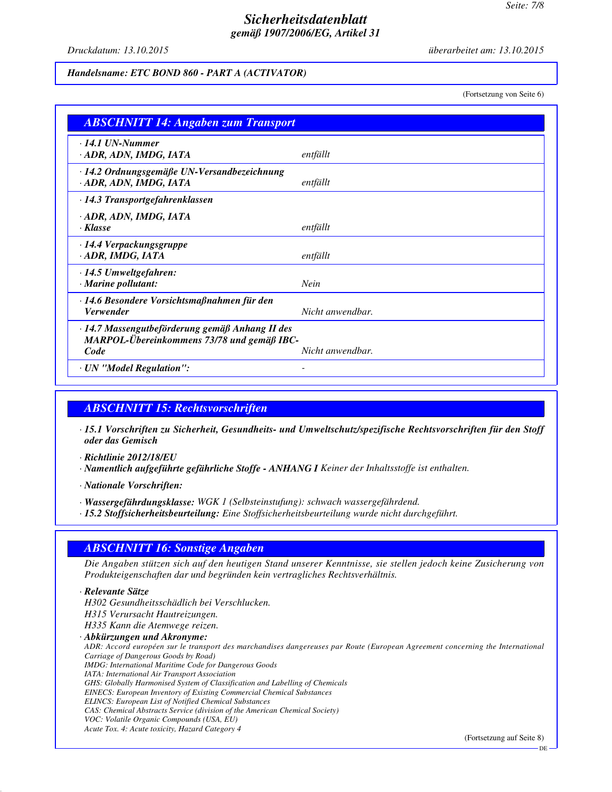*Druckdatum: 13.10.2015 überarbeitet am: 13.10.2015*

#### *Handelsname: ETC BOND 860 - PART A (ACTIVATOR)*

(Fortsetzung von Seite 6)

| <b>ABSCHNITT 14: Angaben zum Transport</b>                                                            |                  |  |
|-------------------------------------------------------------------------------------------------------|------------------|--|
| $\cdot$ 14.1 UN-Nummer<br>· ADR, ADN, IMDG, IATA                                                      | entfällt         |  |
| · 14.2 Ordnungsgemäße UN-Versandbezeichnung<br>· ADR, ADN, IMDG, IATA                                 | entfällt         |  |
| · 14.3 Transportgefahrenklassen                                                                       |                  |  |
| · ADR, ADN, IMDG, IATA<br>· Klasse                                                                    | entfällt         |  |
| $\cdot$ 14.4 Verpackungsgruppe<br>ADR, IMDG, IATA                                                     | entfällt         |  |
| $\cdot$ 14.5 Umweltgefahren:<br>$\cdot$ Marine pollutant:                                             | <b>Nein</b>      |  |
| ⋅14.6 Besondere Vorsichtsmaßnahmen für den<br><b>Verwender</b>                                        | Nicht anwendbar. |  |
| · 14.7 Massengutbeförderung gemäß Anhang II des<br>MARPOL-Übereinkommens 73/78 und gemäß IBC-<br>Code | Nicht anwendbar. |  |
| · UN "Model Regulation":                                                                              |                  |  |

## *ABSCHNITT 15: Rechtsvorschriften*

*· 15.1 Vorschriften zu Sicherheit, Gesundheits- und Umweltschutz/spezifische Rechtsvorschriften für den Stoff oder das Gemisch*

*· Richtlinie 2012/18/EU*

*· Namentlich aufgeführte gefährliche Stoffe - ANHANG I Keiner der Inhaltsstoffe ist enthalten.*

*· Nationale Vorschriften:*

- *· Wassergefährdungsklasse: WGK 1 (Selbsteinstufung): schwach wassergefährdend.*
- *· 15.2 Stoffsicherheitsbeurteilung: Eine Stoffsicherheitsbeurteilung wurde nicht durchgeführt.*

### *ABSCHNITT 16: Sonstige Angaben*

*Die Angaben stützen sich auf den heutigen Stand unserer Kenntnisse, sie stellen jedoch keine Zusicherung von Produkteigenschaften dar und begründen kein vertragliches Rechtsverhältnis.*

*· Relevante Sätze H302 Gesundheitsschädlich bei Verschlucken. H315 Verursacht Hautreizungen. H335 Kann die Atemwege reizen. · Abkürzungen und Akronyme: ADR: Accord européen sur le transport des marchandises dangereuses par Route (European Agreement concerning the International Carriage of Dangerous Goods by Road) IMDG: International Maritime Code for Dangerous Goods IATA: International Air Transport Association GHS: Globally Harmonised System of Classification and Labelling of Chemicals EINECS: European Inventory of Existing Commercial Chemical Substances ELINCS: European List of Notified Chemical Substances CAS: Chemical Abstracts Service (division of the American Chemical Society) VOC: Volatile Organic Compounds (USA, EU) Acute Tox. 4: Acute toxicity, Hazard Category 4*

(Fortsetzung auf Seite 8)

DE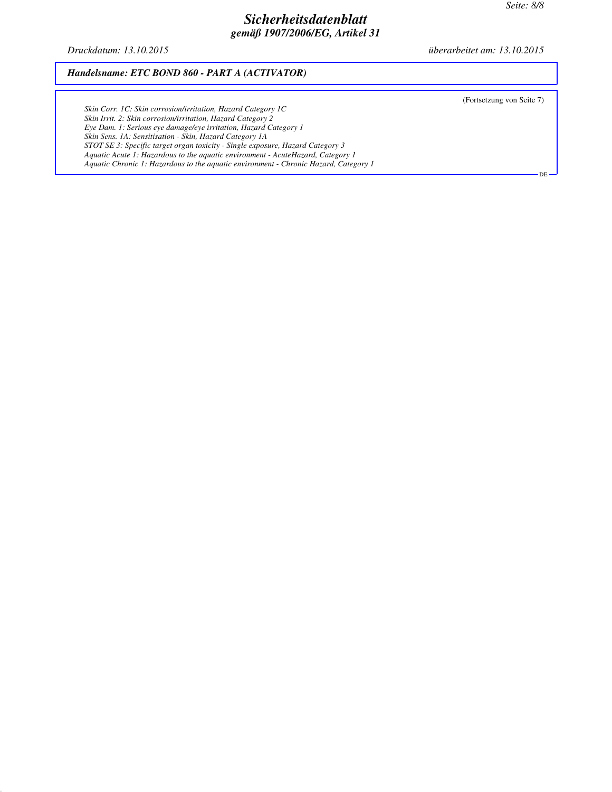DE

## *Sicherheitsdatenblatt gemäß 1907/2006/EG, Artikel 31*

*Druckdatum: 13.10.2015 überarbeitet am: 13.10.2015*

#### *Handelsname: ETC BOND 860 - PART A (ACTIVATOR)*

(Fortsetzung von Seite 7)

*Skin Corr. 1C: Skin corrosion/irritation, Hazard Category 1C Skin Irrit. 2: Skin corrosion/irritation, Hazard Category 2 Eye Dam. 1: Serious eye damage/eye irritation, Hazard Category 1 Skin Sens. 1A: Sensitisation - Skin, Hazard Category 1A STOT SE 3: Specific target organ toxicity - Single exposure, Hazard Category 3 Aquatic Acute 1: Hazardous to the aquatic environment - AcuteHazard, Category 1 Aquatic Chronic 1: Hazardous to the aquatic environment - Chronic Hazard, Category 1*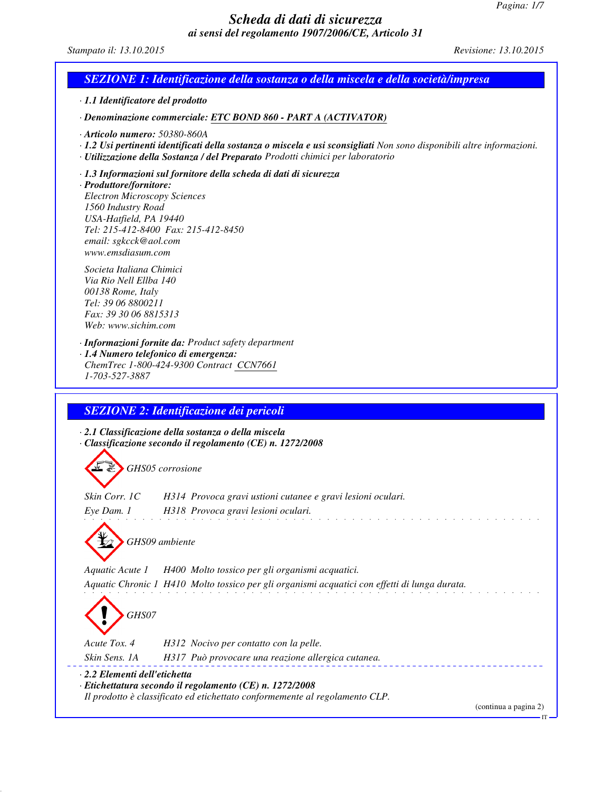### *Scheda di dati di sicurezza ai sensi del regolamento 1907/2006/CE, Articolo 31*

*Stampato il: 13.10.2015 Revisione: 13.10.2015*

### *SEZIONE 1: Identificazione della sostanza o della miscela e della società/impresa*

*· 1.1 Identificatore del prodotto*

*· Denominazione commerciale: ETC BOND 860 - PART A (ACTIVATOR)*

*· Articolo numero: 50380-860A*

- *· 1.2 Usi pertinenti identificati della sostanza o miscela e usi sconsigliati Non sono disponibili altre informazioni.*
- *· Utilizzazione della Sostanza / del Preparato Prodotti chimici per laboratorio*
- *· 1.3 Informazioni sul fornitore della scheda di dati di sicurezza*

*· Produttore/fornitore: Electron Microscopy Sciences 1560 Industry Road USA-Hatfield, PA 19440 Tel: 215-412-8400 Fax: 215-412-8450 email: sgkcck@aol.com www.emsdiasum.com*

*Societa Italiana Chimici Via Rio Nell Ellba 140 00138 Rome, Italy Tel: 39 06 8800211 Fax: 39 30 06 8815313 Web: www.sichim.com*

*· Informazioni fornite da: Product safety department*

*· 1.4 Numero telefonico di emergenza: ChemTrec 1-800-424-9300 Contract CCN7661 1-703-527-3887*

### *SEZIONE 2: Identificazione dei pericoli*

*· 2.1 Classificazione della sostanza o della miscela · Classificazione secondo il regolamento (CE) n. 1272/2008*

*GHS05 corrosione*

*Skin Corr. 1C H314 Provoca gravi ustioni cutanee e gravi lesioni oculari. Eye Dam. 1 H318 Provoca gravi lesioni oculari.*

*GHS09 ambiente*

*Aquatic Acute 1 H400 Molto tossico per gli organismi acquatici. Aquatic Chronic 1 H410 Molto tossico per gli organismi acquatici con effetti di lunga durata.*

*GHS07*

*Acute Tox. 4 H312 Nocivo per contatto con la pelle.*

*Skin Sens. 1A H317 Può provocare una reazione allergica cutanea.*

*· 2.2 Elementi dell'etichetta*

*· Etichettatura secondo il regolamento (CE) n. 1272/2008*

*Il prodotto è classificato ed etichettato conformemente al regolamento CLP.*

(continua a pagina 2)

IT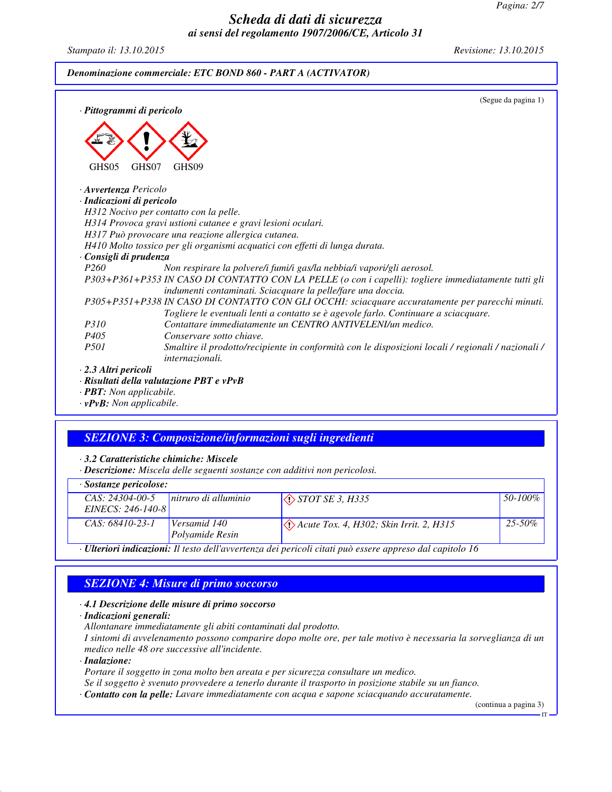*Pagina: 2/7*

### *Scheda di dati di sicurezza ai sensi del regolamento 1907/2006/CE, Articolo 31*

*Stampato il: 13.10.2015 Revisione: 13.10.2015*

#### *Denominazione commerciale: ETC BOND 860 - PART A (ACTIVATOR)*

| · Pittogrammi di pericolo       | (Segue da pagina 1)                                                                                                                                                                    |
|---------------------------------|----------------------------------------------------------------------------------------------------------------------------------------------------------------------------------------|
| GHS05                           | GHS <sub>09</sub><br>GHS07                                                                                                                                                             |
| · <b>Avvertenza</b> Pericolo    |                                                                                                                                                                                        |
| · Indicazioni di pericolo       |                                                                                                                                                                                        |
|                                 | H312 Nocivo per contatto con la pelle.                                                                                                                                                 |
|                                 | H314 Provoca gravi ustioni cutanee e gravi lesioni oculari.                                                                                                                            |
|                                 | H317 Può provocare una reazione allergica cutanea.                                                                                                                                     |
|                                 | H410 Molto tossico per gli organismi acquatici con effetti di lunga durata.                                                                                                            |
| · Consigli di prudenza          |                                                                                                                                                                                        |
| P <sub>260</sub>                | Non respirare la polvere/i fumi/i gas/la nebbia/i vapori/gli aerosol.                                                                                                                  |
|                                 | P303+P361+P353 IN CASO DI CONTATTO CON LA PELLE (o con i capelli): togliere immediatamente tutti gli<br>indumenti contaminati. Sciacquare la pelle/fare una doccia.                    |
|                                 | P305+P351+P338 IN CASO DI CONTATTO CON GLI OCCHI: sciacquare accuratamente per parecchi minuti.<br>Togliere le eventuali lenti a contatto se è agevole farlo. Continuare a sciacquare. |
| <i>P310</i>                     | Contattare immediatamente un CENTRO ANTIVELENI/un medico.                                                                                                                              |
| P <sub>405</sub>                | Conservare sotto chiave.                                                                                                                                                               |
| <i>P501</i>                     | Smaltire il prodotto/recipiente in conformità con le disposizioni locali / regionali / nazionali /<br><i>internazionali.</i>                                                           |
| $\cdot$ 2.3 Altri pericoli      |                                                                                                                                                                                        |
|                                 | $\cdot$ Risultati della valutazione PBT e vPvB                                                                                                                                         |
| · <b>PBT</b> : Non applicabile. |                                                                                                                                                                                        |

*· vPvB: Non applicabile.*

## *SEZIONE 3: Composizione/informazioni sugli ingredienti*

*· 3.2 Caratteristiche chimiche: Miscele*

*· Descrizione: Miscela delle seguenti sostanze con additivi non pericolosi.*

| · Sostanze pericolose:                                                                                          |                      |                                                    |              |  |  |
|-----------------------------------------------------------------------------------------------------------------|----------------------|----------------------------------------------------|--------------|--|--|
| $CAS: 24304-00-5$                                                                                               | nitruro di alluminio | $\Diamond$ <i>STOT SE 3, H335</i>                  | $50 - 100\%$ |  |  |
| EINECS: 246-140-8                                                                                               |                      |                                                    |              |  |  |
| $CAS: 68410-23-1$                                                                                               | Versamid 140         | $\Diamond$ Acute Tox. 4, H302; Skin Irrit. 2, H315 | $25 - 50\%$  |  |  |
|                                                                                                                 | Polyamide Resin      |                                                    |              |  |  |
| · <b>Ulteriori indicazioni:</b> Il testo dell'avvertenza dei pericoli citati può essere appreso dal capitolo 16 |                      |                                                    |              |  |  |

## *SEZIONE 4: Misure di primo soccorso*

#### *· 4.1 Descrizione delle misure di primo soccorso*

*· Indicazioni generali:*

*Allontanare immediatamente gli abiti contaminati dal prodotto.*

*I sintomi di avvelenamento possono comparire dopo molte ore, per tale motivo è necessaria la sorveglianza di un medico nelle 48 ore successive all'incidente.*

*· Inalazione:*

*Portare il soggetto in zona molto ben areata e per sicurezza consultare un medico.*

*Se il soggetto è svenuto provvedere a tenerlo durante il trasporto in posizione stabile su un fianco.*

*· Contatto con la pelle: Lavare immediatamente con acqua e sapone sciacquando accuratamente.*

(continua a pagina 3)

IT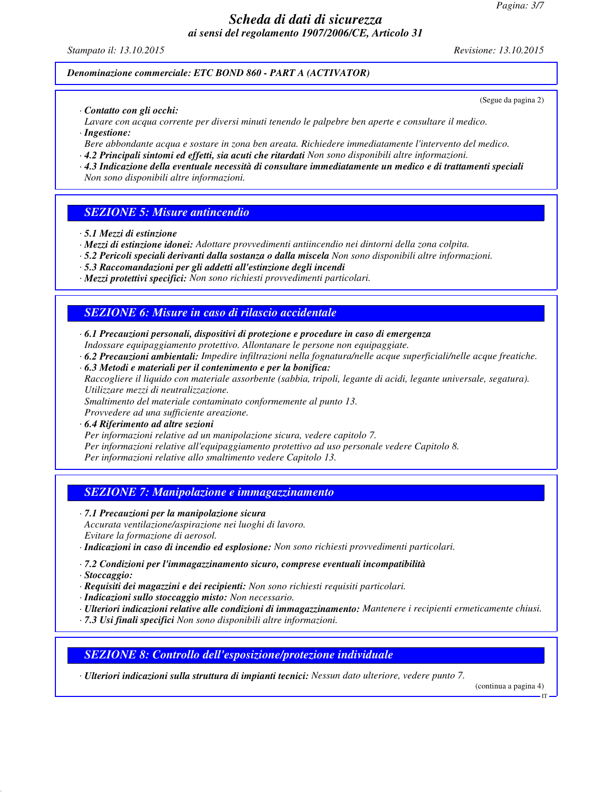### *Scheda di dati di sicurezza ai sensi del regolamento 1907/2006/CE, Articolo 31*

*Stampato il: 13.10.2015 Revisione: 13.10.2015*

(Segue da pagina 2)

#### *Denominazione commerciale: ETC BOND 860 - PART A (ACTIVATOR)*

*· Contatto con gli occhi:*

*Lavare con acqua corrente per diversi minuti tenendo le palpebre ben aperte e consultare il medico. · Ingestione:*

- *Bere abbondante acqua e sostare in zona ben areata. Richiedere immediatamente l'intervento del medico.*
- *· 4.2 Principali sintomi ed effetti, sia acuti che ritardati Non sono disponibili altre informazioni.*
- *· 4.3 Indicazione della eventuale necessità di consultare immediatamente un medico e di trattamenti speciali Non sono disponibili altre informazioni.*

#### *SEZIONE 5: Misure antincendio*

- *· 5.1 Mezzi di estinzione*
- *· Mezzi di estinzione idonei: Adottare provvedimenti antiincendio nei dintorni della zona colpita.*
- *· 5.2 Pericoli speciali derivanti dalla sostanza o dalla miscela Non sono disponibili altre informazioni.*
- *· 5.3 Raccomandazioni per gli addetti all'estinzione degli incendi*
- *· Mezzi protettivi specifici: Non sono richiesti provvedimenti particolari.*

#### *SEZIONE 6: Misure in caso di rilascio accidentale*

- *· 6.1 Precauzioni personali, dispositivi di protezione e procedure in caso di emergenza Indossare equipaggiamento protettivo. Allontanare le persone non equipaggiate.*
- *· 6.2 Precauzioni ambientali: Impedire infiltrazioni nella fognatura/nelle acque superficiali/nelle acque freatiche.*
- *· 6.3 Metodi e materiali per il contenimento e per la bonifica: Raccogliere il liquido con materiale assorbente (sabbia, tripoli, legante di acidi, legante universale, segatura). Utilizzare mezzi di neutralizzazione.*

*Smaltimento del materiale contaminato conformemente al punto 13.*

*Provvedere ad una sufficiente areazione.*

## *· 6.4 Riferimento ad altre sezioni*

- *Per informazioni relative ad un manipolazione sicura, vedere capitolo 7.*
- *Per informazioni relative all'equipaggiamento protettivo ad uso personale vedere Capitolo 8.*

*Per informazioni relative allo smaltimento vedere Capitolo 13.*

#### *SEZIONE 7: Manipolazione e immagazzinamento*

*· 7.1 Precauzioni per la manipolazione sicura*

*Accurata ventilazione/aspirazione nei luoghi di lavoro. Evitare la formazione di aerosol.*

- *· Indicazioni in caso di incendio ed esplosione: Non sono richiesti provvedimenti particolari.*
- *· 7.2 Condizioni per l'immagazzinamento sicuro, comprese eventuali incompatibilità*

*· Stoccaggio:*

- *· Requisiti dei magazzini e dei recipienti: Non sono richiesti requisiti particolari.*
- *· Indicazioni sullo stoccaggio misto: Non necessario.*
- *· Ulteriori indicazioni relative alle condizioni di immagazzinamento: Mantenere i recipienti ermeticamente chiusi.*
- *· 7.3 Usi finali specifici Non sono disponibili altre informazioni.*

*SEZIONE 8: Controllo dell'esposizione/protezione individuale*

*· Ulteriori indicazioni sulla struttura di impianti tecnici: Nessun dato ulteriore, vedere punto 7.*

(continua a pagina 4)

IT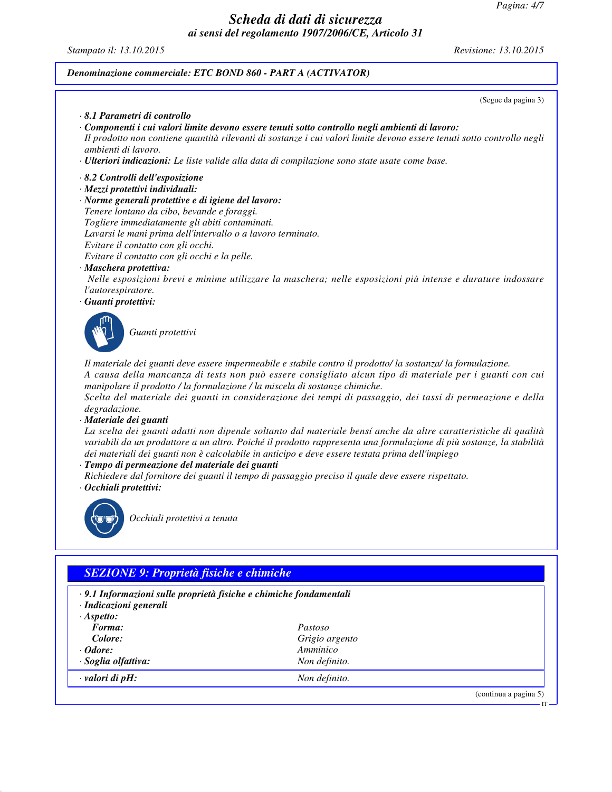*Pagina: 4/7*

## *Scheda di dati di sicurezza ai sensi del regolamento 1907/2006/CE, Articolo 31*

*Stampato il: 13.10.2015 Revisione: 13.10.2015*

(continua a pagina 5)

IT

### *Denominazione commerciale: ETC BOND 860 - PART A (ACTIVATOR)*

*· valori di pH: Non definito.*

|                                                                                                                                                                                                                                                                                                                                                                                                                                            | (Segue da pagina 3)                                                                                                                                                                                                                                                                                                                                                                                                                                                                                                                                                             |
|--------------------------------------------------------------------------------------------------------------------------------------------------------------------------------------------------------------------------------------------------------------------------------------------------------------------------------------------------------------------------------------------------------------------------------------------|---------------------------------------------------------------------------------------------------------------------------------------------------------------------------------------------------------------------------------------------------------------------------------------------------------------------------------------------------------------------------------------------------------------------------------------------------------------------------------------------------------------------------------------------------------------------------------|
| 8.1 Parametri di controllo                                                                                                                                                                                                                                                                                                                                                                                                                 |                                                                                                                                                                                                                                                                                                                                                                                                                                                                                                                                                                                 |
| Componenti i cui valori limite devono essere tenuti sotto controllo negli ambienti di lavoro:<br>ambienti di lavoro.<br>· <b>Ulteriori indicazioni:</b> Le liste valide alla data di compilazione sono state usate come base.                                                                                                                                                                                                              | Il prodotto non contiene quantità rilevanti di sostanze i cui valori limite devono essere tenuti sotto controllo negli                                                                                                                                                                                                                                                                                                                                                                                                                                                          |
| 8.2 Controlli dell'esposizione                                                                                                                                                                                                                                                                                                                                                                                                             |                                                                                                                                                                                                                                                                                                                                                                                                                                                                                                                                                                                 |
| · Mezzi protettivi individuali:<br>· Norme generali protettive e di igiene del lavoro:<br>Tenere lontano da cibo, bevande e foraggi.<br>Togliere immediatamente gli abiti contaminati.<br>Lavarsi le mani prima dell'intervallo o a lavoro terminato.<br>Evitare il contatto con gli occhi.<br>Evitare il contatto con gli occhi e la pelle.<br>· Maschera protettiva:<br>l'autorespiratore.<br>Guanti protettivi:                         | Nelle esposizioni brevi e minime utilizzare la maschera; nelle esposizioni più intense e durature indossare                                                                                                                                                                                                                                                                                                                                                                                                                                                                     |
| Guanti protettivi                                                                                                                                                                                                                                                                                                                                                                                                                          |                                                                                                                                                                                                                                                                                                                                                                                                                                                                                                                                                                                 |
| manipolare il prodotto / la formulazione / la miscela di sostanze chimiche.<br>degradazione.<br>Materiale dei guanti<br>dei materiali dei guanti non è calcolabile in anticipo e deve essere testata prima dell'impiego<br>· Tempo di permeazione del materiale dei guanti<br>Richiedere dal fornitore dei guanti il tempo di passaggio preciso il quale deve essere rispettato.<br>· Occhiali protettivi:<br>Occhiali protettivi a tenuta | Il materiale dei guanti deve essere impermeabile e stabile contro il prodotto/ la sostanza/ la formulazione.<br>A causa della mancanza di tests non può essere consigliato alcun tipo di materiale per i guanti con cui<br>Scelta del materiale dei guanti in considerazione dei tempi di passaggio, dei tassi di permeazione e della<br>La scelta dei guanti adatti non dipende soltanto dal materiale bensí anche da altre caratteristiche di qualità<br>variabili da un produttore a un altro. Poiché il prodotto rappresenta una formulazione di più sostanze, la stabilità |
|                                                                                                                                                                                                                                                                                                                                                                                                                                            |                                                                                                                                                                                                                                                                                                                                                                                                                                                                                                                                                                                 |
|                                                                                                                                                                                                                                                                                                                                                                                                                                            |                                                                                                                                                                                                                                                                                                                                                                                                                                                                                                                                                                                 |
| <b>SEZIONE 9: Proprietà fisiche e chimiche</b>                                                                                                                                                                                                                                                                                                                                                                                             |                                                                                                                                                                                                                                                                                                                                                                                                                                                                                                                                                                                 |
| · 9.1 Informazioni sulle proprietà fisiche e chimiche fondamentali<br>· Indicazioni generali<br>$·$ Aspetto:                                                                                                                                                                                                                                                                                                                               |                                                                                                                                                                                                                                                                                                                                                                                                                                                                                                                                                                                 |
| Forma:                                                                                                                                                                                                                                                                                                                                                                                                                                     | Pastoso                                                                                                                                                                                                                                                                                                                                                                                                                                                                                                                                                                         |
| Colore:                                                                                                                                                                                                                                                                                                                                                                                                                                    | Grigio argento                                                                                                                                                                                                                                                                                                                                                                                                                                                                                                                                                                  |
| Odore:                                                                                                                                                                                                                                                                                                                                                                                                                                     | Amminico                                                                                                                                                                                                                                                                                                                                                                                                                                                                                                                                                                        |
| Soglia olfattiva:                                                                                                                                                                                                                                                                                                                                                                                                                          | Non definito.                                                                                                                                                                                                                                                                                                                                                                                                                                                                                                                                                                   |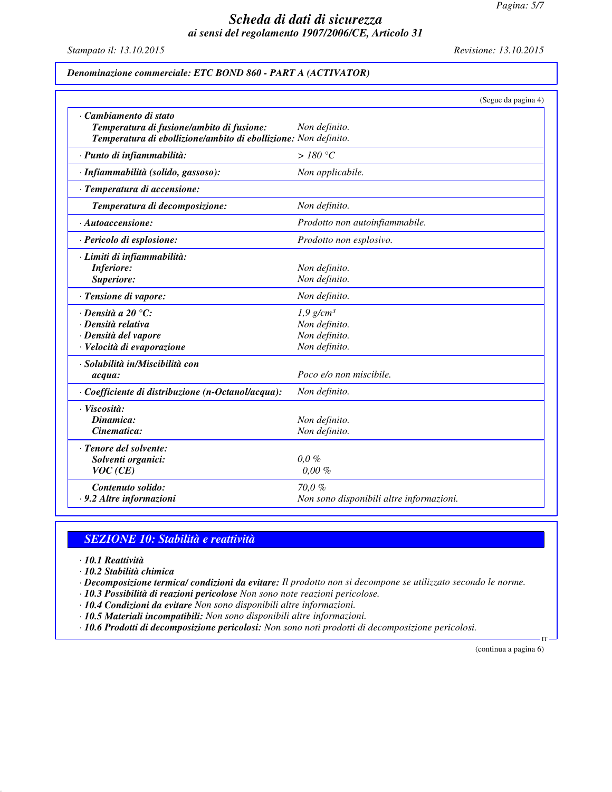*Pagina: 5/7*

## *Scheda di dati di sicurezza ai sensi del regolamento 1907/2006/CE, Articolo 31*

*Stampato il: 13.10.2015 Revisione: 13.10.2015*

*Denominazione commerciale: ETC BOND 860 - PART A (ACTIVATOR)*

|                                                                                                              | (Segue da pagina 4)                      |
|--------------------------------------------------------------------------------------------------------------|------------------------------------------|
| · Cambiamento di stato                                                                                       |                                          |
| Temperatura di fusione/ambito di fusione:<br>Temperatura di ebollizione/ambito di ebollizione: Non definito. | Non definito.                            |
|                                                                                                              | $>180\text{ °C}$                         |
| · Punto di infiammabilità:                                                                                   |                                          |
| · Infiammabilità (solido, gassoso):                                                                          | Non applicabile.                         |
| · Temperatura di accensione:                                                                                 |                                          |
| Temperatura di decomposizione:                                                                               | Non definito.                            |
| $\cdot$ Autoaccensione:                                                                                      | Prodotto non autoinfiammabile.           |
| · Pericolo di esplosione:                                                                                    | Prodotto non esplosivo.                  |
| · Limiti di infiammabilità:                                                                                  |                                          |
| <b>Inferiore:</b>                                                                                            | Non definito.                            |
| Superiore:                                                                                                   | Non definito.                            |
| · Tensione di vapore:                                                                                        | Non definito.                            |
| $\cdot$ Densità a 20 $\degree$ C:                                                                            | $1,9$ g/cm <sup>3</sup>                  |
| · Densità relativa                                                                                           | Non definito.                            |
| · Densità del vapore                                                                                         | Non definito.                            |
| · Velocità di evaporazione                                                                                   | Non definito.                            |
| · Solubilità in/Miscibilità con                                                                              |                                          |
| acqua:                                                                                                       | Poco e/o non miscibile.                  |
| · Coefficiente di distribuzione (n-Octanol/acqua):                                                           | Non definito.                            |
| · Viscosità:                                                                                                 |                                          |
| Dinamica:                                                                                                    | Non definito.                            |
| Cinematica:                                                                                                  | Non definito.                            |
| · Tenore del solvente:                                                                                       |                                          |
| Solventi organici:                                                                                           | $0.0 \%$                                 |
| VOC(CE)                                                                                                      | $0,00\%$                                 |
| Contenuto solido:                                                                                            | 70,0%                                    |
| · 9.2 Altre informazioni                                                                                     | Non sono disponibili altre informazioni. |

### *SEZIONE 10: Stabilità e reattività*

- *· 10.1 Reattività*
- *· 10.2 Stabilità chimica*
- *· Decomposizione termica/ condizioni da evitare: Il prodotto non si decompone se utilizzato secondo le norme.*
- *· 10.3 Possibilità di reazioni pericolose Non sono note reazioni pericolose.*
- *· 10.4 Condizioni da evitare Non sono disponibili altre informazioni.*
- *· 10.5 Materiali incompatibili: Non sono disponibili altre informazioni.*
- *· 10.6 Prodotti di decomposizione pericolosi: Non sono noti prodotti di decomposizione pericolosi.*

(continua a pagina 6)

IT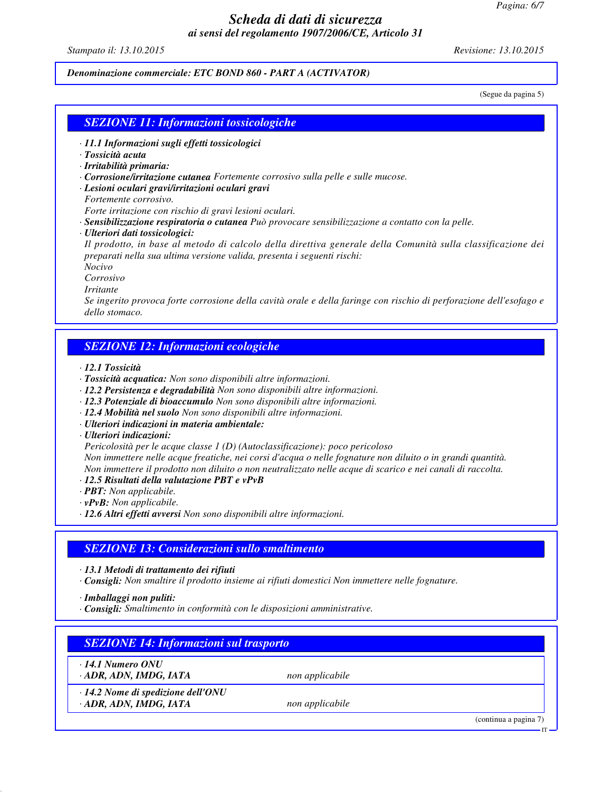*Pagina: 6/7*

### *Scheda di dati di sicurezza ai sensi del regolamento 1907/2006/CE, Articolo 31*

*Stampato il: 13.10.2015 Revisione: 13.10.2015*

*Denominazione commerciale: ETC BOND 860 - PART A (ACTIVATOR)*

(Segue da pagina 5)

#### *SEZIONE 11: Informazioni tossicologiche*

- *· 11.1 Informazioni sugli effetti tossicologici*
- *· Tossicità acuta*
- *· Irritabilità primaria:*
- *· Corrosione/irritazione cutanea Fortemente corrosivo sulla pelle e sulle mucose.*
- *· Lesioni oculari gravi/irritazioni oculari gravi*
- *Fortemente corrosivo.*

*Forte irritazione con rischio di gravi lesioni oculari.*

- *· Sensibilizzazione respiratoria o cutanea Può provocare sensibilizzazione a contatto con la pelle.*
- *· Ulteriori dati tossicologici:*

*Il prodotto, in base al metodo di calcolo della direttiva generale della Comunità sulla classificazione dei preparati nella sua ultima versione valida, presenta i seguenti rischi:*

*Nocivo*

*Corrosivo*

*Irritante*

*Se ingerito provoca forte corrosione della cavità orale e della faringe con rischio di perforazione dell'esofago e dello stomaco.*

## *SEZIONE 12: Informazioni ecologiche*

*· 12.1 Tossicità*

- *· Tossicità acquatica: Non sono disponibili altre informazioni.*
- *· 12.2 Persistenza e degradabilità Non sono disponibili altre informazioni.*
- *· 12.3 Potenziale di bioaccumulo Non sono disponibili altre informazioni.*
- *· 12.4 Mobilità nel suolo Non sono disponibili altre informazioni.*
- *· Ulteriori indicazioni in materia ambientale:*

*· Ulteriori indicazioni:*

*Pericolosità per le acque classe 1 (D) (Autoclassificazione): poco pericoloso*

*Non immettere nelle acque freatiche, nei corsi d'acqua o nelle fognature non diluito o in grandi quantità.*

*Non immettere il prodotto non diluito o non neutralizzato nelle acque di scarico e nei canali di raccolta.*

- *· 12.5 Risultati della valutazione PBT e vPvB*
- *· PBT: Non applicabile.*

*· vPvB: Non applicabile.*

*· 12.6 Altri effetti avversi Non sono disponibili altre informazioni.*

#### *SEZIONE 13: Considerazioni sullo smaltimento*

*· 13.1 Metodi di trattamento dei rifiuti*

*· Consigli: Non smaltire il prodotto insieme ai rifiuti domestici Non immettere nelle fognature.*

*· Imballaggi non puliti:*

*· Consigli: Smaltimento in conformità con le disposizioni amministrative.*

| <b>SEZIONE 14: Informazioni sul trasporto</b>                      |                 |                       |  |
|--------------------------------------------------------------------|-----------------|-----------------------|--|
| $\cdot$ 14.1 Numero ONU<br>ADR, ADN, IMDG, IATA                    | non applicabile |                       |  |
| $\cdot$ 14.2 Nome di spedizione dell'ONU<br>· ADR, ADN, IMDG, IATA | non applicabile |                       |  |
|                                                                    |                 | (continua a pagina 7) |  |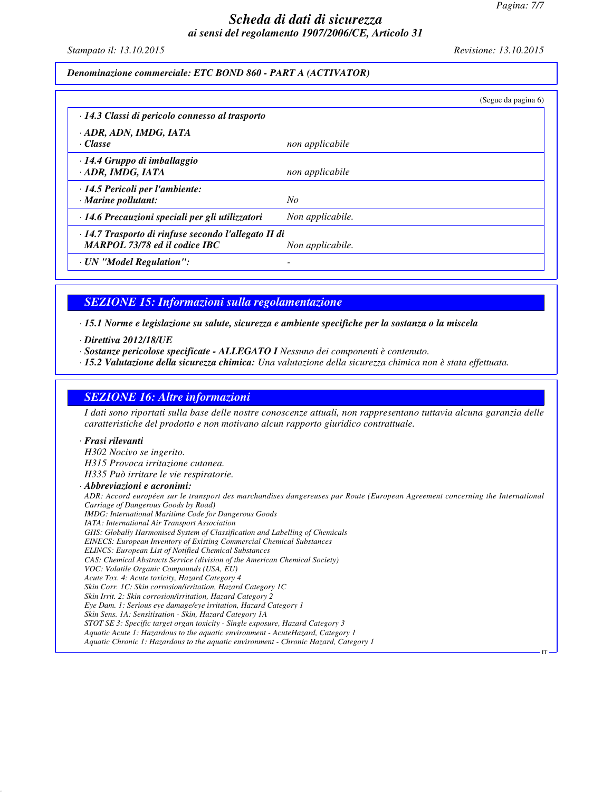*Pagina: 7/7*

IT

### *Scheda di dati di sicurezza ai sensi del regolamento 1907/2006/CE, Articolo 31*

*Stampato il: 13.10.2015 Revisione: 13.10.2015*

*Denominazione commerciale: ETC BOND 860 - PART A (ACTIVATOR)*

|                                                                                              |                  | (Segue da pagina 6) |
|----------------------------------------------------------------------------------------------|------------------|---------------------|
| · 14.3 Classi di pericolo connesso al trasporto                                              |                  |                     |
| · ADR, ADN, IMDG, IATA<br>· Classe                                                           | non applicabile  |                     |
| · 14.4 Gruppo di imballaggio<br>ADR, IMDG, IATA                                              | non applicabile  |                     |
| $\cdot$ 14.5 Pericoli per l'ambiente:<br>· Marine pollutant:                                 | No               |                     |
| · 14.6 Precauzioni speciali per gli utilizzatori                                             | Non applicabile. |                     |
| · 14.7 Trasporto di rinfuse secondo l'allegato II di<br><b>MARPOL 73/78 ed il codice IBC</b> | Non applicabile. |                     |
| · UN "Model Regulation":                                                                     |                  |                     |

*SEZIONE 15: Informazioni sulla regolamentazione*

*· 15.1 Norme e legislazione su salute, sicurezza e ambiente specifiche per la sostanza o la miscela*

- *· Direttiva 2012/18/UE*
- *· Sostanze pericolose specificate ALLEGATO I Nessuno dei componenti è contenuto.*

*· 15.2 Valutazione della sicurezza chimica: Una valutazione della sicurezza chimica non è stata effettuata.*

### *SEZIONE 16: Altre informazioni*

*I dati sono riportati sulla base delle nostre conoscenze attuali, non rappresentano tuttavia alcuna garanzia delle caratteristiche del prodotto e non motivano alcun rapporto giuridico contrattuale.*

#### *· Frasi rilevanti*

*H302 Nocivo se ingerito. H315 Provoca irritazione cutanea. H335 Può irritare le vie respiratorie. · Abbreviazioni e acronimi: ADR: Accord européen sur le transport des marchandises dangereuses par Route (European Agreement concerning the International Carriage of Dangerous Goods by Road) IMDG: International Maritime Code for Dangerous Goods IATA: International Air Transport Association GHS: Globally Harmonised System of Classification and Labelling of Chemicals EINECS: European Inventory of Existing Commercial Chemical Substances ELINCS: European List of Notified Chemical Substances CAS: Chemical Abstracts Service (division of the American Chemical Society) VOC: Volatile Organic Compounds (USA, EU) Acute Tox. 4: Acute toxicity, Hazard Category 4 Skin Corr. 1C: Skin corrosion/irritation, Hazard Category 1C Skin Irrit. 2: Skin corrosion/irritation, Hazard Category 2 Eye Dam. 1: Serious eye damage/eye irritation, Hazard Category 1 Skin Sens. 1A: Sensitisation - Skin, Hazard Category 1A STOT SE 3: Specific target organ toxicity - Single exposure, Hazard Category 3 Aquatic Acute 1: Hazardous to the aquatic environment - AcuteHazard, Category 1 Aquatic Chronic 1: Hazardous to the aquatic environment - Chronic Hazard, Category 1*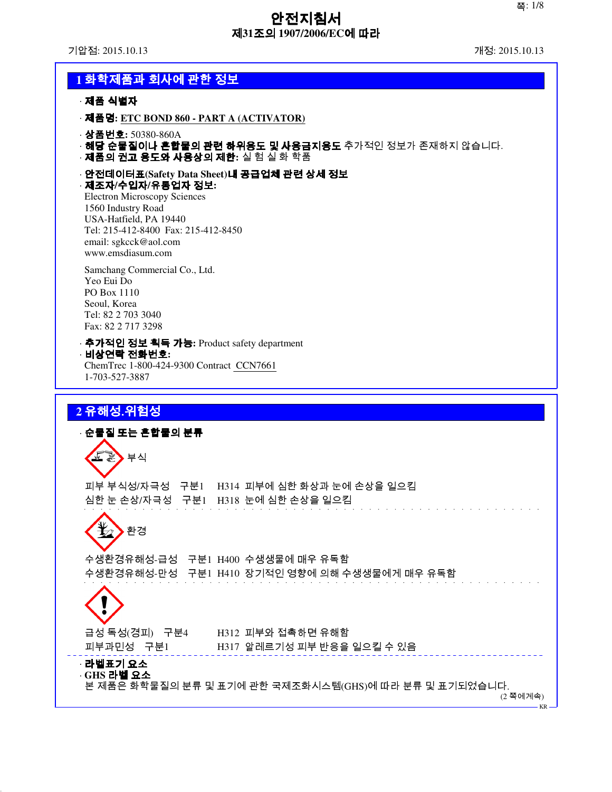기압점: 2015.10.13 개정: 2015.10.13

## **1** 화학제품과 회사에 관한 정보

· 제품 식별자

- · 제품명**: ETC BOND 860 PART A (ACTIVATOR)**
- · 상품번호**:** 50380-860A
- · 해당 순물질이나 혼합물의 관련 하위용도 및 사용금지용도 추가적인 정보가 존재하지 않습니다.
- · 제품의 권고 용도와 사용상의 제한**:** 실 험 실 화 학품
- · 안전데이터표**(Safety Data Sheet)**내 공급업체 관련 상세 정보 · 제조자**/**수입자**/**유통업자 정보**:**

Electron Microscopy Sciences 1560 Industry Road USA-Hatfield, PA 19440 Tel: 215-412-8400 Fax: 215-412-8450 email: sgkcck@aol.com www.emsdiasum.com

Samchang Commercial Co., Ltd. Yeo Eui Do PO Box 1110 Seoul, Korea Tel: 82 2 703 3040 Fax: 82 2 717 3298

· 추가적인 정보 획득 가능**:** Product safety department · 비상연락 전화번호**:**

ChemTrec 1-800-424-9300 Contract CCN7661 1-703-527-3887

## **2** 유해성․위험성

· 순물질 또는 혼합물의 분류 부식 피부 부식성/자극성 구분1 H314 피부에 심한 화상과 눈에 손상을 일으킴 심한 눈 손상/자극성 구분1 H318 눈에 심한 손상을 일으킴 환경 수생환경유해성-급성 구분1 H400 수생생물에 매우 유독함 수생환경유해성-만성 구분1 H410 장기적인 영향에 의해 수생생물에게 매우 유독함 급성 독성(경피) 구분4 H312 피부와 접촉하면 유해함 피부과민성 구분1 H317 알레르기성 피부 반응을 일으킬 수 있음 · 라벨표기 요소 · **GHS** 라벨 요소 본 제품은 화학물질의 분류 및 표기에 관한 국제조화시스템(GHS)에 따라 분류 및 표기되었습니다.

(2 쪽에계속)

KR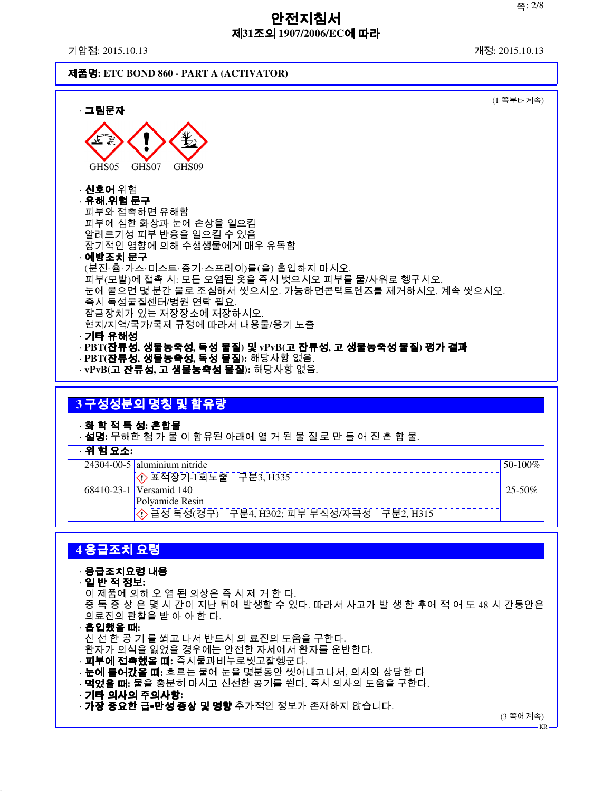기압점: 2015.10.13 개정: 2015.10.13

제품명**: ETC BOND 860 - PART A (ACTIVATOR)**

| · 그림문자                                                                                                                                                                                                                          | (1 쪽부터계속) |
|---------------------------------------------------------------------------------------------------------------------------------------------------------------------------------------------------------------------------------|-----------|
| GHS07<br>GHS05<br>GHS09                                                                                                                                                                                                         |           |
| · <b>신호어</b> 위험<br>· 유해 위험 문구<br>피부와 접촉하면 유해함<br>피부에 심한 화상과 눈에 손상을 일으킴<br>알레르기성 피부 반응을 일으킬 수 있음<br>장기적인 영향에 의해 수생생물에게 매우 유독함<br>· 예방조치 문구                                                                                       |           |
| (분진‧흄‧가스‧미스트‧증기‧스프레이)를(을) 흡입하지 마시오.<br>피부(모발)에 접촉 시: 모든 오염된 옷을 즉시 벗으시오 피부를 물/샤워로 헹구시오.<br>눈에 묻으면 몇 분간 물로 조심해서 씻으시오. 가능하면콘택트렌즈를 제거하시오. 계속 씻으시오.<br>즉시 독성물질센터/병원 연락 필요.<br>잠금장치가 있는 저장장소에 저장하시오.<br>현지/지역/국가/국제 규정에 따라서 내용물/용기 노출 |           |
| ·기타 유해성<br>· PBT(잔류성, 생물농축성, 독성 물질) 및 vPvB(고 잔류성, 고 생물농축성 물질) 평가 결과<br>· PBT( <b>잔류성, 생물농축성, 독성 물질):</b> 해당사항 없음.<br>· vPvB( <b>고 잔류성, 고 생물농축성 물질):</b> 해당사항 없음.                                                                |           |

## **3** 구성성분의 명칭 및 함유량

· 화 학 적 특 성**:** 혼합물

· 설명**:** 무해한 첨 가 물 이 함유된 아래에 열 거 된 물 질 로 만 들 어 진 혼 합 물.

· 위 험 요소**:**

| . |                                                |             |
|---|------------------------------------------------|-------------|
|   | $24304 - 00 - 5$ aluminium nitride             | $50-100\%$  |
|   | $\overline{(\diamond)}$ 표적장기-1회노출 구분3, H335    |             |
|   | 68410-23-1 Versamid 140                        | $25 - 50\%$ |
|   | Polyamide Resin                                |             |
|   | ⊙ 급성 독성(경구)<br>구분4, H302; 피부 부식성/자극성 구분2, H315 |             |

## **4** 응급조치 요령

## · 응급조치요령 내용

· 일 반 적 정보**:**

이 제품에 의해 오 염 된 의상은 즉 시 제 거 한 다. 중 독 증 상 은 몇 시 간이 지난 뒤에 발생할 수 있다. 따라서 사고가 발 생 한 후에 적 어 도 48 시 간동안은 의료진의 관찰을 받 아 야 한 다.

· 흡입했을 때**:**

신 선 한 공 기 를 쐬고 나서 반드시 의 료진의 도움을 구한다. 환자가 의식을 잃었을 경우에는 안전한 자세에서 환자를 운반한다.

· 피부에 접촉했을 때**:** 즉시물과비누로씻고잘헹군다.

· 눈에 들어갔을 때**:** 흐르는 물에 눈을 몇분동안 씻어내고나서, 의사와 상담한 다

- · 먹었을 때**:** 물을 충분히 마시고 신선한 공기를 쐰다. 즉시 의사의 도움을 구한다.
- · 기타 의사의 주의사항**:**

· **가장 중요한 급∙만성 증상 및 영향** 추가적인 정보가 존재하지 않습니다.

(3 쪽에계속)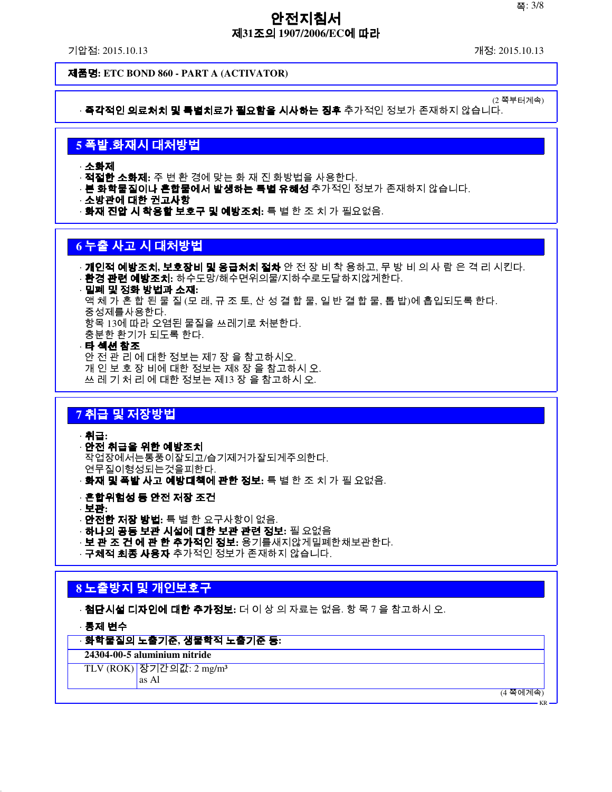기압점: 2015.10.13 개정: 2015.10.13

(2 쪽부터계속)

제품명**: ETC BOND 860 - PART A (ACTIVATOR)**

· **즉각적인 의료처치 및 특별치료가 필요함을 시사하는 징후** 추가적인 정보가 존재하지 않습니다.

## **5** 폭발․화재시 대처방법

· 소화제

· 적절한 소화제**:** 주 변 환 경에 맞는 화 재 진 화방법을 사용한다.

- · **본 화학물질이나 혼합물에서 발생하는 특별 유해성** 추가적인 정보가 존재하지 않습니다.
- · 소방관에 대한 권고사항
- · 화재 진압 시 착용할 보호구 및 예방조치**:** 특 별 한 조 치 가 필요없음.

## **6** 누출 사고 시 대처방법

· 개인적 예방조치**,** 보호장비 및 응급처치 절차 안 전 장 비 착 용하고, 무 방 비 의 사 람 은 격 리 시킨다. · 환경 관련 예방조치**:** 하수도망/해수면위의물/지하수로도달하지않게한다. · 밀폐 및 정화 방법과 소재**:** 액 체 가 혼 합 된 물 질 (모 래, 규 조 토, 산 성 결 합 물, 일 반 결 합 물, 톱 밥)에 흡입되도록 한다. 중성제를사용한다. 항목 13에 따라 오염된 물질을 쓰레기로 처분한다. 충분한 환기가 되도록 한다. **타 섹션 참조** 안 전 관 리 에 대한 정보는 제7 장 을 참고하시오.

개 인 보 호 장 비에 대한 정보는 제8 장 을 참고하시 오. 쓰 레 기 처 리 에 대한 정보는 제13 장 을 참고하시 오.

## **7** 취급 및 저장방법

· 취급**:**

- · 안전 취급을 위한 예방조치 작업장에서는통풍이잘되고/습기제거가잘되게주의한다. 연무질이형성되는것을피한다.
- · 화재 및 폭발 사고 예방대책에 관한 정보**:** 특 별 한 조 치 가 필 요없음.

· 혼합위험성 등 안전 저장 조건

· 보관**:**

- · 안전한 저장 방법**:** 특 별 한 요구사항이 없음.
- · 하나의 공동 보관 시설에 대한 보관 관련 정보**:** 필 요없음
- · 보 관 조 건 에 관 한 추가적인 정보**:** 용기를새지않게밀폐한채보관한다.
- · **구체적 최종 사용자** 추가적인 정보가 존재하지 않습니다.

## **8** 노출방지 및 개인보호구

· 첨단시설 디자인에 대한 추가정보**:** 더 이 상 의 자료는 없음. 항 목 7 을 참고하시 오.

· 통제 변수

#### · 화학물질의 노출기준**,** 생물학적 노출기준 등**:**

**24304-00-5 aluminium nitride**

TLV  $(ROK)$  장기간의값: 2 mg/m<sup>3</sup>

as Al

(4 쪽에계속)

KR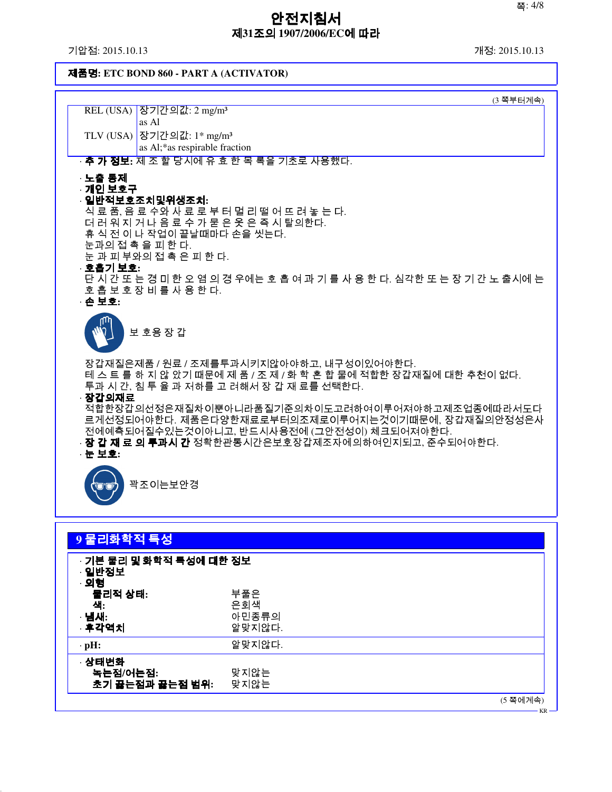기압점: 2015.10.13 개정: 2015.10.13

제품명**: ETC BOND 860 - PART A (ACTIVATOR)**

|                    | (3 쪽부터계속)                                                                                                    |
|--------------------|--------------------------------------------------------------------------------------------------------------|
|                    | REL (USA) 장기간의값: 2 mg/m <sup>3</sup>                                                                         |
|                    | as Al                                                                                                        |
|                    | TLV (USA) 장기간의값: 1* mg/m <sup>3</sup><br>as Al;*as respirable fraction                                       |
|                    | · <b>추 가 정보:</b> 제 조 할 당시에 유 효 한 목 록을 기초로 사용했다.                                                              |
|                    |                                                                                                              |
| · 노출 통제<br>←개인 보호구 |                                                                                                              |
|                    | · 일반적보호조치및위생조치:                                                                                              |
|                    | 식 료 품, 음 료 수와 사 료 로 부 터 멀 리 떨 어 뜨 려 놓 는 다.                                                                   |
|                    | 더 러 워 지 거 나 음 료 수 가 묻 은 옷 은 즉 시 탈의한다.                                                                        |
|                    | 휴 식 전 이 나 작업이 끝날때마다 손을 씻는다.<br>눈과의 접 촉 을 피 한 다.                                                              |
|                    | 눈 과 피 부와의 접 촉 은 피 한 다.                                                                                       |
| · 호흡기 보호:          |                                                                                                              |
|                    | 단 시 간 또 는 경 미 한 오 염 의 경 우에는 호 흡 여 과 기 를 사 용 한 다. 심각한 또 는 장 기 간 노 출시에 는                                       |
| · 손 보호:            | 호흡보호장비를사용한다.                                                                                                 |
|                    |                                                                                                              |
|                    | 보 호용 장 갑                                                                                                     |
|                    |                                                                                                              |
|                    |                                                                                                              |
|                    | 장갑재질은제품 / 원료 / 조제를투과시키지않아야하고, 내구성이있어야한다.<br>테 스 트 를 하 지 않 았기 때문에 제 품 / 조 제 / 화 학 혼 합 물에 적합한 장갑재질에 대한 추천이 없다. |
|                    | 투과 시 간, 침 투 율 과 저하를 고 려해서 장 갑 재 료를 선택한다.                                                                     |
| · 장갑의재료            |                                                                                                              |
|                    | 적합한장갑의선정은재질차이뿐아니라품질기준의차이도고려하여이루어져야하고제조업종에따라서도다                                                               |
|                    | 르게선정되어야한다. 제품은다양한재료로부터의조제로이루어지는것이기때문에, 장갑재질의안정성은사<br>전에예측되어질수있는것이아니고, 반드시사용전에 (그안전성이) 체크되어져야한다.              |
|                    | · <b>장 갑 재 료 의 투과시 간</b> 정확한관통시간은보호장갑제조자에의하여인지되고, 준수되어야한다.                                                   |
| · 눈 보호:            |                                                                                                              |
|                    |                                                                                                              |
|                    | 꽉조이는보안경                                                                                                      |
|                    |                                                                                                              |

| 9 물리화학적 특성                                |                               |  |          |
|-------------------------------------------|-------------------------------|--|----------|
| · 기본 물리 및 화학적 특성에 대한 정보<br>· 일반정보<br>· 외형 |                               |  |          |
| 물리적 상태:<br>식:<br>· 냄새:<br>· 후각역치          | 부풀은<br>은회색<br>아민종류의<br>알맞지않다. |  |          |
| $\cdot$ pH:                               | 알맞지않다.                        |  |          |
| · 상태변화<br>녹는점/어는점:<br>초기 끓는점과 끓는점 범위:     | 맞지않는<br>맞지않는                  |  |          |
|                                           |                               |  | (5 쪽에계속) |

KR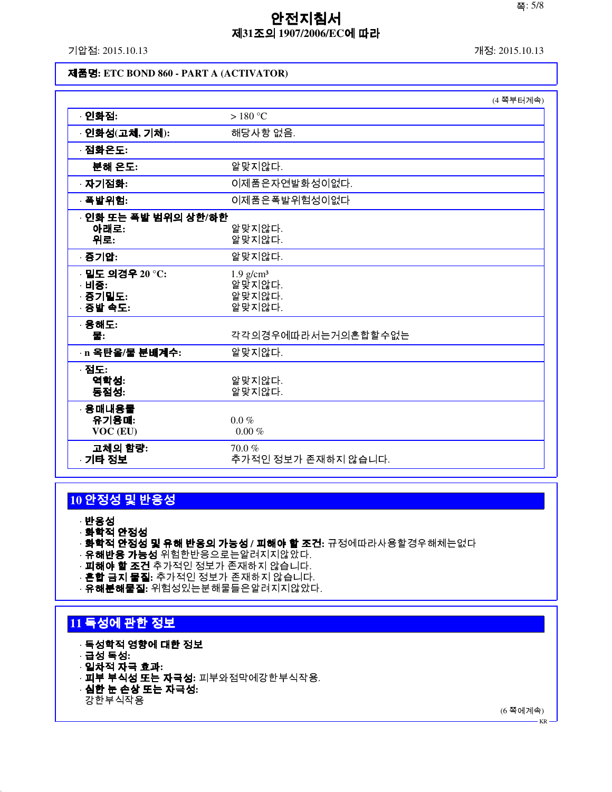기압점: 2015.10.13 개정: 2015.10.13

### 제품명**: ETC BOND 860 - PART A (ACTIVATOR)**

|                                                 | (4 쪽부터계속)                                           |
|-------------------------------------------------|-----------------------------------------------------|
| · 인화점:                                          | $>180^{\circ}$ C                                    |
| · 인화성(고체, 기체):                                  | 해당사항 없음.                                            |
| · 점화온도:                                         |                                                     |
| 분해 온도:                                          | 알맞지않다.                                              |
| · 자기점화:                                         | 이제품은자연발화성이없다.                                       |
| · 폭발위험:                                         | 이제품은폭발위험성이없다                                        |
| · 인화 또는 폭발 범위의 상한/하한<br>아래로:<br>위로:             | 알맞지않다.<br>알맞지않다.                                    |
| · 증기압:                                          | 알맞지않다.                                              |
| · 밀도 의경우 20 °C:<br>· 비중:<br>· 증기밀도:<br>· 증발 속도: | 1.9 g/cm <sup>3</sup><br>알맞지않다.<br>알맞지않다.<br>알맞지않다. |
| · 용해도:<br>물:                                    | 각각의경우에따라서는거의혼합할수없는                                  |
| · n 옥탄을/물 분배계수:                                 | 알맞지않다.                                              |
| · 점도:<br>역학성:<br>동점성:                           | 알맞지않다.<br>알맞지않다.                                    |
| · 용매내용물<br>유기용매:<br>VOC (EU)                    | $0.0 \%$<br>$0.00~\%$                               |
| 고체의 함량:<br>· 기타 정보                              | 70.0%<br>추가적인 정보가 존재하지 않습니다.                        |

## **10** 안정성 및 반응성

· 반응성

- · 화학적 안정성
- · 화학적 안정성 및 유해 반응의 가능성 **/** 피해야 할 조건**:** 규정에따라사용할경우해체는없다
- · <mark>유해반응 가능성</mark> 위험한반응으로는할려지지않았다.
- · **피해야 할 조건** 추가적인 정보가 존재하지 않습니다.
- · 혼합 금지 물질**:** 추가적인 정보가 존재하지 않습니다.
- · 유해분해물질**:** 위험성있는분해물들은알려지지않았다.

## **11** 독성에 관한 정보

- · 독성학적 영향에 대한 정보
- · 급성 독성**:**
- · 일차적 자극 효과**:**
- · 피부 부식성 또는 자극성**:** 피부와점막에강한부식작용.
- · 심한 눈 손상 또는 자극성**:**
- 강한부식작용

(6 쪽에계속) KR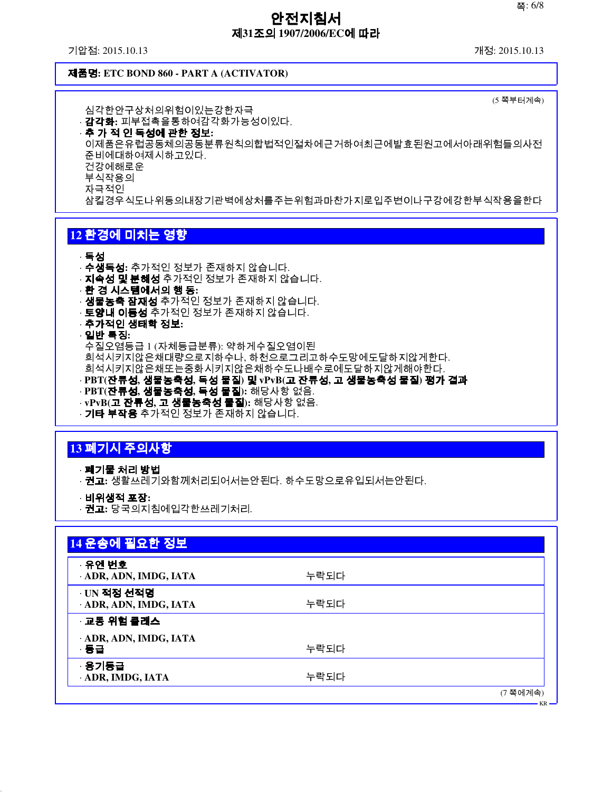기압점: 2015.10.13 개정: 2015.10.13

#### 제품명**: ETC BOND 860 - PART A (ACTIVATOR)**

(5 쪽부터계속)

심각한안구상처의위험이있는강한자극 · 감각화**:** 피부접촉을통하여감각화가능성이있다. · 추 가 적 인 독성에 관한 정보**:** 이제품은유럽공동체의공동분류원칙의합법적인절차에근거하여최근에발효된원고에서아래위험들의사전 준비에대하여제시하고있다. 건강에해로운 부식작용의 자극적인 삼킬경우식도나위등의내장기관벽에상처를주는위험과마찬가지로입주변이나구강에강한부식작용을한다

## **12** 환경에 미치는 영향

#### · 독성

- · 수생독성**:** 추가적인 정보가 존재하지 않습니다.
- · **지속성 및 분해성** 추가적인 정보가 존재하지 않습니다.
- · 환 경 시스템에서의 행 동**:**
- · 난 승·귀스남에서 3 년 ~<br>· **생물농축 잠재성** 추가적인 정보가 존재하지 않습니다.
- · 토양내 이동성 추가적인 정보가 존재하지 않습니다.
- · 추가적인 생태학 정보**:**

#### · 일반 특징**:**

수질오염등급 1 (자체등급분류): 약하게수질오염이된 희석시키지않은채대량으로지하수나, 하천으로그리고하수도망에도달하지않게한다.

- 희석시키지않은채또는중화시키지않은채하수도나배수로에도달하지않게해야한다. · **PBT(**잔류성**,** 생물농축성**,** 독성 물질**)** 및 **vPvB(**고 잔류성**,** 고 생물농축성 물질**)** 평가 결과
- · **PBT(**잔류성**,** 생물농축성**,** 독성 물질**):** 해당사항 없음.
- · **vPvB(**고 잔류성**,** 고 생물농축성 물질**):** 해당사항 없음.
- · **기타 부작용** 추가적인 정보가 존재하지 않습니다.

## **13** 폐기시 주의사항

- · 폐기물 처리 방법
- · 권고**:** 생활쓰레기와함께처리되어서는안된다. 하수도망으로유입되서는안된다.
- · 비위생적 포장**:**
- · 권고**:** 당국의지침에입각한쓰레기처리.

| 14 운송에 필요한 정보                       |      |                    |
|-------------------------------------|------|--------------------|
| · 유엔 번호<br>ADR, ADN, IMDG, IATA     | 누락되다 |                    |
| · UN 적정 선적명<br>ADR, ADN, IMDG, IATA | 누락되다 |                    |
| · 교통 위험 클래스                         |      |                    |
| · ADR, ADN, IMDG, IATA<br>· 동급      | 누락되다 |                    |
| · 용기등급<br>· ADR, IMDG, IATA         | 누락되다 |                    |
|                                     |      | (7 쪽에계속)<br>$ VP-$ |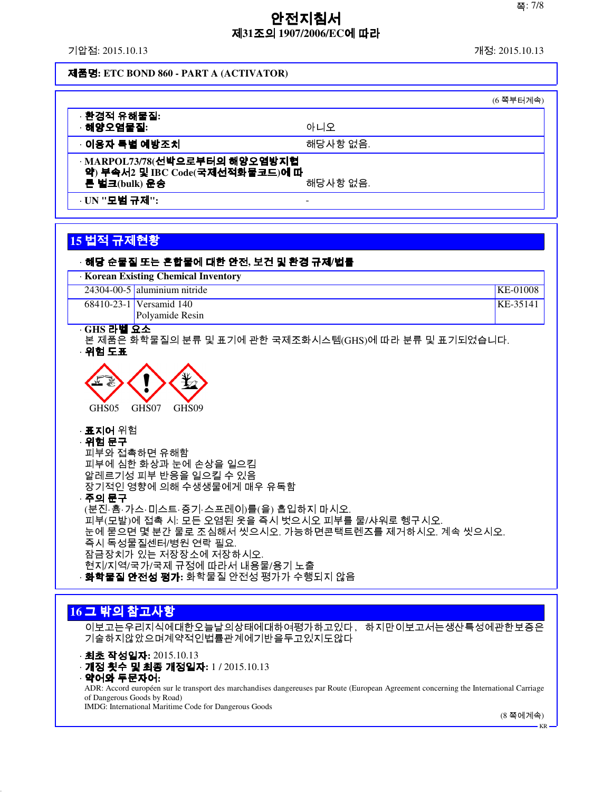기압점: 2015.10.13 개정: 2015.10.13

### 제품명**: ETC BOND 860 - PART A (ACTIVATOR)**

|                                                                                               | (6 쪽부터계속) |  |
|-----------------------------------------------------------------------------------------------|-----------|--|
| · 환경적 유해물질:<br>해양오염물질:                                                                        | 아니오       |  |
| ◦이용자 특별 예방조치                                                                                  | 해당사항 없음.  |  |
| · MARPOL73/78(선박으로부터의 해양오염방지협<br>약) 부속서2 및 IBC Code(국제선적화물코드)에 따<br>해당사항 없음.<br>른 벌크(bulk) 운송 |           |  |
| · UN " <b>모범 규제</b> ":                                                                        |           |  |

# **15** 법적 규제현황

| · 해당 순물질 또는 혼합물에 대한 안전, 보건 및 환경 규제/법률                                                                                                                                                                                                                                         |          |
|-------------------------------------------------------------------------------------------------------------------------------------------------------------------------------------------------------------------------------------------------------------------------------|----------|
| Korean Existing Chemical Inventory<br>$24304 - 00 - 5$ aluminium nitride                                                                                                                                                                                                      | KE-01008 |
| 68410-23-1 Versamid 140                                                                                                                                                                                                                                                       | KE-35141 |
| Polyamide Resin                                                                                                                                                                                                                                                               |          |
| · GHS 라벨 요소<br>본 제품은 화학물질의 분류 및 표기에 관한 국제조화시스템(GHS)에 따라 분류 및 표기되었습니다.<br>· 위험 도표                                                                                                                                                                                              |          |
| GHS <sub>05</sub><br>GHS07<br>GHS <sub>09</sub><br>· <b>표지어</b> 위험<br>· 위험 문구<br>피부와 접촉하면 유해함<br>피부에 심한 화상과 눈에 손상을 일으킴<br>알레르기성 피부 반응을 일으킬 수 있음<br>장기적인 영향에 의해 수생생물에게 매우 유독함<br>· 주의 문구                                                                                       |          |
| (분진‧흄‧가스‧미스트‧증기‧스프레이)를(을) 흡입하지 마시오.<br>피부(모발)에 접촉 시: 모든 오염된 옷을 즉시 벗으시오 피부를 물/샤워로 헹구시오.<br>눈에 묻으면 몇 분간 물로 조심해서 씻으시오. 가능하면콘택트렌즈를 제거하시오. 계속 씻으시오.<br>즉시 독성물질센터/병원 연락 필요.<br>잠금장치가 있는 저장장소에 저장하시오.<br>현지/지역/국가/국제 규정에 따라서 내용물/용기 노출<br>· <b>화학물질 안전성 평가:</b> 화학물질 안전성 평가가 수행되지 않음 |          |
| 16 그 밖의 참고사항                                                                                                                                                                                                                                                                  |          |

이보고는우리지식에대한오늘날의상태에대하여평가하고있다, 하지만이보고서는생산특성에관한보증은 기술하지않았으며계약적인법률관계에기반을두고있지도않다

· 최초 작성일자**:** 2015.10.13

· 개정 횟수 및 최종 개정일자**:** 1 / 2015.10.13

· 약어와 두문자어**:**

ADR: Accord européen sur le transport des marchandises dangereuses par Route (European Agreement concerning the International Carriage of Dangerous Goods by Road)

IMDG: International Maritime Code for Dangerous Goods

(8 쪽에계속)

KR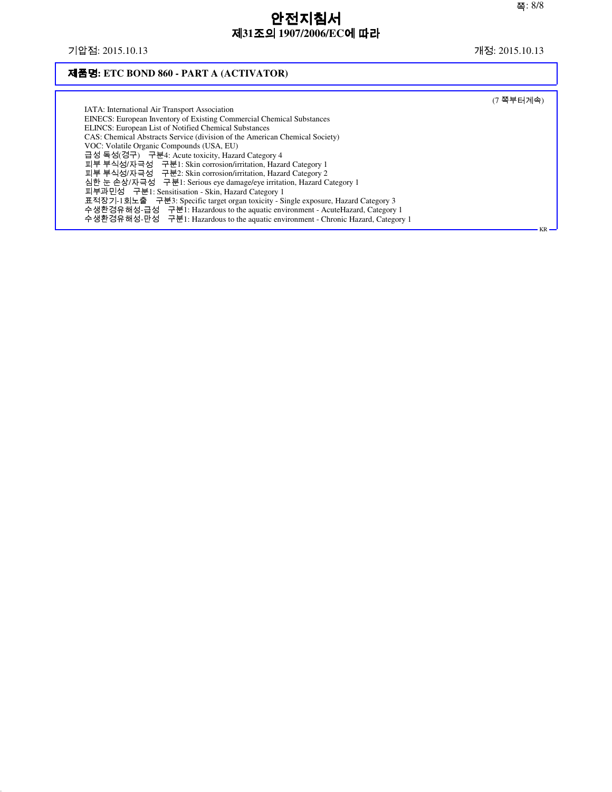## 기압점: 2015.10.13 개정: 2015.10.13

## 제품명**: ETC BOND 860 - PART A (ACTIVATOR)**

|                                                                                    | (7 쪽부터계속)  |
|------------------------------------------------------------------------------------|------------|
| IATA: International Air Transport Association                                      |            |
| <b>EINECS:</b> European Inventory of Existing Commercial Chemical Substances       |            |
| ELINCS: European List of Notified Chemical Substances                              |            |
| CAS: Chemical Abstracts Service (division of the American Chemical Society)        |            |
| VOC: Volatile Organic Compounds (USA, EU)                                          |            |
| 급성 독성(경구) 구분4: Acute toxicity, Hazard Category 4                                   |            |
| 피부 부식성/자극성 구분1: Skin corrosion/irritation, Hazard Category 1                       |            |
| 피부 부식성/자극성 구분2: Skin corrosion/irritation, Hazard Category 2                       |            |
| 심한 눈 손상/자극성 구분1: Serious eye damage/eye irritation, Hazard Category 1              |            |
| 피부과민성 구분1: Sensitisation - Skin, Hazard Category 1                                 |            |
| 표적장기-1회노출 구분3: Specific target organ toxicity - Single exposure, Hazard Category 3 |            |
| 수생환경유해성-급성 구분1: Hazardous to the aquatic environment - AcuteHazard, Category 1     |            |
| 수생환경유해성-만성 구분1: Hazardous to the aquatic environment - Chronic Hazard, Category 1  |            |
|                                                                                    | $KR \cdot$ |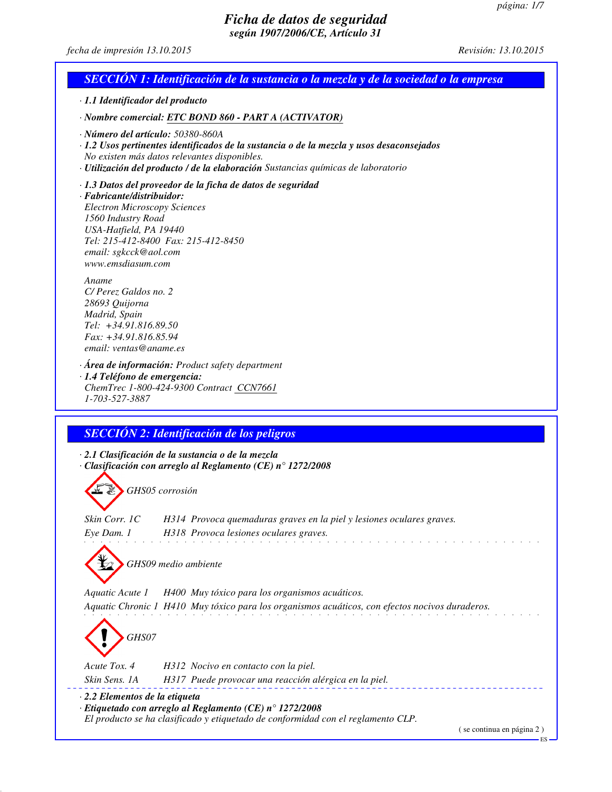ES

## *Ficha de datos de seguridad según 1907/2006/CE, Artículo 31*

*fecha de impresión 13.10.2015 Revisión: 13.10.2015*

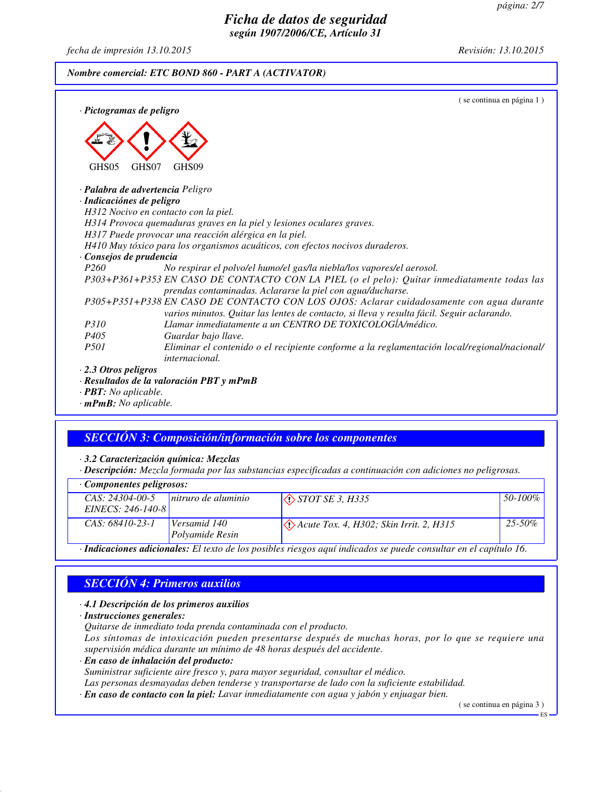## *Ficha de datos de seguridad según 1907/2006/CE, Artículo 31*

*fecha de impresión 13.10.2015 Revisión: 13.10.2015*

#### *Nombre comercial: ETC BOND 860 - PART A (ACTIVATOR)*

| · Pictogramas de peligro                | (se continua en página 1)                                                                                                                                                              |
|-----------------------------------------|----------------------------------------------------------------------------------------------------------------------------------------------------------------------------------------|
| GHS05<br>GHS07                          | GHS <sub>09</sub>                                                                                                                                                                      |
| · <b>Palabra de advertencia</b> Peligro |                                                                                                                                                                                        |
| · Indicaciónes de peligro               |                                                                                                                                                                                        |
| H312 Nocivo en contacto con la piel.    |                                                                                                                                                                                        |
|                                         | H314 Provoca quemaduras graves en la piel y lesiones oculares graves.                                                                                                                  |
|                                         | H317 Puede provocar una reacción alérgica en la piel.                                                                                                                                  |
|                                         | H410 Muy tóxico para los organismos acuáticos, con efectos nocivos duraderos.                                                                                                          |
| Consejos de prudencia                   |                                                                                                                                                                                        |
| P <sub>260</sub>                        | No respirar el polvo/el humo/el gas/la niebla/los vapores/el aerosol.                                                                                                                  |
|                                         | P303+P361+P353 EN CASO DE CONTACTO CON LA PIEL (o el pelo): Quitar inmediatamente todas las<br>prendas contaminadas. Aclararse la piel con agua/ducharse.                              |
|                                         | P305+P351+P338 EN CASO DE CONTACTO CON LOS OJOS: Aclarar cuidadosamente con agua durante<br>varios minutos. Quitar las lentes de contacto, si lleva y resulta fácil. Seguir aclarando. |
| <i>P310</i>                             | Llamar inmediatamente a un CENTRO DE TOXICOLOGÍA/médico.                                                                                                                               |
| P <sub>405</sub>                        | Guardar bajo llave.                                                                                                                                                                    |
| <i>P501</i>                             | Eliminar el contenido o el recipiente conforme a la reglamentación local/regional/nacional/<br><i>internacional.</i>                                                                   |
| $\cdot$ 2.3 Otros peligros              |                                                                                                                                                                                        |
|                                         | · Resultados de la valoración PBT y mPmB                                                                                                                                               |

*· PBT: No aplicable. · mPmB: No aplicable.*

## *SECCIÓN 3: Composición/información sobre los componentes*

*· 3.2 Caracterización química: Mezclas*

*· Descripción: Mezcla formada por las substancias especificadas a continuación con adiciones no peligrosas.*

| Componentes peligrosos:                                                                                       |                     |                                                                 |             |  |
|---------------------------------------------------------------------------------------------------------------|---------------------|-----------------------------------------------------------------|-------------|--|
| $CAS: 24304-00-5$                                                                                             | nitruro de aluminio | $\Diamond$ STOT SE 3, H335                                      | 50-100%     |  |
| EINECS: 246-140-8                                                                                             |                     |                                                                 |             |  |
| CAS: 68410-23-1                                                                                               | Versamid 140        | $\langle \cdot \rangle$ Acute Tox. 4, H302; Skin Irrit. 2, H315 | $25 - 50\%$ |  |
|                                                                                                               | Polyamide Resin     |                                                                 |             |  |
| Indicaciones adjoiandes: El texto de los posibles riesgos aguí indicados se puede consultar en el capítulo 16 |                     |                                                                 |             |  |

*· Indicaciones adicionales: El texto de los posibles riesgos aquí indicados se puede consultar en el capítulo 16.*

## *SECCIÓN 4: Primeros auxilios*

#### *· 4.1 Descripción de los primeros auxilios*

*· Instrucciones generales:*

*Quitarse de inmediato toda prenda contaminada con el producto.*

*Los síntomas de intoxicación pueden presentarse después de muchas horas, por lo que se requiere una supervisión médica durante un mínimo de 48 horas después del accidente.*

*· En caso de inhalación del producto:*

*Suministrar suficiente aire fresco y, para mayor seguridad, consultar el médico.*

*Las personas desmayadas deben tenderse y transportarse de lado con la suficiente estabilidad.*

*· En caso de contacto con la piel: Lavar inmediatamente con agua y jabón y enjuagar bien.*

( se continua en página 3 )

ES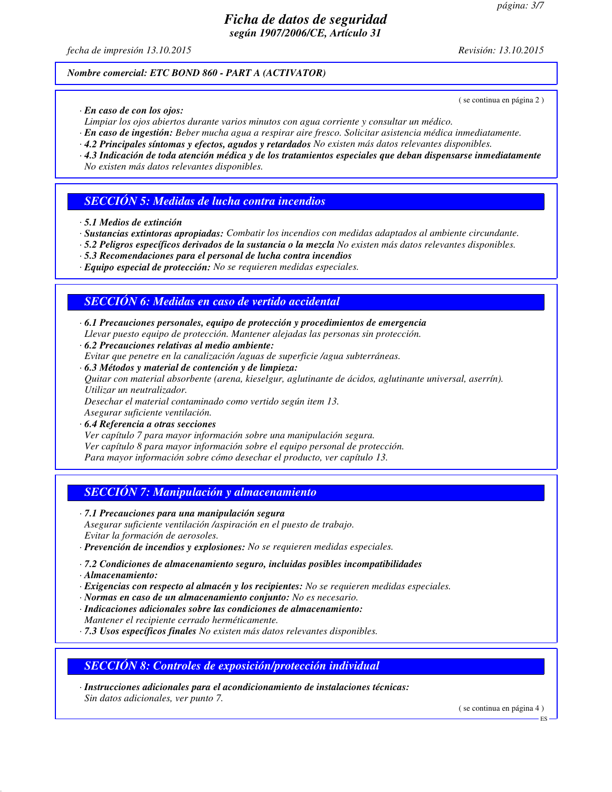*fecha de impresión 13.10.2015 Revisión: 13.10.2015*

( se continua en página 2 )

## *Nombre comercial: ETC BOND 860 - PART A (ACTIVATOR)*

*· En caso de con los ojos:*

*Limpiar los ojos abiertos durante varios minutos con agua corriente y consultar un médico.*

- *· En caso de ingestión: Beber mucha agua a respirar aire fresco. Solicitar asistencia médica inmediatamente.*
- *· 4.2 Principales síntomas y efectos, agudos y retardados No existen más datos relevantes disponibles.*
- *· 4.3 Indicación de toda atención médica y de los tratamientos especiales que deban dispensarse inmediatamente No existen más datos relevantes disponibles.*

## *SECCIÓN 5: Medidas de lucha contra incendios*

- *· 5.1 Medios de extinción*
- *· Sustancias extintoras apropiadas: Combatir los incendios con medidas adaptados al ambiente circundante.*
- *· 5.2 Peligros específicos derivados de la sustancia o la mezcla No existen más datos relevantes disponibles.*
- *· 5.3 Recomendaciones para el personal de lucha contra incendios*
- *· Equipo especial de protección: No se requieren medidas especiales.*

## *SECCIÓN 6: Medidas en caso de vertido accidental*

- *· 6.1 Precauciones personales, equipo de protección y procedimientos de emergencia Llevar puesto equipo de protección. Mantener alejadas las personas sin protección.*
- *· 6.2 Precauciones relativas al medio ambiente: Evitar que penetre en la canalización /aguas de superficie /agua subterráneas.*
- *· 6.3 Métodos y material de contención y de limpieza: Quitar con material absorbente (arena, kieselgur, aglutinante de ácidos, aglutinante universal, aserrín). Utilizar un neutralizador.*

*Desechar el material contaminado como vertido según item 13.*

*Asegurar suficiente ventilación. · 6.4 Referencia a otras secciones*

*Ver capítulo 7 para mayor información sobre una manipulación segura. Ver capítulo 8 para mayor información sobre el equipo personal de protección. Para mayor información sobre cómo desechar el producto, ver capítulo 13.*

## *SECCIÓN 7: Manipulación y almacenamiento*

- *· 7.1 Precauciones para una manipulación segura Asegurar suficiente ventilación /aspiración en el puesto de trabajo. Evitar la formación de aerosoles.*
- *· Prevención de incendios y explosiones: No se requieren medidas especiales.*
- *· 7.2 Condiciones de almacenamiento seguro, incluidas posibles incompatibilidades*
- *· Almacenamiento:*
- *· Exigencias con respecto al almacén y los recipientes: No se requieren medidas especiales.*
- *· Normas en caso de un almacenamiento conjunto: No es necesario.*
- *· Indicaciones adicionales sobre las condiciones de almacenamiento: Mantener el recipiente cerrado herméticamente.*
- *· 7.3 Usos específicos finales No existen más datos relevantes disponibles.*

### *SECCIÓN 8: Controles de exposición/protección individual*

*· Instrucciones adicionales para el acondicionamiento de instalaciones técnicas: Sin datos adicionales, ver punto 7.*

( se continua en página 4 )

ES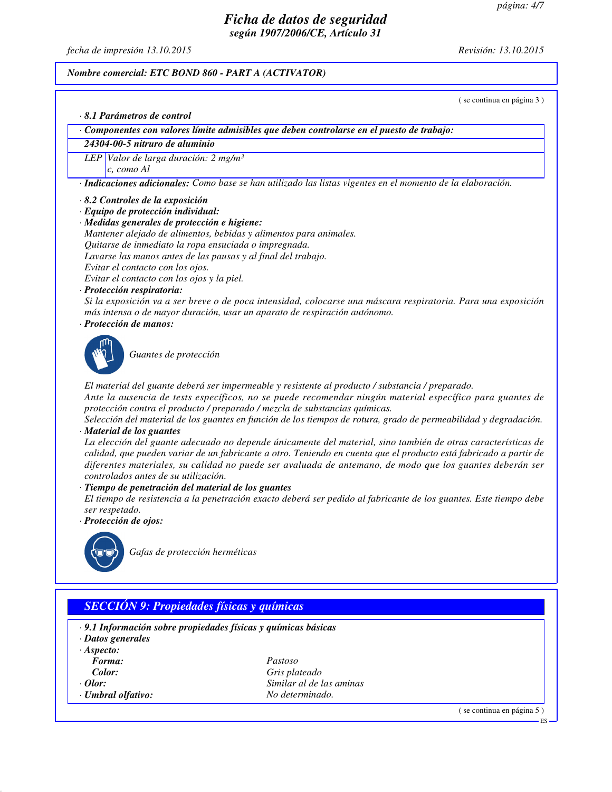*fecha de impresión 13.10.2015 Revisión: 13.10.2015*

#### *Nombre comercial: ETC BOND 860 - PART A (ACTIVATOR)*

( se continua en página 3 )

*· 8.1 Parámetros de control*

*· Componentes con valores límite admisibles que deben controlarse en el puesto de trabajo:*

### *24304-00-5 nitruro de aluminio*

*LEP Valor de larga duración: 2 mg/m³ c, como Al*

*· Indicaciones adicionales: Como base se han utilizado las listas vigentes en el momento de la elaboración.*

- *· 8.2 Controles de la exposición*
- *· Equipo de protección individual:*
- *· Medidas generales de protección e higiene:*
- *Mantener alejado de alimentos, bebidas y alimentos para animales.*

*Quitarse de inmediato la ropa ensuciada o impregnada.*

*Lavarse las manos antes de las pausas y al final del trabajo.*

*Evitar el contacto con los ojos.*

*Evitar el contacto con los ojos y la piel.*

*· Protección respiratoria:*

*Si la exposición va a ser breve o de poca intensidad, colocarse una máscara respiratoria. Para una exposición más intensa o de mayor duración, usar un aparato de respiración autónomo.*

*· Protección de manos:*



*Guantes de protección*

*El material del guante deberá ser impermeable y resistente al producto / substancia / preparado.*

*Ante la ausencia de tests específicos, no se puede recomendar ningún material específico para guantes de protección contra el producto / preparado / mezcla de substancias químicas.*

*Selección del material de los guantes en función de los tiempos de rotura, grado de permeabilidad y degradación. · Material de los guantes*

*La elección del guante adecuado no depende únicamente del material, sino también de otras características de calidad, que pueden variar de un fabricante a otro. Teniendo en cuenta que el producto está fabricado a partir de diferentes materiales, su calidad no puede ser avaluada de antemano, de modo que los guantes deberán ser controlados antes de su utilización.*

*· Tiempo de penetración del material de los guantes*

*El tiempo de resistencia a la penetración exacto deberá ser pedido al fabricante de los guantes. Este tiempo debe ser respetado.*

*· Protección de ojos:*



*Gafas de protección herméticas*

# *SECCIÓN 9: Propiedades físicas y químicas*

- *· 9.1 Información sobre propiedades físicas y químicas básicas*
- *· Datos generales*
- *· Aspecto:*
- 
- 
- 
- *Forma: Pastoso Color: Gris plateado · Olor: Similar al de las aminas · Umbral olfativo: No determinado.*

( se continua en página 5 )

ES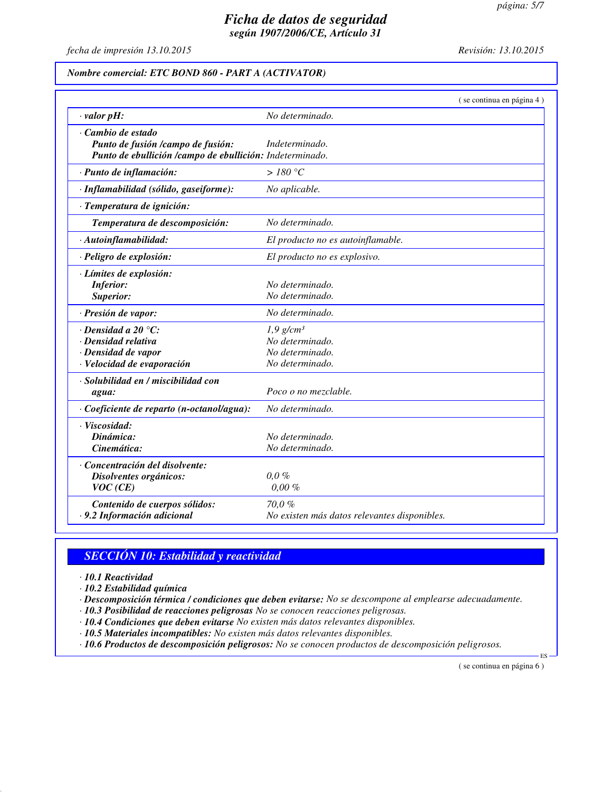*fecha de impresión 13.10.2015 Revisión: 13.10.2015*

### *Nombre comercial: ETC BOND 860 - PART A (ACTIVATOR)*

|                                                                                                                   | (se continua en página 4)                                                        |
|-------------------------------------------------------------------------------------------------------------------|----------------------------------------------------------------------------------|
| $\cdot$ valor pH:                                                                                                 | No determinado.                                                                  |
| Cambio de estado<br>Punto de fusión /campo de fusión:<br>Punto de ebullición /campo de ebullición: Indeterminado. | Indeterminado.                                                                   |
| · Punto de inflamación:                                                                                           | >180 °C                                                                          |
| · Inflamabilidad (sólido, gaseiforme):                                                                            | No aplicable.                                                                    |
| · Temperatura de ignición:                                                                                        |                                                                                  |
| Temperatura de descomposición:                                                                                    | No determinado.                                                                  |
| · Autoinflamabilidad:                                                                                             | El producto no es autoinflamable.                                                |
| · Peligro de explosión:                                                                                           | El producto no es explosivo.                                                     |
| · Límites de explosión:<br><b>Inferior:</b><br>Superior:                                                          | No determinado.<br>No determinado.                                               |
| · Presión de vapor:                                                                                               | No determinado.                                                                  |
| $\cdot$ Densidad a 20 $\degree$ C:<br>· Densidad relativa<br>· Densidad de vapor<br>· Velocidad de evaporación    | $1,9$ g/cm <sup>3</sup><br>No determinado.<br>No determinado.<br>No determinado. |
| · Solubilidad en / miscibilidad con<br>agua:                                                                      | Poco o no mezclable.                                                             |
| Coeficiente de reparto (n-octanol/agua):                                                                          | No determinado.                                                                  |
| · Viscosidad:<br>Dinámica:<br>Cinemática:                                                                         | No determinado.<br>No determinado.                                               |
| · Concentración del disolvente:<br>Disolventes orgánicos:<br>VOC(CE)                                              | $0.0 \%$<br>$0,00\%$                                                             |
| Contenido de cuerpos sólidos:<br>· 9.2 Información adicional                                                      | 70,0%<br>No existen más datos relevantes disponibles.                            |

# *SECCIÓN 10: Estabilidad y reactividad*

*· 10.1 Reactividad*

*· 10.2 Estabilidad química*

*· Descomposición térmica / condiciones que deben evitarse: No se descompone al emplearse adecuadamente.*

*· 10.3 Posibilidad de reacciones peligrosas No se conocen reacciones peligrosas.*

*· 10.4 Condiciones que deben evitarse No existen más datos relevantes disponibles.*

*· 10.5 Materiales incompatibles: No existen más datos relevantes disponibles.*

*· 10.6 Productos de descomposición peligrosos: No se conocen productos de descomposición peligrosos.*

( se continua en página 6 )

ES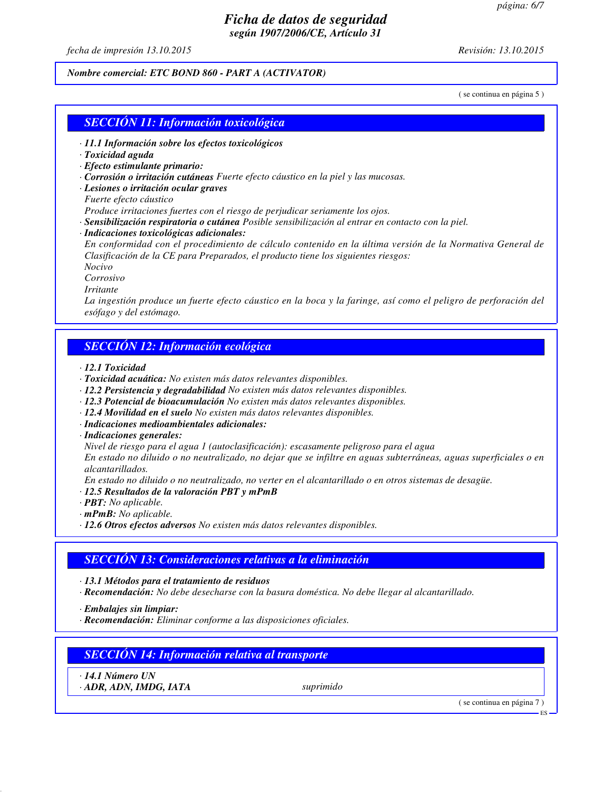*fecha de impresión 13.10.2015 Revisión: 13.10.2015*

### *Nombre comercial: ETC BOND 860 - PART A (ACTIVATOR)*

( se continua en página 5 )

### *SECCIÓN 11: Información toxicológica*

- *· 11.1 Información sobre los efectos toxicológicos*
- *· Toxicidad aguda*
- *· Efecto estimulante primario:*
- *· Corrosión o irritación cutáneas Fuerte efecto cáustico en la piel y las mucosas.*
- *· Lesiones o irritación ocular graves*
- *Fuerte efecto cáustico*
- *Produce irritaciones fuertes con el riesgo de perjudicar seriamente los ojos.*
- *· Sensibilización respiratoria o cutánea Posible sensibilización al entrar en contacto con la piel.*
- *· Indicaciones toxicológicas adicionales:*

*En conformidad con el procedimiento de cálculo contenido en la última versión de la Normativa General de Clasificación de la CE para Preparados, el producto tiene los siguientes riesgos:*

*Nocivo*

*Corrosivo*

*Irritante*

*La ingestión produce un fuerte efecto cáustico en la boca y la faringe, así como el peligro de perforación del esófago y del estómago.*

## *SECCIÓN 12: Información ecológica*

*· 12.1 Toxicidad*

- *· Toxicidad acuática: No existen más datos relevantes disponibles.*
- *· 12.2 Persistencia y degradabilidad No existen más datos relevantes disponibles.*
- *· 12.3 Potencial de bioacumulación No existen más datos relevantes disponibles.*
- *· 12.4 Movilidad en el suelo No existen más datos relevantes disponibles.*
- *· Indicaciones medioambientales adicionales:*
- *· Indicaciones generales:*

*Nivel de riesgo para el agua 1 (autoclasificación): escasamente peligroso para el agua*

*En estado no diluido o no neutralizado, no dejar que se infiltre en aguas subterráneas, aguas superficiales o en alcantarillados.*

*En estado no diluido o no neutralizado, no verter en el alcantarillado o en otros sistemas de desagüe.*

- *· 12.5 Resultados de la valoración PBT y mPmB*
- *· PBT: No aplicable.*
- *· mPmB: No aplicable.*
- *· 12.6 Otros efectos adversos No existen más datos relevantes disponibles.*

# *SECCIÓN 13: Consideraciones relativas a la eliminación*

*· 13.1 Métodos para el tratamiento de residuos*

*· Recomendación: No debe desecharse con la basura doméstica. No debe llegar al alcantarillado.*

*· Embalajes sin limpiar:*

*· Recomendación: Eliminar conforme a las disposiciones oficiales.*

# *SECCIÓN 14: Información relativa al transporte*

*· 14.1 Número UN*

*· ADR, ADN, IMDG, IATA suprimido*

( se continua en página 7 )

ES